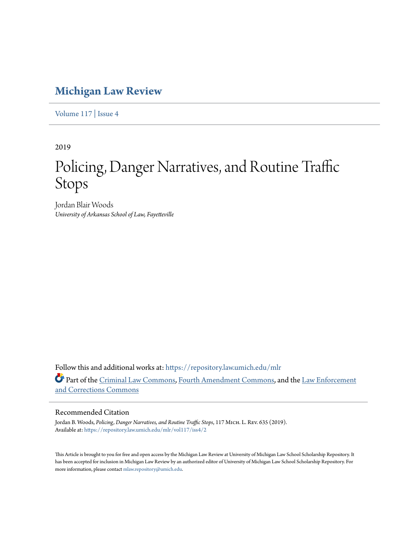## **[Michigan Law Review](https://repository.law.umich.edu/mlr?utm_source=repository.law.umich.edu%2Fmlr%2Fvol117%2Fiss4%2F2&utm_medium=PDF&utm_campaign=PDFCoverPages)**

[Volume 117](https://repository.law.umich.edu/mlr/vol117?utm_source=repository.law.umich.edu%2Fmlr%2Fvol117%2Fiss4%2F2&utm_medium=PDF&utm_campaign=PDFCoverPages) | [Issue 4](https://repository.law.umich.edu/mlr/vol117/iss4?utm_source=repository.law.umich.edu%2Fmlr%2Fvol117%2Fiss4%2F2&utm_medium=PDF&utm_campaign=PDFCoverPages)

2019

# Policing, Danger Narratives, and Routine Traffic Stops

Jordan Blair Woods *University of Arkansas School of Law, Fayetteville*

Follow this and additional works at: [https://repository.law.umich.edu/mlr](https://repository.law.umich.edu/mlr?utm_source=repository.law.umich.edu%2Fmlr%2Fvol117%2Fiss4%2F2&utm_medium=PDF&utm_campaign=PDFCoverPages) Part of the [Criminal Law Commons](http://network.bepress.com/hgg/discipline/912?utm_source=repository.law.umich.edu%2Fmlr%2Fvol117%2Fiss4%2F2&utm_medium=PDF&utm_campaign=PDFCoverPages), [Fourth Amendment Commons,](http://network.bepress.com/hgg/discipline/1180?utm_source=repository.law.umich.edu%2Fmlr%2Fvol117%2Fiss4%2F2&utm_medium=PDF&utm_campaign=PDFCoverPages) and the [Law Enforcement](http://network.bepress.com/hgg/discipline/854?utm_source=repository.law.umich.edu%2Fmlr%2Fvol117%2Fiss4%2F2&utm_medium=PDF&utm_campaign=PDFCoverPages) [and Corrections Commons](http://network.bepress.com/hgg/discipline/854?utm_source=repository.law.umich.edu%2Fmlr%2Fvol117%2Fiss4%2F2&utm_medium=PDF&utm_campaign=PDFCoverPages)

#### Recommended Citation

Jordan B. Woods, *Policing, Danger Narratives, and Routine Traffic Stops*, 117 Mich. L. Rev. 635 (2019). Available at: [https://repository.law.umich.edu/mlr/vol117/iss4/2](https://repository.law.umich.edu/mlr/vol117/iss4/2?utm_source=repository.law.umich.edu%2Fmlr%2Fvol117%2Fiss4%2F2&utm_medium=PDF&utm_campaign=PDFCoverPages)

This Article is brought to you for free and open access by the Michigan Law Review at University of Michigan Law School Scholarship Repository. It has been accepted for inclusion in Michigan Law Review by an authorized editor of University of Michigan Law School Scholarship Repository. For more information, please contact [mlaw.repository@umich.edu](mailto:mlaw.repository@umich.edu).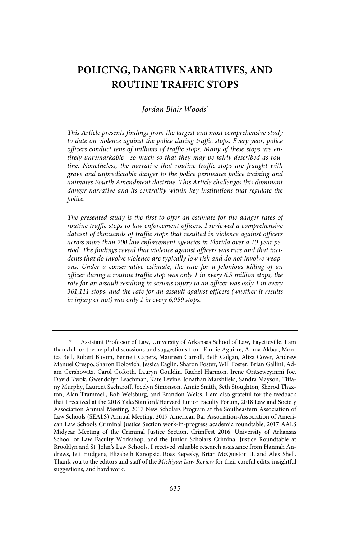### **POLICING, DANGER NARRATIVES, AND ROUTINE TRAFFIC STOPS**

#### Jordan Blair Woods\*

This Article presents findings from the largest and most comprehensive study to date on violence against the police during traffic stops. Every year, police officers conduct tens of millions of traffic stops. Many of these stops are entirely unremarkable—so much so that they may be fairly described as routine. Nonetheless, the narrative that routine traffic stops are fraught with grave and unpredictable danger to the police permeates police training and animates Fourth Amendment doctrine. This Article challenges this dominant danger narrative and its centrality within key institutions that regulate the police.

The presented study is the first to offer an estimate for the danger rates of routine traffic stops to law enforcement officers . I reviewed a comprehensive dataset of thousands of traffic stops that resulted in violence against officers across more than 200 law enforcement agencies in Florida over a 10-year period. The findings reveal that violence against officers was rare and that incidents that do involve violence are typically low risk and do not involve weapons. Under a conservative estimate, the rate for a felonious killing of an officer during a routine traffic stop was only 1 in every 6 .5 million stops, the rate for an assault resulting in serious injury to an officer was only 1 in every 361,111 stops, and the rate for an assault against officers (whether it results in injury or not) was only 1 in every 6,959 stops.

Assistant Professor of Law, University of Arkansas School of Law, Fayetteville. I am thankful for the helpful discussions and suggestions from Emilie Aguirre, Amna Akbar, Monica Bell, Robert Bloom, Bennett Capers, Maureen Carroll, Beth Colgan, Aliza Cover, Andrew Manuel Crespo, Sharon Dolovich, Jessica Eaglin, Sharon Foster, Will Foster, Brian Gallini, Adam Gershowitz, Carol Goforth, Lauryn Gouldin, Rachel Harmon, Irene Oritseweyinmi Joe, David Kwok, Gwendolyn Leachman, Kate Levine, Jonathan Marshfield, Sandra Mayson, Tiffany Murphy, Laurent Sacharoff, Jocelyn Simonson, Annie Smith, Seth Stoughton, Sherod Thaxton, Alan Trammell, Bob Weisburg, and Brandon Weiss. I am also grateful for the feedback that I received at the 2018 Yale/Stanford/Harvard Junior Faculty Forum, 2018 Law and Society Association Annual Meeting, 2017 New Scholars Program at the Southeastern Association of Law Schools (SEALS) Annual Meeting, 2017 American Bar Association-Association of American Law Schools Criminal Justice Section work-in-progress academic roundtable, 2017 AALS Midyear Meeting of the Criminal Justice Section, CrimFest 2016, University of Arkansas School of Law Faculty Workshop, and the Junior Scholars Criminal Justice Roundtable at Brooklyn and St. John's Law Schools. I received valuable research assistance from Hannah Andrews, Jett Hudgens, Elizabeth Kanopsic, Ross Kepesky, Brian McQuiston II, and Alex Shell. Thank you to the editors and staff of the Michigan Law Review for their careful edits, insightful suggestions, and hard work.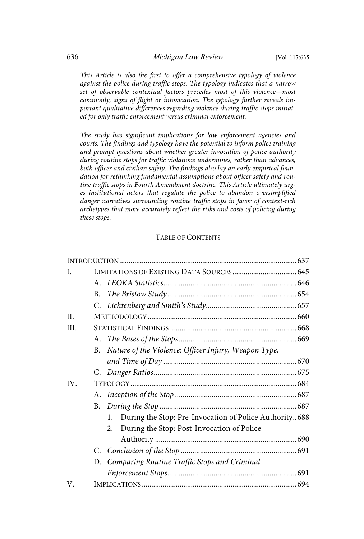This Article is also the first to offer a comprehensive typology of violence against the police during traffic stops. The typology indicates that a narrow set of observable contextual factors precedes most of this violence—most commonly, signs of flight or intoxication. The typology further reveals important qualitative differences regarding violence during traffic stops initiated for only traffic enforcement versus criminal enforcement.

The study has significant implications for law enforcement agencies and courts. The findings and typology have the potential to inform police training and prompt questions about whether greater invocation of police authority during routine stops for traffic violations undermines, rather than advances, both officer and civilian safety. The findings also lay an early empirical foundation for rethinking fundamental assumptions about officer safety and routine traffic stops in Fourth Amendment doctrine . This Article ultimately urges institutional actors that regulate the police to abandon oversimplified danger narratives surrounding routine traffic stops in favor of context-rich archetypes that more accurately reflect the risks and costs of policing during these stops.

#### TABLE OF CONTENTS

| L.   |                                                           |  |
|------|-----------------------------------------------------------|--|
|      |                                                           |  |
|      | <b>B.</b>                                                 |  |
|      |                                                           |  |
| H.   |                                                           |  |
| III. |                                                           |  |
|      |                                                           |  |
|      | B. Nature of the Violence: Officer Injury, Weapon Type,   |  |
|      |                                                           |  |
|      |                                                           |  |
| IV.  |                                                           |  |
|      |                                                           |  |
|      |                                                           |  |
|      | 1. During the Stop: Pre-Invocation of Police Authority688 |  |
|      | During the Stop: Post-Invocation of Police<br>2.          |  |
|      |                                                           |  |
|      |                                                           |  |
|      | D. Comparing Routine Traffic Stops and Criminal           |  |
|      |                                                           |  |
| V.   |                                                           |  |
|      |                                                           |  |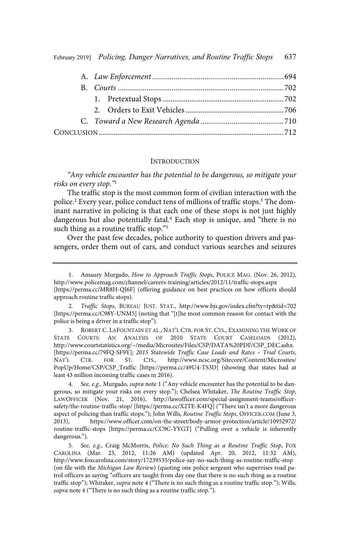#### **INTRODUCTION**

"Any vehicle encounter has the potential to be dangerous, so mitigate your risks on every stop."1

The traffic stop is the most common form of civilian interaction with the police.<sup>2</sup> Every year, police conduct tens of millions of traffic stops.<sup>3</sup> The dominant narrative in policing is that each one of these stops is not just highly dangerous but also potentially fatal.<sup>4</sup> Each stop is unique, and "there is no such thing as a routine traffic stop."<sup>5</sup>

Over the past few decades, police authority to question drivers and passengers, order them out of cars, and conduct various searches and seizures

3. ROBERT C. LAFOUNTAIN ET AL., NAT'L CTR. FOR ST. CTS., EXAMINING THE WORK OF STATE COURTS: AN ANALYSIS OF 2010 STATE COURT CASELOADS (2012), http://www.courtstatistics.org/~/media/Microsites/Files/CSP/DATA%20PDF/CSP\_DEC.ashx. [https://perma.cc/79FQ-SF9Y]; 2015 Statewide Traffic Case Loads and Rates – Trial Courts, NAT'L CTR. FOR ST. CTS., http://www.ncsc.org/Sitecore/Content/Microsites/ PopUp/Home/CSP/CSP\_Traffic [https://perma.cc/49U4-TS3D] (showing that states had at least 43 million incoming traffic cases in 2016).

See, e.g., Murgado, supra note 1 ("Any vehicle encounter has the potential to be dangerous, so mitigate your risks on every stop."); Chelsea Whitaker, The Routine Traffic Stop, LAWOFFICER (Nov. 21, 2016), http://lawofficer.com/special-assignment-teams/officersafety/the-routine-traffic-stop/ [https://perma.cc/X2TE-K4FQ] ("There isn't a more dangerous aspect of policing than traffic stops."); John Wills, Routine Traffic Stops, OFFICER.COM (June 3, 2013), https://www.officer.com/on-the-street/body-armor-protection/article/10952972/ routine-traffic-stops [https://perma.cc/CC9C-YYGT] ("Pulling over a vehicle is inherently dangerous.").

<sup>1.</sup> Amaury Murgado, How to Approach Traffic Stops, POLICE MAG. (Nov. 26, 2012), http://www.policemag.com/channel/careers-training/articles/2012/11/traffic-stops.aspx [https://perma.cc/MR8H-QJ6F] (offering guidance on best practices on how officers should approach routine traffic stops).

<sup>2.</sup> Traffic Stops, BUREAU JUST. STAT., http://www.bjs.gov/index.cfm?ty=tp&tid=702 [https://perma.cc/C98Y-UNM5] (noting that "[t]he most common reason for contact with the police is being a driver in a traffic stop").

<sup>5.</sup> See, e.g., Craig McMorris, Police: No Such Thing as a Routine Traffic Stop, FOX CAROLINA (Mar. 23, 2012, 11:26 AM) (updated Apr. 20, 2012, 11:32 AM), http://www.foxcarolina.com/story/17239535/police-say-no-such-thing-as-routine-traffic-stop (on file with the Michigan Law Review) (quoting one police sergeant who supervises road patrol officers as saying "officers are taught from day one that there is no such thing as a routine traffic stop"); Whitaker, supra note 4 ("There is no such thing as a routine traffic stop."); Wills, supra note 4 ("There is no such thing as a routine traffic stop.").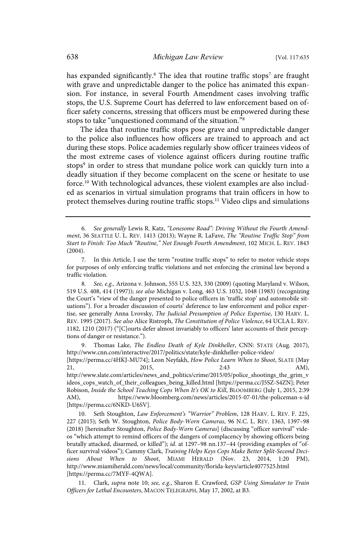has expanded significantly. $^6$  The idea that routine traffic stops $^7$  are fraught with grave and unpredictable danger to the police has animated this expansion. For instance, in several Fourth Amendment cases involving traffic stops, the U.S. Supreme Court has deferred to law enforcement based on officer safety concerns, stressing that officers must be empowered during these stops to take "unquestioned command of the situation."<sup>8</sup>

The idea that routine traffic stops pose grave and unpredictable danger to the police also influences how officers are trained to approach and act during these stops. Police academies regularly show officer trainees videos of the most extreme cases of violence against officers during routine traffic stops<sup>9</sup> in order to stress that mundane police work can quickly turn into a deadly situation if they become complacent on the scene or hesitate to use force.<sup>10</sup> With technological advances, these violent examples are also included as scenarios in virtual simulation programs that train officers in how to protect themselves during routine traffic stops.<sup>11</sup> Video clips and simulations

8. See, e.g., Arizona v. Johnson, 555 U.S. 323, 330 (2009) (quoting Maryland v. Wilson, 519 U.S. 408, 414 (1997)); see also Michigan v. Long, 463 U.S. 1032, 1048 (1983) (recognizing the Court's "view of the danger presented to police officers in 'traffic stop' and automobile situations"). For a broader discussion of courts' deference to law enforcement and police expertise, see generally Anna Lvovsky, The Judicial Presumption of Police Expertise, 130 HARV. L. REV. 1995 (2017). See also Alice Ristroph, The Constitution of Police Violence, 64 UCLA L. REV. 1182, 1210 (2017) ("[C]ourts defer almost invariably to officers' later accounts of their perceptions of danger or resistance.").

9. Thomas Lake, The Endless Death of Kyle Dinkheller, CNN: STATE (Aug. 2017), http://www.cnn.com/interactive/2017/politics/state/kyle-dinkheller-police-video/ [https://perma.cc/4HKJ-MU74]; Leon Neyfakh, How Police Learn When to Shoot, SLATE (May 21, 2015, 2015, 2:43 AM),

http://www.slate.com/articles/news\_and\_politics/crime/2015/05/police\_shootings\_the\_grim\_v ideos\_cops\_watch\_of\_their\_colleagues\_being\_killed.html [https://perma.cc/J5SZ-S4ZN]; Peter Robison, Inside the School Teaching Cops When It's OK to Kill, BLOOMBERG (July 1, 2015, 2:39 AM), https://www.bloomberg.com/news/articles/2015-07-01/the-policeman-s-id [https://perma.cc/6NKD-U6SV].

10. Seth Stoughton, Law Enforcement's "Warrior" Problem, 128 HARV. L. REV. F. 225, 227 (2015); Seth W. Stoughton, Police Body-Worn Cameras, 96 N.C. L. REV. 1363, 1397–98 (2018) [hereinafter Stoughton, Police Body-Worn Cameras] (discussing "officer survival" videos "which attempt to remind officers of the dangers of complacency by showing officers being brutally attacked, disarmed, or killed"); id. at 1297-98 nn.137-44 (providing examples of "officer survival videos"); Cammy Clark, Training Helps Keys Cops Make Better Split-Second Decisions About When to Shoot, MIAMI HERALD (Nov. 23, 2014, 1:20 PM), http://www.miamiherald.com/news/local/community/florida-keys/article4077525.html [https://perma.cc/7MYF-4QWA].

11. Clark, supra note 10; see, e.g., Sharon E. Crawford, GSP Using Simulator to Train Officers for Lethal Encounters, MACON TELEGRAPH, May 17, 2002, at B3.

<sup>6</sup> . See generally Lewis R. Katz, "Lonesome Road": Driving Without the Fourth Amendment, 36 SEATTLE U. L. REV. 1413 (2013); Wayne R. LaFave, The "Routine Traffic Stop" from Start to Finish: Too Much "Routine," Not Enough Fourth Amendment, 102 MICH. L. REV. 1843 (2004).

<sup>7.</sup> In this Article, I use the term "routine traffic stops" to refer to motor vehicle stops for purposes of only enforcing traffic violations and not enforcing the criminal law beyond a traffic violation.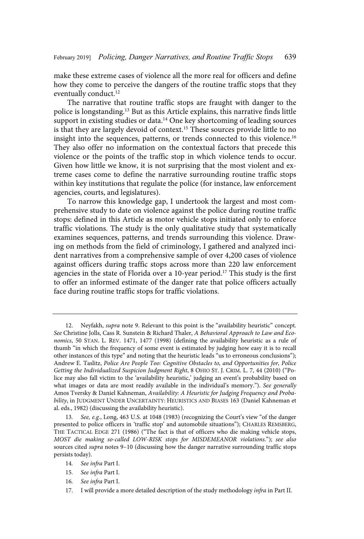make these extreme cases of violence all the more real for officers and define how they come to perceive the dangers of the routine traffic stops that they eventually conduct.<sup>12</sup>

The narrative that routine traffic stops are fraught with danger to the police is longstanding.<sup>13</sup> But as this Article explains, this narrative finds little support in existing studies or data.<sup>14</sup> One key shortcoming of leading sources is that they are largely devoid of context.<sup>15</sup> These sources provide little to no insight into the sequences, patterns, or trends connected to this violence.<sup>16</sup> They also offer no information on the contextual factors that precede this violence or the points of the traffic stop in which violence tends to occur. Given how little we know, it is not surprising that the most violent and extreme cases come to define the narrative surrounding routine traffic stops within key institutions that regulate the police (for instance, law enforcement agencies, courts, and legislatures).

To narrow this knowledge gap, I undertook the largest and most comprehensive study to date on violence against the police during routine traffic stops: defined in this Article as motor vehicle stops initiated only to enforce traffic violations. The study is the only qualitative study that systematically examines sequences, patterns, and trends surrounding this violence. Drawing on methods from the field of criminology, I gathered and analyzed incident narratives from a comprehensive sample of over 4,200 cases of violence against officers during traffic stops across more than 220 law enforcement agencies in the state of Florida over a 10-year period.<sup>17</sup> This study is the first to offer an informed estimate of the danger rate that police officers actually face during routine traffic stops for traffic violations.

16. See infra Part I.

<sup>12.</sup> Neyfakh, supra note 9. Relevant to this point is the "availability heuristic" concept. See Christine Jolls, Cass R. Sunstein & Richard Thaler, A Behavioral Approach to Law and Economics, 50 STAN. L. REV. 1471, 1477 (1998) (defining the availability heuristic as a rule of thumb "in which the frequency of some event is estimated by judging how easy it is to recall other instances of this type" and noting that the heuristic leads "us to erroneous conclusions"); Andrew E. Taslitz, Police Are People Too: Cognitive Obstacles to, and Opportunities for, Police Getting the Individualized Suspicion Judgment Right, 8 OHIO ST. J. CRIM. L. 7, 44 (2010) ("Police may also fall victim to the 'availability heuristic,' judging an event's probability based on what images or data are most readily available in the individual's memory."). See generally Amos Tversky & Daniel Kahneman, Availability: A Heuristic for Judging Frequency and Probability, in JUDGMENT UNDER UNCERTAINTY: HEURISTICS AND BIASES 163 (Daniel Kahneman et al. eds., 1982) (discussing the availability heuristic).

<sup>13.</sup> See, e.g., Long, 463 U.S. at 1048 (1983) (recognizing the Court's view "of the danger presented to police officers in 'traffic stop' and automobile situations"); CHARLES REMSBERG, THE TACTICAL EDGE 271 (1986) ("The fact is that of officers who die making vehicle stops, MOST die making so-called LOW-RISK stops for MISDEMEANOR violations."); see also sources cited *supra* notes 9–10 (discussing how the danger narrative surrounding traffic stops persists today).

<sup>14.</sup> See infra Part I.

<sup>15.</sup> See infra Part I.

<sup>17.</sup> I will provide a more detailed description of the study methodology infra in Part II.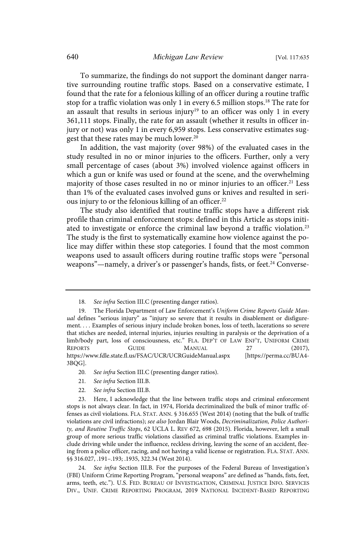To summarize, the findings do not support the dominant danger narrative surrounding routine traffic stops. Based on a conservative estimate, I found that the rate for a felonious killing of an officer during a routine traffic stop for a traffic violation was only 1 in every 6.5 million stops.<sup>18</sup> The rate for an assault that results in serious injury<sup>19</sup> to an officer was only 1 in every 361,111 stops. Finally, the rate for an assault (whether it results in officer injury or not) was only 1 in every 6,959 stops. Less conservative estimates suggest that these rates may be much lower.<sup>20</sup>

In addition, the vast majority (over 98%) of the evaluated cases in the study resulted in no or minor injuries to the officers. Further, only a very small percentage of cases (about 3%) involved violence against officers in which a gun or knife was used or found at the scene, and the overwhelming majority of those cases resulted in no or minor injuries to an officer.<sup>21</sup> Less than 1% of the evaluated cases involved guns or knives and resulted in serious injury to or the felonious killing of an officer.<sup>22</sup>

The study also identified that routine traffic stops have a different risk profile than criminal enforcement stops: defined in this Article as stops initiated to investigate or enforce the criminal law beyond a traffic violation.<sup>23</sup> The study is the first to systematically examine how violence against the police may differ within these stop categories. I found that the most common weapons used to assault officers during routine traffic stops were "personal weapons"—namely, a driver's or passenger's hands, fists, or feet.<sup>24</sup> Converse-

- 21. See infra Section III.B.
- 22. See infra Section III.B.

24. See infra Section III.B. For the purposes of the Federal Bureau of Investigation's (FBI) Uniform Crime Reporting Program, "personal weapons" are defined as "hands, fists, feet, arms, teeth, etc."). U.S. FED. BUREAU OF INVESTIGATION, CRIMINAL JUSTICE INFO. SERVICES DIV., UNIF. CRIME REPORTING PROGRAM, 2019 NATIONAL INCIDENT-BASED REPORTING

<sup>18.</sup> See infra Section III.C (presenting danger ratios).

<sup>19.</sup> The Florida Department of Law Enforcement's Uniform Crime Reports Guide Manual defines "serious injury" as "injury so severe that it results in disablement or disfigurement. . . . Examples of serious injury include broken bones, loss of teeth, lacerations so severe that stiches are needed, internal injuries, injuries resulting in paralysis or the deprivation of a limb/body part, loss of consciousness, etc." FLA. DEP'T OF LAW ENF'T, UNIFORM CRIME REPORTS GUIDE MANUAL 27 (2017), https://www.fdle.state.fl.us/FSAC/UCR/UCRGuideManual.aspx [https://perma.cc/BUA4- 3BQG].

<sup>20.</sup> See infra Section III.C (presenting danger ratios).

<sup>23.</sup> Here, I acknowledge that the line between traffic stops and criminal enforcement stops is not always clear. In fact, in 1974, Florida decriminalized the bulk of minor traffic offenses as civil violations. FLA. STAT. ANN. § 316.655 (West 2014) (noting that the bulk of traffic violations are civil infractions); see also Jordan Blair Woods, Decriminalization, Police Authority, and Routine Traffic Stops, 62 UCLA L. REV 672, 698 (2015). Florida, however, left a small group of more serious traffic violations classified as criminal traffic violations. Examples include driving while under the influence, reckless driving, leaving the scene of an accident, fleeing from a police officer, racing, and not having a valid license or registration. FLA. STAT. ANN. §§ 316.027, .191–.193; .1935, 322.34 (West 2014).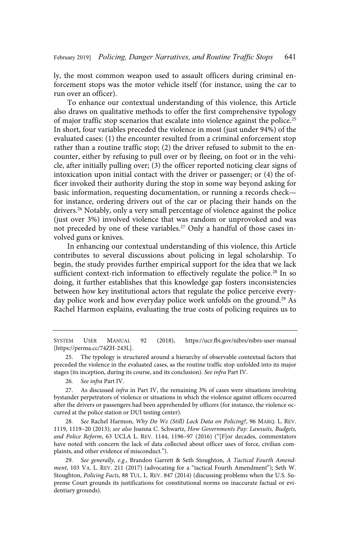ly, the most common weapon used to assault officers during criminal enforcement stops was the motor vehicle itself (for instance, using the car to run over an officer).

To enhance our contextual understanding of this violence, this Article also draws on qualitative methods to offer the first comprehensive typology of major traffic stop scenarios that escalate into violence against the police.<sup>25</sup> In short, four variables preceded the violence in most (just under 94%) of the evaluated cases: (1) the encounter resulted from a criminal enforcement stop rather than a routine traffic stop; (2) the driver refused to submit to the encounter, either by refusing to pull over or by fleeing, on foot or in the vehicle, after initially pulling over; (3) the officer reported noticing clear signs of intoxication upon initial contact with the driver or passenger; or (4) the officer invoked their authority during the stop in some way beyond asking for basic information, requesting documentation, or running a records check for instance, ordering drivers out of the car or placing their hands on the drivers.<sup>26</sup> Notably, only a very small percentage of violence against the police (just over 3%) involved violence that was random or unprovoked and was not preceded by one of these variables.<sup>27</sup> Only a handful of those cases involved guns or knives.

In enhancing our contextual understanding of this violence, this Article contributes to several discussions about policing in legal scholarship. To begin, the study provides further empirical support for the idea that we lack sufficient context-rich information to effectively regulate the police.<sup>28</sup> In so doing, it further establishes that this knowledge gap fosters inconsistencies between how key institutional actors that regulate the police perceive everyday police work and how everyday police work unfolds on the ground.<sup>29</sup> As Rachel Harmon explains, evaluating the true costs of policing requires us to

SYSTEM USER MANUAL 92 (2018), https://ucr.fbi.gov/nibrs/nibrs-user-manual [https://perma.cc/74ZH-243L].

28. See Rachel Harmon, Why Do We (Still) Lack Data on Policing?, 96 MARQ. L. REV. 1119, 1119–20 (2013); see also Joanna C. Schwartz, How Governments Pay: Lawsuits, Budgets, and Police Reform, 63 UCLA L. REV. 1144, 1196–97 (2016) ("[F]or decades, commentators have noted with concern the lack of data collected about officer uses of force, civilian complaints, and other evidence of misconduct.").

29. See generally, e.g., Brandon Garrett & Seth Stoughton, A Tactical Fourth Amendment, 103 VA. L. REV. 211 (2017) (advocating for a "tactical Fourth Amendment"); Seth W. Stoughton, Policing Facts, 88 TUL. L. REV. 847 (2014) (discussing problems when the U.S. Supreme Court grounds its justifications for constitutional norms on inaccurate factual or evidentiary grounds).

<sup>25.</sup> The typology is structured around a hierarchy of observable contextual factors that preceded the violence in the evaluated cases, as the routine traffic stop unfolded into its major stages (its inception, during its course, and its conclusion). See infra Part IV.

<sup>26.</sup> See infra Part IV.

<sup>27.</sup> As discussed infra in Part IV, the remaining 3% of cases were situations involving bystander perpetrators of violence or situations in which the violence against officers occurred after the drivers or passengers had been apprehended by officers (for instance, the violence occurred at the police station or DUI testing center).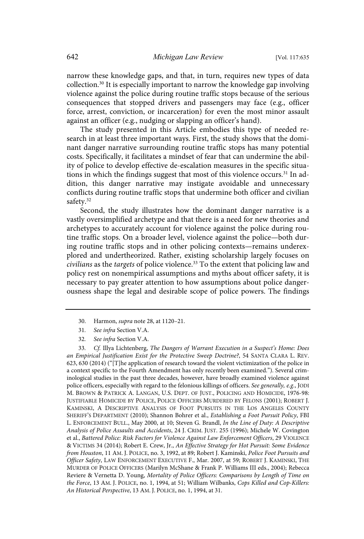narrow these knowledge gaps, and that, in turn, requires new types of data collection.<sup>30</sup> It is especially important to narrow the knowledge gap involving violence against the police during routine traffic stops because of the serious consequences that stopped drivers and passengers may face (e.g., officer force, arrest, conviction, or incarceration) for even the most minor assault against an officer (e.g., nudging or slapping an officer's hand).

The study presented in this Article embodies this type of needed research in at least three important ways. First, the study shows that the dominant danger narrative surrounding routine traffic stops has many potential costs. Specifically, it facilitates a mindset of fear that can undermine the ability of police to develop effective de-escalation measures in the specific situations in which the findings suggest that most of this violence occurs.<sup>31</sup> In addition, this danger narrative may instigate avoidable and unnecessary conflicts during routine traffic stops that undermine both officer and civilian safety.<sup>32</sup>

Second, the study illustrates how the dominant danger narrative is a vastly oversimplified archetype and that there is a need for new theories and archetypes to accurately account for violence against the police during routine traffic stops. On a broader level, violence against the police—both during routine traffic stops and in other policing contexts—remains underexplored and undertheorized. Rather, existing scholarship largely focuses on  $civilians$  as the *targets* of police violence.<sup>33</sup> To the extent that policing law and policy rest on nonempirical assumptions and myths about officer safety, it is necessary to pay greater attention to how assumptions about police dangerousness shape the legal and desirable scope of police powers. The findings

30. Harmon, supra note 28, at 1120–21.

33 . Cf . Illya Lichtenberg, The Dangers of Warrant Execution in a Suspect's Home: Does an Empirical Justification Exist for the Protective Sweep Doctrine?, 54 SANTA CLARA L. REV. 623, 630 (2014) ("[T]he application of research toward the violent victimization of the police in a context specific to the Fourth Amendment has only recently been examined."). Several criminological studies in the past three decades, however, have broadly examined violence against police officers, especially with regard to the felonious killings of officers. See generally, e.g., JODI M. BROWN & PATRICK A. LANGAN, U.S. DEPT. OF JUST., POLICING AND HOMICIDE, 1976-98: JUSTIFIABLE HOMICIDE BY POLICE, POLICE OFFICERS MURDERED BY FELONS (2001); ROBERT J. KAMINSKI, A DESCRIPTIVE ANALYSIS OF FOOT PURSUITS IN THE LOS ANGELES COUNTY SHERIFF'S DEPARTMENT (2010); Shannon Bohrer et al., Establishing a Foot Pursuit Policy, FBI L. ENFORCEMENT BULL., May 2000, at 10; Steven G. Brandl, In the Line of Duty: A Descriptive Analysis of Police Assaults and Accidents, 24 J. CRIM. JUST. 255 (1996); Michele W. Covington et al., Battered Police: Risk Factors for Violence Against Law Enforcement Officers, 29 VIOLENCE & VICTIMS 34 (2014); Robert E. Crew, Jr., An Effective Strategy for Hot Pursuit: Some Evidence from Houston, 11 AM. J. POLICE, no. 3, 1992, at 89; Robert J. Kaminski, Police Foot Pursuits and Officer Safety, LAW ENFORCEMENT EXECUTIVE F., Mar. 2007, at 59; ROBERT J. KAMINSKI, THE MURDER OF POLICE OFFICERS (Marilyn McShane & Frank P. Williams III eds., 2004); Rebecca Reviere & Vernetta D. Young, Mortality of Police Officers: Comparisons by Length of Time on the Force, 13 AM. J. POLICE, no. 1, 1994, at 51; William Wilbanks, Cops Killed and Cop-Killers: An Historical Perspective, 13 AM. J. POLICE, no. 1, 1994, at 31.

<sup>31.</sup> See infra Section V.A.

<sup>32.</sup> See infra Section V.A.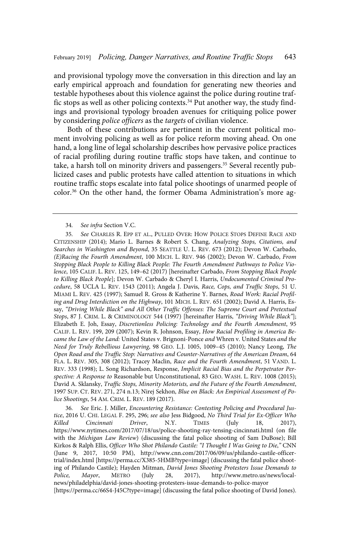and provisional typology move the conversation in this direction and lay an early empirical approach and foundation for generating new theories and testable hypotheses about this violence against the police during routine traffic stops as well as other policing contexts.<sup>34</sup> Put another way, the study findings and provisional typology broaden avenues for critiquing police power by considering police officers as the targets of civilian violence.

Both of these contributions are pertinent in the current political moment involving policing as well as for police reform moving ahead. On one hand, a long line of legal scholarship describes how pervasive police practices of racial profiling during routine traffic stops have taken, and continue to take, a harsh toll on minority drivers and passengers.<sup>35</sup> Several recently publicized cases and public protests have called attention to situations in which routine traffic stops escalate into fatal police shootings of unarmed people of color.<sup>36</sup> On the other hand, the former Obama Administration's more ag-

36 . See Eric. J. Miller, Encountering Resistance: Contesting Policing and Procedural Justice, 2016 U. CHI. LEGAL F. 295, 296; see also Jess Bidgood, No Third Trial for Ex-Officer Who Killed Cincinnati Driver, N.Y. TIMES (July 18, 2017), https://www.nytimes.com/2017/07/18/us/police-shooting-ray-tensing-cincinnati.html (on file with the *Michigan Law Review*) (discussing the fatal police shooting of Sam DuBose); Bill Kirkos & Ralph Ellis, Officer Who Shot Philando Castile: "I Thought I Was Going to Die," CNN (June 9, 2017, 10:50 PM), http://www.cnn.com/2017/06/09/us/philando-castile-officertrial/index.html [https://perma.cc/X385-5HMB?type=image] (discussing the fatal police shooting of Philando Castile); Hayden Mitman, *David Jones Shooting Protesters Issue Demands to*<br> *Police, Mayor*, METRO (July 28, 2017), http://www.metro.us/news/local-Mayor, METRO (July 28, 2017), http://www.metro.us/news/localnews/philadelphia/david-jones-shooting-protesters-issue-demands-to-police-mayor [https://perma.cc/66S4-J45C?type=image] (discussing the fatal police shooting of David Jones).

<sup>34.</sup> See infra Section V.C.

<sup>35.</sup> See CHARLES R. EPP ET AL., PULLED OVER: HOW POLICE STOPS DEFINE RACE AND CITIZENSHIP (2014); Mario L. Barnes & Robert S. Chang, Analyzing Stops, Citations, and Searches in Washington and Beyond, 35 SEATTLE U. L. REV. 673 (2012); Devon W. Carbado, (E)Racing the Fourth Amendment, 100 MICH. L. REV. 946 (2002); Devon W. Carbado, From Stopping Black People to Killing Black People: The Fourth Amendment Pathways to Police Violence, 105 CALIF. L. REV. 125, 149–62 (2017) [hereinafter Carbado, From Stopping Black People to Killing Black People]; Devon W. Carbado & Cheryl I. Harris, Undocumented Criminal Procedure, 58 UCLA L. REV. 1543 (2011); Angela J. Davis, Race, Cops, and Traffic Stops, 51 U. MIAMI L. REV. 425 (1997); Samuel R. Gross & Katherine Y. Barnes, Road Work: Racial Profiling and Drug Interdiction on the Highway, 101 MICH. L. REV. 651 (2002); David A. Harris, Essay, "Driving While Black" and All Other Traffic Offenses: The Supreme Court and Pretextual Stops, 87 J. CRIM. L. & CRIMINOLOGY 544 (1997) [hereinafter Harris, "Driving While Black"]; Elizabeth E. Joh, Essay, Discretionless Policing: Technology and the Fourth Amendment, 95 CALIF. L. REV. 199, 209 (2007); Kevin R. Johnson, Essay, How Racial Profiling in America Became the Law of the Land: United States v. Brignoni-Ponce and Whren v. United States and the Need for Truly Rebellious Lawyering, 98 GEO. L.J. 1005, 1009–45 (2010); Nancy Leong, The Open Road and the Traffic Stop: Narratives and Counter-Narratives of the American Dream, 64 FLA. L. REV. 305, 308 (2012); Tracey Maclin, Race and the Fourth Amendment, 51 VAND. L. REV. 333 (1998); L. Song Richardson, Response, Implicit Racial Bias and the Perpetrator Perspective: A Response to Reasonable but Unconstitutional, 83 GEO. WASH. L. REV. 1008 (2015); David A. Sklansky, Traffic Stops, Minority Motorists, and the Future of the Fourth Amendment, 1997 SUP. CT. REV. 271, 274 n.13; Nirej Sekhon, Blue on Black: An Empirical Assessment of Police Shootings, 54 AM. CRIM. L. REV. 189 (2017).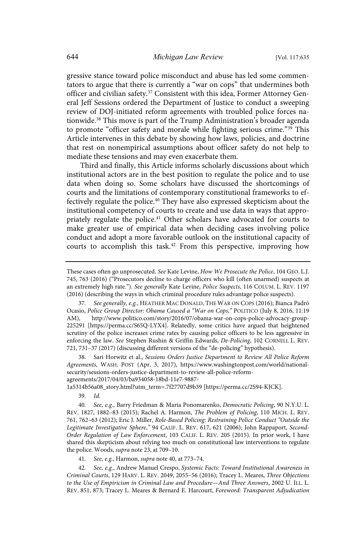gressive stance toward police misconduct and abuse has led some commentators to argue that there is currently a "war on cops" that undermines both officer and civilian safety.<sup>37</sup> Consistent with this idea, Former Attorney General Jeff Sessions ordered the Department of Justice to conduct a sweeping review of DOJ-initiated reform agreements with troubled police forces nationwide.<sup>38</sup> This move is part of the Trump Administration's broader agenda to promote "officer safety and morale while fighting serious crime."<sup>39</sup> This Article intervenes in this debate by showing how laws, policies, and doctrine that rest on nonempirical assumptions about officer safety do not help to mediate these tensions and may even exacerbate them.

Third and finally, this Article informs scholarly discussions about which institutional actors are in the best position to regulate the police and to use data when doing so. Some scholars have discussed the shortcomings of courts and the limitations of contemporary constitutional frameworks to effectively regulate the police.<sup>40</sup> They have also expressed skepticism about the institutional competency of courts to create and use data in ways that appropriately regulate the police.<sup>41</sup> Other scholars have advocated for courts to make greater use of empirical data when deciding cases involving police conduct and adopt a more favorable outlook on the institutional capacity of courts to accomplish this task.<sup>42</sup> From this perspective, improving how

38. Sari Horwitz et al., Sessions Orders Justice Department to Review All Police Reform Agreements, WASH. POST (Apr. 3, 2017), https://www.washingtonpost.com/world/nationalsecurity/sessions-orders-justice-department-to-review-all-police-reform-

agreements/2017/04/03/ba934058-18bd-11e7-9887-

1a5314b56a08\_story.html?utm\_term=.7f27707d9b39 [https://perma.cc/2S94-KJCK].

39. Id.

40. See, e.g., Barry Friedman & Maria Ponomarenko, Democratic Policing, 90 N.Y.U.L. REV. 1827, 1882–83 (2015); Rachel A. Harmon, The Problem of Policing, 110 MICH. L. REV. 761, 762–63 (2012); Eric J. Miller, Role-Based Policing: Restraining Police Conduct "Outside the Legitimate Investigative Sphere," 94 CALIF. L. REV. 617, 621 (2006); John Rappaport, Second-Order Regulation of Law Enforcement, 103 CALIF. L. REV. 205 (2015). In prior work, I have shared this skepticism about relying too much on constitutional law interventions to regulate the police. Woods, *supra* note 23, at 709-10.

41. See, e.g., Harmon, supra note 40, at 773-74.

42. See, e.g., Andrew Manuel Crespo, Systemic Facts: Toward Institutional Awareness in Criminal Courts, 129 HARV. L. REV. 2049, 2055–56 (2016); Tracey L. Meares, Three Objections to the Use of Empiricism in Criminal Law and Procedure—And Three Answers, 2002 U. ILL. L. REV. 851, 873; Tracey L. Meares & Bernard E. Harcourt, Foreword: Transparent Adjudication

These cases often go unprosecuted. See Kate Levine, How We Prosecute the Police, 104 GEO. L.J. 745, 763 (2016) ("Prosecutors decline to charge officers who kill (often unarmed) suspects at an extremely high rate."). See generally Kate Levine, Police Suspects, 116 COLUM. L. REV. 1197 (2016) (describing the ways in which criminal procedure rules advantage police suspects).

<sup>37.</sup> See generally, e.g., HEATHER MAC DONALD, THE WAR ON COPS (2016); Bianca Padró Ocasio, Police Group Director: Obama Caused a "War on Cops," POLITICO (July 8, 2016, 11:19 AM), http://www.politico.com/story/2016/07/obama-war-on-cops-police-advocacy-group-225291 [https://perma.cc/S65Q-LYX4]. Relatedly, some critics have argued that heightened scrutiny of the police increases crime rates by causing police officers to be less aggressive in enforcing the law. See Stephen Rushin & Griffin Edwards, De-Policing, 102 CORNELL L. REV. 721, 731–37 (2017) (discussing different versions of the "de-policing" hypothesis).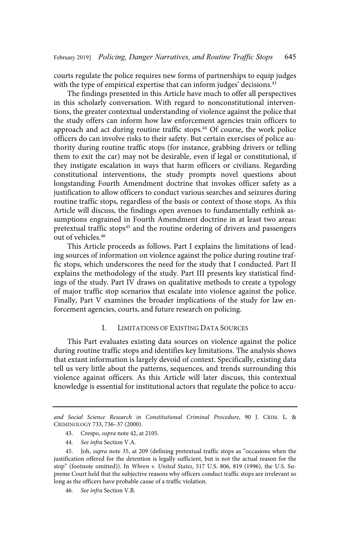courts regulate the police requires new forms of partnerships to equip judges with the type of empirical expertise that can inform judges' decisions.<sup>43</sup>

The findings presented in this Article have much to offer all perspectives in this scholarly conversation. With regard to nonconstitutional interventions, the greater contextual understanding of violence against the police that the study offers can inform how law enforcement agencies train officers to approach and act during routine traffic stops.<sup>44</sup> Of course, the work police officers do can involve risks to their safety. But certain exercises of police authority during routine traffic stops (for instance, grabbing drivers or telling them to exit the car) may not be desirable, even if legal or constitutional, if they instigate escalation in ways that harm officers or civilians. Regarding constitutional interventions, the study prompts novel questions about longstanding Fourth Amendment doctrine that invokes officer safety as a justification to allow officers to conduct various searches and seizures during routine traffic stops, regardless of the basis or context of those stops. As this Article will discuss, the findings open avenues to fundamentally rethink assumptions engrained in Fourth Amendment doctrine in at least two areas: pretextual traffic stops<sup>45</sup> and the routine ordering of drivers and passengers out of vehicles.<sup>46</sup>

This Article proceeds as follows. Part I explains the limitations of leading sources of information on violence against the police during routine traffic stops, which underscores the need for the study that I conducted. Part II explains the methodology of the study. Part III presents key statistical findings of the study. Part IV draws on qualitative methods to create a typology of major traffic stop scenarios that escalate into violence against the police. Finally, Part V examines the broader implications of the study for law enforcement agencies, courts, and future research on policing.

#### I. LIMITATIONS OF EXISTING DATA SOURCES

This Part evaluates existing data sources on violence against the police during routine traffic stops and identifies key limitations. The analysis shows that extant information is largely devoid of context. Specifically, existing data tell us very little about the patterns, sequences, and trends surrounding this violence against officers. As this Article will later discuss, this contextual knowledge is essential for institutional actors that regulate the police to accu-

and Social Science Research in Constitutional Criminal Procedure, 90 J. CRIM. L. & CRIMINOLOGY 733, 736–37 (2000).

<sup>43.</sup> Crespo, supra note 42, at 2105.

<sup>44.</sup> See infra Section V.A.

<sup>45.</sup> Joh, supra note 35, at 209 (defining pretextual traffic stops as "occasions when the justification offered for the detention is legally sufficient, but is not the actual reason for the stop" (footnote omitted)). In Whren v. United States, 517 U.S. 806, 819 (1996), the U.S. Supreme Court held that the subjective reasons why officers conduct traffic stops are irrelevant so long as the officers have probable cause of a traffic violation.

<sup>46.</sup> See infra Section V.B.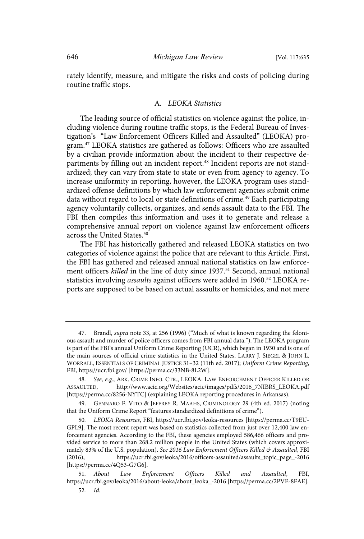rately identify, measure, and mitigate the risks and costs of policing during routine traffic stops.

#### A. LEOKA Statistics

The leading source of official statistics on violence against the police, including violence during routine traffic stops, is the Federal Bureau of Investigation's "Law Enforcement Officers Killed and Assaulted" (LEOKA) program.<sup>47</sup> LEOKA statistics are gathered as follows: Officers who are assaulted by a civilian provide information about the incident to their respective departments by filling out an incident report.<sup>48</sup> Incident reports are not standardized; they can vary from state to state or even from agency to agency. To increase uniformity in reporting, however, the LEOKA program uses standardized offense definitions by which law enforcement agencies submit crime data without regard to local or state definitions of crime.<sup>49</sup> Each participating agency voluntarily collects, organizes, and sends assault data to the FBI. The FBI then compiles this information and uses it to generate and release a comprehensive annual report on violence against law enforcement officers across the United States.<sup>50</sup>

The FBI has historically gathered and released LEOKA statistics on two categories of violence against the police that are relevant to this Article. First, the FBI has gathered and released annual national statistics on law enforcement officers killed in the line of duty since 1937.<sup>51</sup> Second, annual national statistics involving assaults against officers were added in 1960.<sup>52</sup> LEOKA reports are supposed to be based on actual assaults or homicides, and not mere

<sup>47.</sup> Brandl, supra note 33, at 256 (1996) ("Much of what is known regarding the felonious assault and murder of police officers comes from FBI annual data."). The LEOKA program is part of the FBI's annual Uniform Crime Reporting (UCR), which began in 1930 and is one of the main sources of official crime statistics in the United States. LARRY J. SIEGEL & JOHN L. WORRALL, ESSENTIALS OF CRIMINAL JUSTICE 31–32 (11th ed. 2017); Uniform Crime Reporting, FBI, https://ucr.fbi.gov/ [https://perma.cc/33NB-8L2W].

<sup>48.</sup> See, e.g., ARK. CRIME INFO. CTR., LEOKA: LAW ENFORCEMENT OFFICER KILLED OR ASSAULTED, http://www.acic.org/Websites/acic/images/pdfs/2016\_7NIBRS\_LEOKA.pdf [https://perma.cc/8256-NYTC] (explaining LEOKA reporting procedures in Arkansas).

<sup>49.</sup> GENNARO F. VITO & JEFFREY R. MAAHS, CRIMINOLOGY 29 (4th ed. 2017) (noting that the Uniform Crime Report "features standardized definitions of crime").

<sup>50</sup> . LEOKA Resources, FBI, https://ucr.fbi.gov/leoka-resources [https://perma.cc/T9EU-GPL9]. The most recent report was based on statistics collected from just over 12,400 law enforcement agencies. According to the FBI, these agencies employed 586,466 officers and provided service to more than 268.2 million people in the United States (which covers approximately 83% of the U.S. population). See 2016 Law Enforcement Officers Killed & Assaulted, FBI (2016), https://ucr.fbi.gov/leoka/2016/officers-assaulted/assaults\_topic\_page\_-2016 [https://perma.cc/4Q53-G7G6].

<sup>51</sup> . About Law Enforcement Officers Killed and Assaulted, FBI, https://ucr.fbi.gov/leoka/2016/about-leoka/about\_leoka\_-2016 [https://perma.cc/2PVE-8FAE]. 52. Id.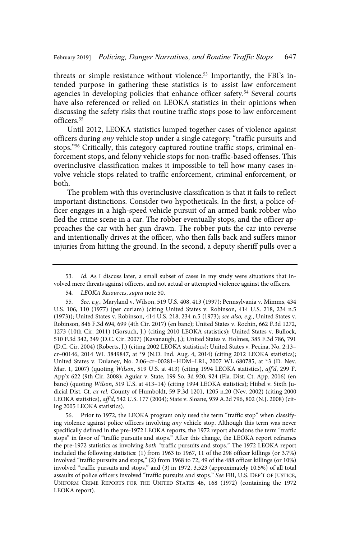threats or simple resistance without violence.<sup>53</sup> Importantly, the FBI's intended purpose in gathering these statistics is to assist law enforcement agencies in developing policies that enhance officer safety.<sup>54</sup> Several courts have also referenced or relied on LEOKA statistics in their opinions when discussing the safety risks that routine traffic stops pose to law enforcement officers.<sup>55</sup>

Until 2012, LEOKA statistics lumped together cases of violence against officers during any vehicle stop under a single category: "traffic pursuits and stops."<sup>56</sup> Critically, this category captured routine traffic stops, criminal enforcement stops, and felony vehicle stops for non-traffic-based offenses. This overinclusive classification makes it impossible to tell how many cases involve vehicle stops related to traffic enforcement, criminal enforcement, or both.

The problem with this overinclusive classification is that it fails to reflect important distinctions. Consider two hypotheticals. In the first, a police officer engages in a high-speed vehicle pursuit of an armed bank robber who fled the crime scene in a car. The robber eventually stops, and the officer approaches the car with her gun drawn. The robber puts the car into reverse and intentionally drives at the officer, who then falls back and suffers minor injuries from hitting the ground. In the second, a deputy sheriff pulls over a

56. Prior to 1972, the LEOKA program only used the term "traffic stop" when classifying violence against police officers involving any vehicle stop. Although this term was never specifically defined in the pre-1972 LEOKA reports, the 1972 report abandons the term "traffic stops" in favor of "traffic pursuits and stops." After this change, the LEOKA report reframes the pre-1972 statistics as involving both "traffic pursuits and stops." The 1972 LEOKA report included the following statistics: (1) from 1963 to 1967, 11 of the 298 officer killings (or 3.7%) involved "traffic pursuits and stops," (2) from 1968 to 72, 49 of the 488 officer killings (or 10%) involved "traffic pursuits and stops," and (3) in 1972, 3,523 (approximately 10.5%) of all total assaults of police officers involved "traffic pursuits and stops." See FBI, U.S. DEP'T OF JUSTICE, UNIFORM CRIME REPORTS FOR THE UNITED STATES 46, 168 (1972) (containing the 1972 LEOKA report).

<sup>53.</sup> Id. As I discuss later, a small subset of cases in my study were situations that involved mere threats against officers, and not actual or attempted violence against the officers.

<sup>54.</sup> LEOKA Resources, supra note 50.

<sup>55.</sup> See, e.g., Maryland v. Wilson, 519 U.S. 408, 413 (1997); Pennsylvania v. Mimms, 434 U.S. 106, 110 (1977) (per curiam) (citing United States v. Robinson, 414 U.S. 218, 234 n.5 (1973)); United States v. Robinson, 414 U.S. 218, 234 n.5 (1973); see also, e.g., United States v. Robinson, 846 F.3d 694, 699 (4th Cir. 2017) (en banc); United States v. Rochin, 662 F.3d 1272, 1273 (10th Cir. 2011) (Gorsuch, J.) (citing 2010 LEOKA statistics); United States v. Bullock, 510 F.3d 342, 349 (D.C. Cir. 2007) (Kavanaugh, J.); United States v. Holmes, 385 F.3d 786, 791 (D.C. Cir. 2004) (Roberts, J.) (citing 2002 LEOKA statistics); United States v. Pecina, No. 2:13– cr–00146, 2014 WL 3849847, at \*9 (N.D. Ind. Aug. 4, 2014) (citing 2012 LEOKA statistics); United States v. Dulaney, No. 2:06–cr–00281–HDM–LRL, 2007 WL 680785, at \*3 (D. Nev. Mar. 1, 2007) (quoting Wilson, 519 U.S. at 413) (citing 1994 LEOKA statistics), aff'd, 299 F. App'x 622 (9th Cir. 2008); Aguiar v. State, 199 So. 3d 920, 924 (Fla. Dist. Ct. App. 2016) (en banc) (quoting Wilson, 519 U.S. at 413–14) (citing 1994 LEOKA statistics); Hiibel v. Sixth Judicial Dist. Ct. ex rel. County of Humboldt, 59 P.3d 1201, 1205 n.20 (Nev. 2002) (citing 2000 LEOKA statistics), aff'd, 542 U.S. 177 (2004); State v. Sloane, 939 A.2d 796, 802 (N.J. 2008) (citing 2005 LEOKA statistics).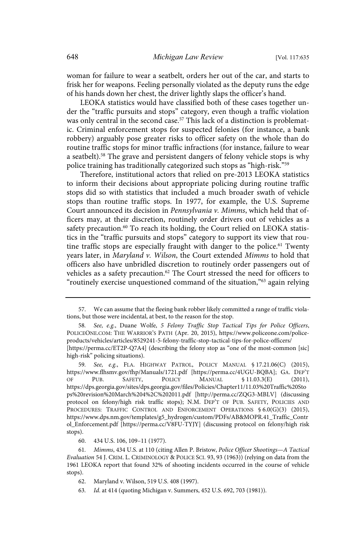woman for failure to wear a seatbelt, orders her out of the car, and starts to frisk her for weapons. Feeling personally violated as the deputy runs the edge of his hands down her chest, the driver lightly slaps the officer's hand.

LEOKA statistics would have classified both of these cases together under the "traffic pursuits and stops" category, even though a traffic violation was only central in the second case.<sup>57</sup> This lack of a distinction is problematic. Criminal enforcement stops for suspected felonies (for instance, a bank robbery) arguably pose greater risks to officer safety on the whole than do routine traffic stops for minor traffic infractions (for instance, failure to wear a seatbelt).<sup>58</sup> The grave and persistent dangers of felony vehicle stops is why police training has traditionally categorized such stops as "high-risk."<sup>59</sup>

Therefore, institutional actors that relied on pre-2013 LEOKA statistics to inform their decisions about appropriate policing during routine traffic stops did so with statistics that included a much broader swath of vehicle stops than routine traffic stops. In 1977, for example, the U.S. Supreme Court announced its decision in Pennsylvania v. Mimms, which held that officers may, at their discretion, routinely order drivers out of vehicles as a safety precaution.<sup>60</sup> To reach its holding, the Court relied on LEOKA statistics in the "traffic pursuits and stops" category to support its view that routine traffic stops are especially fraught with danger to the police.<sup>61</sup> Twenty years later, in Maryland v. Wilson, the Court extended Mimms to hold that officers also have unbridled discretion to routinely order passengers out of vehicles as a safety precaution.<sup>62</sup> The Court stressed the need for officers to "routinely exercise unquestioned command of the situation,"<sup>63</sup> again relying

63 . Id. at 414 (quoting Michigan v. Summers, 452 U.S. 692, 703 (1981)).

<sup>57.</sup> We can assume that the fleeing bank robber likely committed a range of traffic violations, but those were incidental, at best, to the reason for the stop.

See, e.g., Duane Wolfe, 5 Felony Traffic Stop Tactical Tips for Police Officers, POLICEONE.COM: THE WARRIOR'S PATH (Apr. 20, 2015), https://www.policeone.com/policeproducts/vehicles/articles/8529241-5-felony-traffic-stop-tactical-tips-for-police-officers/ [https://perma.cc/ET2P-Q7A4] (describing the felony stop as "one of the most-common [sic] high-risk" policing situations).

<sup>59.</sup> See, e.g., FLA. HIGHWAY PATROL, POLICY MANUAL § 17.21.06(C) (2015), https://www.flhsmv.gov/fhp/Manuals/1721.pdf [https://perma.cc/4UGU-BQBA]; GA. DEP'T OF PUB. SAFETY, POLICY MANUAL § 11.03.3(E) (2011), https://dps.georgia.gov/sites/dps.georgia.gov/files/Policies/Chapter11/11.03%20Traffic%20Sto ps%20revision%20March%204%2C%202011.pdf [http://perma.cc/ZQG3-MBLV] (discussing protocol on felony/high risk traffic stops); N.M. DEP'T OF PUB. SAFETY, POLICIES AND PROCEDURES: TRAFFIC CONTROL AND ENFORCEMENT OPERATIONS § 6.0(G)(3) (2015), https://www.dps.nm.gov/templates/g5\_hydrogen/custom/PDFs/AB&MOPR.41\_Traffic\_Contr ol\_Enforcement.pdf [https://perma.cc/V8FU-TYJY] (discussing protocol on felony/high risk stops).

<sup>60. 434</sup> U.S. 106, 109–11 (1977).

<sup>61.</sup> Mimms, 434 U.S. at 110 (citing Allen P. Bristow, Police Officer Shootings-A Tactical Evaluation 54 J. CRIM. L. CRIMINOLOGY & POLICE SCI. 93, 93 (1963)) (relying on data from the 1961 LEOKA report that found 32% of shooting incidents occurred in the course of vehicle stops).

<sup>62.</sup> Maryland v. Wilson, 519 U.S. 408 (1997).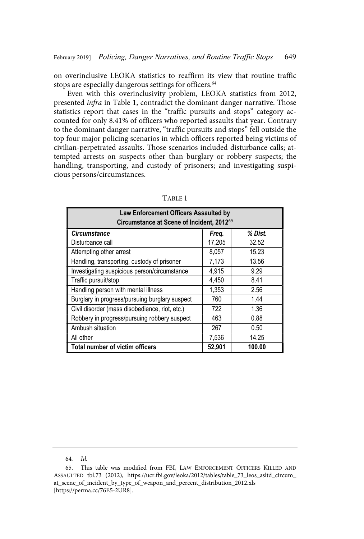on overinclusive LEOKA statistics to reaffirm its view that routine traffic stops are especially dangerous settings for officers.<sup>64</sup>

Even with this overinclusivity problem, LEOKA statistics from 2012, presented infra in Table 1, contradict the dominant danger narrative. Those statistics report that cases in the "traffic pursuits and stops" category accounted for only 8.41% of officers who reported assaults that year. Contrary to the dominant danger narrative, "traffic pursuits and stops" fell outside the top four major policing scenarios in which officers reported being victims of civilian-perpetrated assaults. Those scenarios included disturbance calls; attempted arrests on suspects other than burglary or robbery suspects; the handling, transporting, and custody of prisoners; and investigating suspicious persons/circumstances.

| <b>Law Enforcement Officers Assaulted by</b><br>Circumstance at Scene of Incident, 201265 |        |         |  |  |
|-------------------------------------------------------------------------------------------|--------|---------|--|--|
| <b>Circumstance</b>                                                                       | Freq.  | % Dist. |  |  |
| Disturbance call                                                                          | 17,205 | 32.52   |  |  |
| Attempting other arrest                                                                   | 8,057  | 15.23   |  |  |
| Handling, transporting, custody of prisoner                                               | 7,173  | 13.56   |  |  |
| Investigating suspicious person/circumstance                                              | 4,915  | 9.29    |  |  |
| Traffic pursuit/stop                                                                      | 4,450  | 8.41    |  |  |
| Handling person with mental illness                                                       | 1,353  | 2.56    |  |  |
| Burglary in progress/pursuing burglary suspect                                            | 760    | 1.44    |  |  |
| Civil disorder (mass disobedience, riot, etc.)                                            | 722    | 1.36    |  |  |
| Robbery in progress/pursuing robbery suspect                                              | 463    | 0.88    |  |  |
| Ambush situation                                                                          | 267    | 0.50    |  |  |
| All other                                                                                 | 7,536  | 14.25   |  |  |
| <b>Total number of victim officers</b>                                                    | 52,901 | 100.00  |  |  |

TABLE 1

<sup>64.</sup> Id.

<sup>65.</sup> This table was modified from FBI, LAW ENFORCEMENT OFFICERS KILLED AND ASSAULTED tbl.73 (2012), https://ucr.fbi.gov/leoka/2012/tables/table\_73\_leos\_asltd\_circum\_ at\_scene\_of\_incident\_by\_type\_of\_weapon\_and\_percent\_distribution\_2012.xls [https://perma.cc/76E5-2UR8].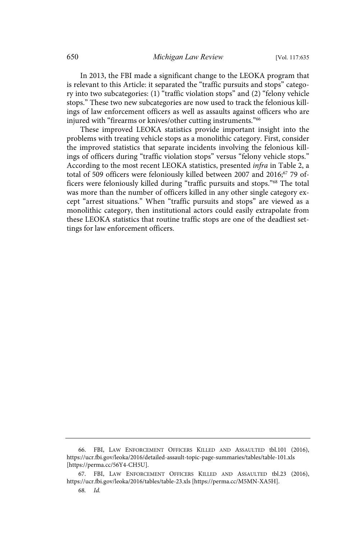In 2013, the FBI made a significant change to the LEOKA program that is relevant to this Article: it separated the "traffic pursuits and stops" category into two subcategories: (1) "traffic violation stops" and (2) "felony vehicle stops." These two new subcategories are now used to track the felonious killings of law enforcement officers as well as assaults against officers who are injured with "firearms or knives/other cutting instruments."<sup>66</sup>

These improved LEOKA statistics provide important insight into the problems with treating vehicle stops as a monolithic category. First, consider the improved statistics that separate incidents involving the felonious killings of officers during "traffic violation stops" versus "felony vehicle stops." According to the most recent LEOKA statistics, presented infra in Table 2, a total of 509 officers were feloniously killed between 2007 and 2016;<sup>67</sup> 79 officers were feloniously killed during "traffic pursuits and stops."<sup>68</sup> The total was more than the number of officers killed in any other single category except "arrest situations." When "traffic pursuits and stops" are viewed as a monolithic category, then institutional actors could easily extrapolate from these LEOKA statistics that routine traffic stops are one of the deadliest settings for law enforcement officers.

<sup>66.</sup> FBI, LAW ENFORCEMENT OFFICERS KILLED AND ASSAULTED tbl.101 (2016), https://ucr.fbi.gov/leoka/2016/detailed-assault-topic-page-summaries/tables/table-101.xls [https://perma.cc/56Y4-CH5U].

<sup>67.</sup> FBI, LAW ENFORCEMENT OFFICERS KILLED AND ASSAULTED tbl.23 (2016), https://ucr.fbi.gov/leoka/2016/tables/table-23.xls [https://perma.cc/M5MN-XA5H].

<sup>68.</sup> Id.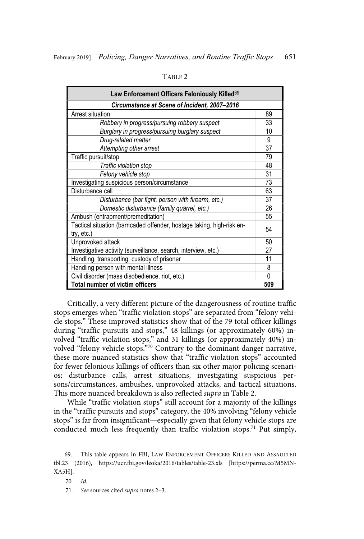| Law Enforcement Officers Feloniously Killed <sup>69</sup>              |    |  |  |
|------------------------------------------------------------------------|----|--|--|
| Circumstance at Scene of Incident, 2007-2016                           |    |  |  |
| Arrest situation                                                       |    |  |  |
| Robbery in progress/pursuing robbery suspect                           |    |  |  |
| Burglary in progress/pursuing burglary suspect                         |    |  |  |
| Drug-related matter                                                    | 9  |  |  |
| Attempting other arrest                                                | 37 |  |  |
| Traffic pursuit/stop                                                   | 79 |  |  |
| Traffic violation stop                                                 |    |  |  |
| Felony vehicle stop                                                    |    |  |  |
| Investigating suspicious person/circumstance                           |    |  |  |
| Disturbance call                                                       |    |  |  |
| Disturbance (bar fight, person with firearm, etc.)                     |    |  |  |
| Domestic disturbance (family quarrel, etc.)                            |    |  |  |
| Ambush (entrapment/premeditation)                                      |    |  |  |
| Tactical situation (barricaded offender, hostage taking, high-risk en- |    |  |  |
| try, etc.)                                                             |    |  |  |
| Unprovoked attack                                                      |    |  |  |
| Investigative activity (surveillance, search, interview, etc.)         |    |  |  |
| Handling, transporting, custody of prisoner                            |    |  |  |
| Handling person with mental illness                                    |    |  |  |
| Civil disorder (mass disobedience, riot, etc.)                         |    |  |  |
| <b>Total number of victim officers</b>                                 |    |  |  |

TABLE 2

Critically, a very different picture of the dangerousness of routine traffic stops emerges when "traffic violation stops" are separated from "felony vehicle stops." These improved statistics show that of the 79 total officer killings during "traffic pursuits and stops," 48 killings (or approximately 60%) involved "traffic violation stops," and 31 killings (or approximately 40%) involved "felony vehicle stops."<sup>70</sup> Contrary to the dominant danger narrative, these more nuanced statistics show that "traffic violation stops" accounted for fewer felonious killings of officers than six other major policing scenarios: disturbance calls, arrest situations, investigating suspicious persons/circumstances, ambushes, unprovoked attacks, and tactical situations. This more nuanced breakdown is also reflected supra in Table 2.

While "traffic violation stops" still account for a majority of the killings in the "traffic pursuits and stops" category, the 40% involving "felony vehicle stops" is far from insignificant—especially given that felony vehicle stops are conducted much less frequently than traffic violation stops.<sup>71</sup> Put simply,

<sup>69.</sup> This table appears in FBI, LAW ENFORCEMENT OFFICERS KILLED AND ASSAULTED tbl.23 (2016), https://ucr.fbi.gov/leoka/2016/tables/table-23.xls [https://perma.cc/M5MN-XA5H].

<sup>70.</sup> Id.

<sup>71.</sup> See sources cited supra notes 2-3.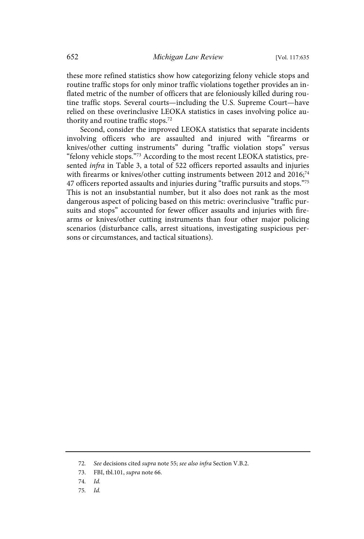these more refined statistics show how categorizing felony vehicle stops and routine traffic stops for only minor traffic violations together provides an inflated metric of the number of officers that are feloniously killed during routine traffic stops. Several courts—including the U.S. Supreme Court—have relied on these overinclusive LEOKA statistics in cases involving police authority and routine traffic stops.<sup>72</sup>

Second, consider the improved LEOKA statistics that separate incidents involving officers who are assaulted and injured with "firearms or knives/other cutting instruments" during "traffic violation stops" versus "felony vehicle stops."<sup>73</sup> According to the most recent LEOKA statistics, presented infra in Table 3, a total of 522 officers reported assaults and injuries with firearms or knives/other cutting instruments between 2012 and  $2016$ ;<sup>74</sup> 47 officers reported assaults and injuries during "traffic pursuits and stops."<sup>75</sup> This is not an insubstantial number, but it also does not rank as the most dangerous aspect of policing based on this metric: overinclusive "traffic pursuits and stops" accounted for fewer officer assaults and injuries with firearms or knives/other cutting instruments than four other major policing scenarios (disturbance calls, arrest situations, investigating suspicious persons or circumstances, and tactical situations).

- 74. Id.
- 75. Id.

<sup>72.</sup> See decisions cited supra note 55; see also infra Section V.B.2.

<sup>73.</sup> FBI, tbl.101, supra note 66.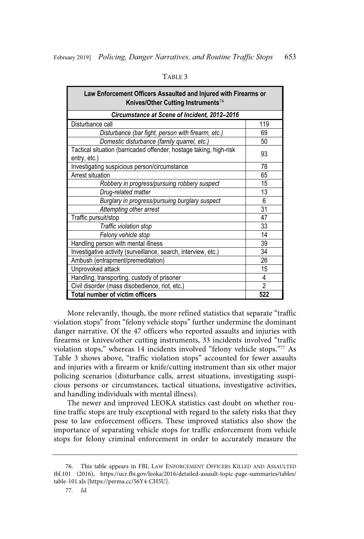| Law Enforcement Officers Assaulted and Injured with Firearms or<br>Knives/Other Cutting Instruments <sup>76</sup> |                |  |  |
|-------------------------------------------------------------------------------------------------------------------|----------------|--|--|
| Circumstance at Scene of Incident, 2012–2016                                                                      |                |  |  |
| Disturbance call                                                                                                  | 119            |  |  |
| Disturbance (bar fight, person with firearm, etc.)                                                                | 69             |  |  |
| Domestic disturbance (family quarrel, etc.)                                                                       | 50             |  |  |
| Tactical situation (barricaded offender, hostage taking, high-risk<br>entry, etc.)                                | 93             |  |  |
| Investigating suspicious person/circumstance                                                                      | 78             |  |  |
| Arrest situation                                                                                                  | 65             |  |  |
| Robbery in progress/pursuing robbery suspect                                                                      | 15             |  |  |
| Drug-related matter                                                                                               | 13             |  |  |
| Burglary in progress/pursuing burglary suspect                                                                    | 6              |  |  |
| Attempting other arrest                                                                                           | 31             |  |  |
| Traffic pursuit/stop                                                                                              | 47             |  |  |
| Traffic violation stop                                                                                            | 33             |  |  |
| Felony vehicle stop                                                                                               | 14             |  |  |
| Handling person with mental illness                                                                               | 39             |  |  |
| Investigative activity (surveillance, search, interview, etc.)                                                    | 34             |  |  |
| Ambush (entrapment/premeditation)                                                                                 | 26             |  |  |
| Unprovoked attack                                                                                                 | 15             |  |  |
| Handling, transporting, custody of prisoner                                                                       | 4              |  |  |
| Civil disorder (mass disobedience, riot, etc.)                                                                    | $\overline{2}$ |  |  |
| Total number of victim officers<br>522                                                                            |                |  |  |

More relevantly, though, the more refined statistics that separate "traffic violation stops" from "felony vehicle stops" further undermine the dominant danger narrative. Of the 47 officers who reported assaults and injuries with firearms or knives/other cutting instruments, 33 incidents involved "traffic violation stops," whereas 14 incidents involved "felony vehicle stops."<sup>77</sup> As Table 3 shows above, "traffic violation stops" accounted for fewer assaults and injuries with a firearm or knife/cutting instrument than six other major policing scenarios (disturbance calls, arrest situations, investigating suspicious persons or circumstances, tactical situations, investigative activities, and handling individuals with mental illness).

The newer and improved LEOKA statistics cast doubt on whether routine traffic stops are truly exceptional with regard to the safety risks that they pose to law enforcement officers. These improved statistics also show the importance of separating vehicle stops for traffic enforcement from vehicle stops for felony criminal enforcement in order to accurately measure the

<sup>76.</sup> This table appears in FBI, LAW ENFORCEMENT OFFICERS KILLED AND ASSAULTED tbl.101 (2016), https://ucr.fbi.gov/leoka/2016/detailed-assault-topic-page-summaries/tables/ table-101.xls [https://perma.cc/56Y4-CH5U].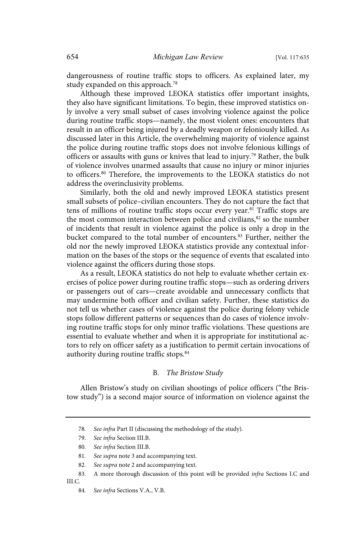dangerousness of routine traffic stops to officers. As explained later, my study expanded on this approach.<sup>78</sup>

Although these improved LEOKA statistics offer important insights, they also have significant limitations. To begin, these improved statistics only involve a very small subset of cases involving violence against the police during routine traffic stops—namely, the most violent ones: encounters that result in an officer being injured by a deadly weapon or feloniously killed. As discussed later in this Article, the overwhelming majority of violence against the police during routine traffic stops does not involve felonious killings of officers or assaults with guns or knives that lead to injury.<sup>79</sup> Rather, the bulk of violence involves unarmed assaults that cause no injury or minor injuries to officers.<sup>80</sup> Therefore, the improvements to the LEOKA statistics do not address the overinclusivity problems.

Similarly, both the old and newly improved LEOKA statistics present small subsets of police–civilian encounters. They do not capture the fact that tens of millions of routine traffic stops occur every year.<sup>81</sup> Traffic stops are the most common interaction between police and civilians,<sup>82</sup> so the number of incidents that result in violence against the police is only a drop in the bucket compared to the total number of encounters.<sup>83</sup> Further, neither the old nor the newly improved LEOKA statistics provide any contextual information on the bases of the stops or the sequence of events that escalated into violence against the officers during those stops.

As a result, LEOKA statistics do not help to evaluate whether certain exercises of police power during routine traffic stops—such as ordering drivers or passengers out of cars—create avoidable and unnecessary conflicts that may undermine both officer and civilian safety. Further, these statistics do not tell us whether cases of violence against the police during felony vehicle stops follow different patterns or sequences than do cases of violence involving routine traffic stops for only minor traffic violations. These questions are essential to evaluate whether and when it is appropriate for institutional actors to rely on officer safety as a justification to permit certain invocations of authority during routine traffic stops.<sup>84</sup>

#### B. The Bristow Study

Allen Bristow's study on civilian shootings of police officers ("the Bristow study") is a second major source of information on violence against the

82. See supra note 2 and accompanying text.

<sup>78.</sup> See infra Part II (discussing the methodology of the study).

<sup>79.</sup> See infra Section III.B.

<sup>80.</sup> See infra Section III.B.

<sup>81.</sup> See supra note 3 and accompanying text.

<sup>83.</sup> A more thorough discussion of this point will be provided infra Sections I.C and III.C.

<sup>84.</sup> See infra Sections V.A., V.B.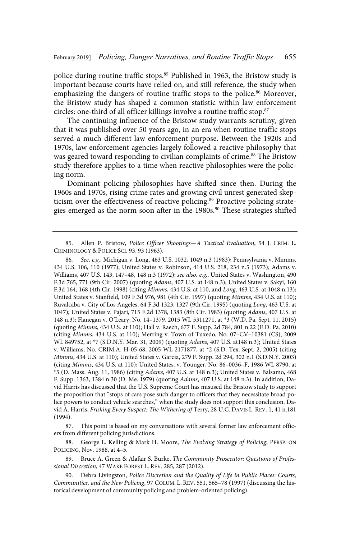police during routine traffic stops.<sup>85</sup> Published in 1963, the Bristow study is important because courts have relied on, and still reference, the study when emphasizing the dangers of routine traffic stops to the police.<sup>86</sup> Moreover, the Bristow study has shaped a common statistic within law enforcement circles: one-third of all officer killings involve a routine traffic stop.<sup>87</sup>

The continuing influence of the Bristow study warrants scrutiny, given that it was published over 50 years ago, in an era when routine traffic stops served a much different law enforcement purpose. Between the 1920s and 1970s, law enforcement agencies largely followed a reactive philosophy that was geared toward responding to civilian complaints of crime.<sup>88</sup> The Bristow study therefore applies to a time when reactive philosophies were the policing norm.

Dominant policing philosophies have shifted since then. During the 1960s and 1970s, rising crime rates and growing civil unrest generated skepticism over the effectiveness of reactive policing.<sup>89</sup> Proactive policing strategies emerged as the norm soon after in the 1980s.<sup>90</sup> These strategies shifted

87. This point is based on my conversations with several former law enforcement officers from different policing jurisdictions.

88. George L. Kelling & Mark H. Moore, The Evolving Strategy of Policing, PERSP. ON POLICING, Nov. 1988, at 4–5.

<sup>85.</sup> Allen P. Bristow, Police Officer Shootings—A Tactical Evaluation, 54 J. CRIM. L. CRIMINOLOGY & POLICE SCI. 93, 93 (1963).

<sup>86.</sup> See, e.g., Michigan v. Long, 463 U.S. 1032, 1049 n.3 (1983); Pennsylvania v. Mimms, 434 U.S. 106, 110 (1977); United States v. Robinson, 414 U.S. 218, 234 n.5 (1973); Adams v. Williams, 407 U.S. 143, 147-48, 148 n.3 (1972); see also, e.g., United States v. Washington, 490 F.3d 765, 771 (9th Cir. 2007) (quoting Adams, 407 U.S. at 148 n.3); United States v. Sakyi, 160 F.3d 164, 168 (4th Cir. 1998) (citing Mimms, 434 U.S. at 110, and Long, 463 U.S. at 1048 n.13); United States v. Stanfield, 109 F.3d 976, 981 (4th Cir. 1997) (quoting Mimms, 434 U.S. at 110); Ruvalcaba v. City of Los Angeles, 64 F.3d 1323, 1327 (9th Cir. 1995) (quoting Long, 463 U.S. at 1047); United States v. Pajari, 715 F.2d 1378, 1383 (8th Cir. 1983) (quoting Adams, 407 U.S. at 148 n.3); Flanegan v. O'Leary, No. 14–1379, 2015 WL 5311271, at \*3 (W.D. Pa. Sept. 11, 2015) (quoting Mimms, 434 U.S. at 110); Hall v. Raech, 677 F. Supp. 2d 784, 801 n.22 (E.D. Pa. 2010) (citing Mimms, 434 U.S. at 110); Merring v. Town of Tuxedo, No. 07–CV–10381 (CS), 2009 WL 849752, at \*7 (S.D.N.Y. Mar. 31, 2009) (quoting Adams, 407 U.S. at148 n.3); United States v. Williams, No. CRIM.A. H-05-68, 2005 WL 2171877, at \*2 (S.D. Tex. Sept. 2, 2005) (citing Mimms, 434 U.S. at 110); United States v. Garcia, 279 F. Supp. 2d 294, 302 n.1 (S.D.N.Y. 2003) (citing Mimms, 434 U.S. at 110); United States. v. Younger, No. 86–0036–F, 1986 WL 8790, at \*5 (D. Mass. Aug. 11, 1986) (citing Adams, 407 U.S. at 148 n.3); United States v. Balsamo, 468 F. Supp. 1363, 1384 n.30 (D. Me. 1979) (quoting Adams, 407 U.S. at 148 n.3). In addition, David Harris has discussed that the U.S. Supreme Court has misused the Bristow study to support the proposition that "stops of cars pose such danger to officers that they necessitate broad police powers to conduct vehicle searches," when the study does not support this conclusion. David A. Harris, Frisking Every Suspect: The Withering of Terry, 28 U.C. DAVIS L. REV. 1, 41 n.181 (1994).

<sup>89.</sup> Bruce A. Green & Alafair S. Burke, The Community Prosecutor: Questions of Professional Discretion, 47 WAKE FOREST L. REV. 285, 287 (2012).

<sup>90.</sup> Debra Livingston, Police Discretion and the Quality of Life in Public Places: Courts, Communities, and the New Policing, 97 COLUM. L. REV. 551, 565–78 (1997) (discussing the historical development of community policing and problem-oriented policing).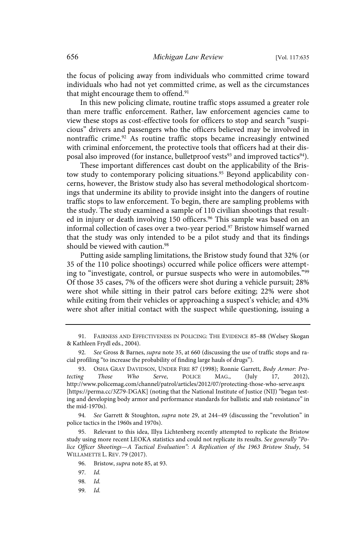the focus of policing away from individuals who committed crime toward individuals who had not yet committed crime, as well as the circumstances that might encourage them to offend.<sup>91</sup>

In this new policing climate, routine traffic stops assumed a greater role than mere traffic enforcement. Rather, law enforcement agencies came to view these stops as cost-effective tools for officers to stop and search "suspicious" drivers and passengers who the officers believed may be involved in nontraffic crime.<sup>92</sup> As routine traffic stops became increasingly entwined with criminal enforcement, the protective tools that officers had at their disposal also improved (for instance, bulletproof vests<sup>93</sup> and improved tactics<sup>94</sup>).

These important differences cast doubt on the applicability of the Bristow study to contemporary policing situations.<sup>95</sup> Beyond applicability concerns, however, the Bristow study also has several methodological shortcomings that undermine its ability to provide insight into the dangers of routine traffic stops to law enforcement. To begin, there are sampling problems with the study. The study examined a sample of 110 civilian shootings that resulted in injury or death involving 150 officers.<sup>96</sup> This sample was based on an informal collection of cases over a two-year period.<sup>97</sup> Bristow himself warned that the study was only intended to be a pilot study and that its findings should be viewed with caution.<sup>98</sup>

Putting aside sampling limitations, the Bristow study found that 32% (or 35 of the 110 police shootings) occurred while police officers were attempting to "investigate, control, or pursue suspects who were in automobiles."<sup>99</sup> Of those 35 cases, 7% of the officers were shot during a vehicle pursuit; 28% were shot while sitting in their patrol cars before exiting; 22% were shot while exiting from their vehicles or approaching a suspect's vehicle; and 43% were shot after initial contact with the suspect while questioning, issuing a

See Garrett & Stoughton, *supra* note 29, at 244–49 (discussing the "revolution" in police tactics in the 1960s and 1970s).

95. Relevant to this idea, Illya Lichtenberg recently attempted to replicate the Bristow study using more recent LEOKA statistics and could not replicate its results. See generally "Police Officer Shootings—A Tactical Evaluation": A Replication of the 1963 Bristow Study, 54 WILLAMETTE L. REV. 79 (2017).

99. Id.

<sup>91.</sup> FAIRNESS AND EFFECTIVENESS IN POLICING: THE EVIDENCE 85–88 (Welsey Skogan & Kathleen Frydl eds., 2004).

<sup>92.</sup> See Gross & Barnes, supra note 35, at 660 (discussing the use of traffic stops and racial profiling "to increase the probability of finding large hauls of drugs").

<sup>93.</sup> OSHA GRAY DAVIDSON, UNDER FIRE 87 (1998); Ronnie Garrett, *Body Armor: Pro-*<br> *ng Those Who Serve*, POLICE MAG., (July 17, 2012), tecting Those Who Serve, POLICE MAG., (July 17, 2012), http://www.policemag.com/channel/patrol/articles/2012/07/protecting-those-who-serve.aspx [https://perma.cc/3Z79-DGAK] (noting that the National Institute of Justice (NIJ) "began testing and developing body armor and performance standards for ballistic and stab resistance" in the mid-1970s).

<sup>96.</sup> Bristow, supra note 85, at 93.

<sup>97.</sup> Id.

<sup>98.</sup> Id.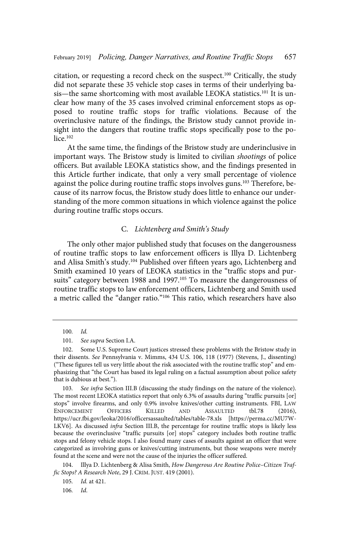citation, or requesting a record check on the suspect.<sup>100</sup> Critically, the study did not separate these 35 vehicle stop cases in terms of their underlying basis—the same shortcoming with most available LEOKA statistics.<sup>101</sup> It is unclear how many of the 35 cases involved criminal enforcement stops as opposed to routine traffic stops for traffic violations. Because of the overinclusive nature of the findings, the Bristow study cannot provide insight into the dangers that routine traffic stops specifically pose to the police. $102$ 

At the same time, the findings of the Bristow study are underinclusive in important ways. The Bristow study is limited to civilian shootings of police officers. But available LEOKA statistics show, and the findings presented in this Article further indicate, that only a very small percentage of violence against the police during routine traffic stops involves guns.<sup>103</sup> Therefore, because of its narrow focus, the Bristow study does little to enhance our understanding of the more common situations in which violence against the police during routine traffic stops occurs.

#### C. Lichtenberg and Smith's Study

The only other major published study that focuses on the dangerousness of routine traffic stops to law enforcement officers is Illya D. Lichtenberg and Alisa Smith's study.<sup>104</sup> Published over fifteen years ago, Lichtenberg and Smith examined 10 years of LEOKA statistics in the "traffic stops and pursuits" category between 1988 and 1997.<sup>105</sup> To measure the dangerousness of routine traffic stops to law enforcement officers, Lichtenberg and Smith used a metric called the "danger ratio."<sup>106</sup> This ratio, which researchers have also

 $100.$   $Id.$ 

<sup>101.</sup> See supra Section I.A.

<sup>102.</sup> Some U.S. Supreme Court justices stressed these problems with the Bristow study in their dissents. See Pennsylvania v. Mimms, 434 U.S. 106, 118 (1977) (Stevens, J., dissenting) ("These figures tell us very little about the risk associated with the routine traffic stop" and emphasizing that "the Court has based its legal ruling on a factual assumption about police safety that is dubious at best.").

<sup>103.</sup> See infra Section III.B (discussing the study findings on the nature of the violence). The most recent LEOKA statistics report that only 6.3% of assaults during "traffic pursuits [or] stops" involve firearms, and only 0.9% involve knives/other cutting instruments. FBI, LAW ENFORCEMENT OFFICERS KILLED AND ASSAULTED tbl.78 (2016), https://ucr.fbi.gov/leoka/2016/officersassaulted/tables/table-78.xls [https://perma.cc/MU7W-LKV6]. As discussed infra Section III.B, the percentage for routine traffic stops is likely less because the overinclusive "traffic pursuits [or] stops" category includes both routine traffic stops and felony vehicle stops. I also found many cases of assaults against an officer that were categorized as involving guns or knives/cutting instruments, but those weapons were merely found at the scene and were not the cause of the injuries the officer suffered.

<sup>104.</sup> Illya D. Lichtenberg & Alisa Smith, How Dangerous Are Routine Police–Citizen Traffic Stops? A Research Note, 29 J. CRIM. JUST. 419 (2001).

<sup>105.</sup> *Id.* at 421.

<sup>106.</sup> Id.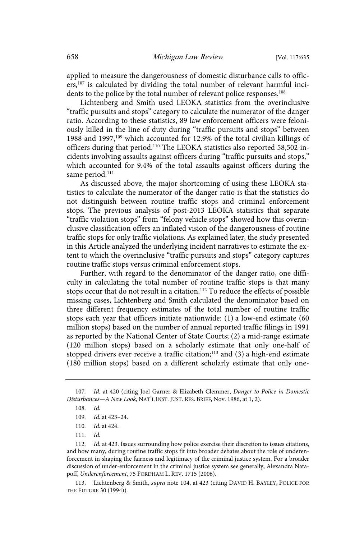applied to measure the dangerousness of domestic disturbance calls to officers,<sup>107</sup> is calculated by dividing the total number of relevant harmful incidents to the police by the total number of relevant police responses.<sup>108</sup>

Lichtenberg and Smith used LEOKA statistics from the overinclusive "traffic pursuits and stops" category to calculate the numerator of the danger ratio. According to these statistics, 89 law enforcement officers were feloniously killed in the line of duty during "traffic pursuits and stops" between 1988 and 1997,<sup>109</sup> which accounted for 12.9% of the total civilian killings of officers during that period.<sup>110</sup> The LEOKA statistics also reported 58,502 incidents involving assaults against officers during "traffic pursuits and stops," which accounted for 9.4% of the total assaults against officers during the same period.<sup>111</sup>

As discussed above, the major shortcoming of using these LEOKA statistics to calculate the numerator of the danger ratio is that the statistics do not distinguish between routine traffic stops and criminal enforcement stops. The previous analysis of post-2013 LEOKA statistics that separate "traffic violation stops" from "felony vehicle stops" showed how this overinclusive classification offers an inflated vision of the dangerousness of routine traffic stops for only traffic violations. As explained later, the study presented in this Article analyzed the underlying incident narratives to estimate the extent to which the overinclusive "traffic pursuits and stops" category captures routine traffic stops versus criminal enforcement stops.

Further, with regard to the denominator of the danger ratio, one difficulty in calculating the total number of routine traffic stops is that many stops occur that do not result in a citation.<sup>112</sup> To reduce the effects of possible missing cases, Lichtenberg and Smith calculated the denominator based on three different frequency estimates of the total number of routine traffic stops each year that officers initiate nationwide: (1) a low-end estimate (60 million stops) based on the number of annual reported traffic filings in 1991 as reported by the National Center of State Courts; (2) a mid-range estimate (120 million stops) based on a scholarly estimate that only one-half of stopped drivers ever receive a traffic citation; $113$  and (3) a high-end estimate (180 million stops) based on a different scholarly estimate that only one-

113. Lichtenberg & Smith, supra note 104, at 423 (citing DAVID H. BAYLEY, POLICE FOR THE FUTURE 30 (1994)).

<sup>107.</sup> Id. at 420 (citing Joel Garner & Elizabeth Clemmer, Danger to Police in Domestic Disturbances—A New Look, NAT'L INST. JUST. RES. BRIEF, Nov. 1986, at 1, 2).

<sup>108.</sup>  $Id.$ 

<sup>109.</sup> Id. at 423-24.

<sup>110.</sup> *Id.* at 424.

<sup>111.</sup>  $Id.$ 

<sup>112.</sup> Id. at 423. Issues surrounding how police exercise their discretion to issues citations, and how many, during routine traffic stops fit into broader debates about the role of underenforcement in shaping the fairness and legitimacy of the criminal justice system. For a broader discussion of under-enforcement in the criminal justice system see generally, Alexandra Natapoff, Underenforcement, 75 FORDHAM L. REV. 1715 (2006).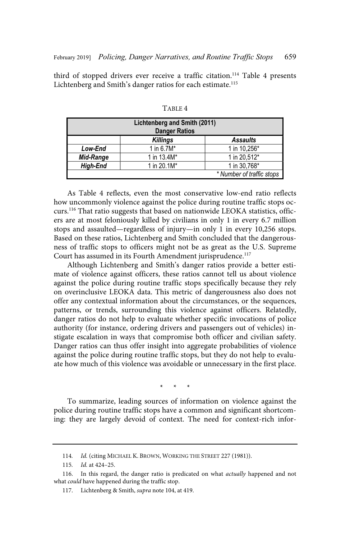third of stopped drivers ever receive a traffic citation.<sup>114</sup> Table 4 presents Lichtenberg and Smith's danger ratios for each estimate.<sup>115</sup>

| Lichtenberg and Smith (2011)<br><b>Danger Ratios</b> |                 |                           |  |  |
|------------------------------------------------------|-----------------|---------------------------|--|--|
|                                                      | <b>Killings</b> | <b>Assaults</b>           |  |  |
| Low-End                                              | 1 in $6.7M*$    | 1 in 10,256*              |  |  |
| Mid-Range                                            | 1 in 13.4M*     | 1 in 20,512*              |  |  |
| <b>High-End</b>                                      | 1 in 20.1M*     | 1 in 30,768*              |  |  |
|                                                      |                 | * Number of traffic stops |  |  |

TABLE 4

As Table 4 reflects, even the most conservative low-end ratio reflects how uncommonly violence against the police during routine traffic stops occurs.<sup>116</sup> That ratio suggests that based on nationwide LEOKA statistics, officers are at most feloniously killed by civilians in only 1 in every 6.7 million stops and assaulted—regardless of injury—in only 1 in every 10,256 stops. Based on these ratios, Lichtenberg and Smith concluded that the dangerousness of traffic stops to officers might not be as great as the U.S. Supreme Court has assumed in its Fourth Amendment jurisprudence.<sup>117</sup>

Although Lichtenberg and Smith's danger ratios provide a better estimate of violence against officers, these ratios cannot tell us about violence against the police during routine traffic stops specifically because they rely on overinclusive LEOKA data. This metric of dangerousness also does not offer any contextual information about the circumstances, or the sequences, patterns, or trends, surrounding this violence against officers. Relatedly, danger ratios do not help to evaluate whether specific invocations of police authority (for instance, ordering drivers and passengers out of vehicles) instigate escalation in ways that compromise both officer and civilian safety. Danger ratios can thus offer insight into aggregate probabilities of violence against the police during routine traffic stops, but they do not help to evaluate how much of this violence was avoidable or unnecessary in the first place.

\* \* \*

To summarize, leading sources of information on violence against the police during routine traffic stops have a common and significant shortcoming: they are largely devoid of context. The need for context-rich infor-

<sup>114.</sup> Id. (citing MICHAEL K. BROWN, WORKING THE STREET 227 (1981)).

<sup>115.</sup>  $Id.$  at 424-25.

<sup>116.</sup> In this regard, the danger ratio is predicated on what *actually* happened and not what could have happened during the traffic stop.

<sup>117.</sup> Lichtenberg & Smith, supra note 104, at 419.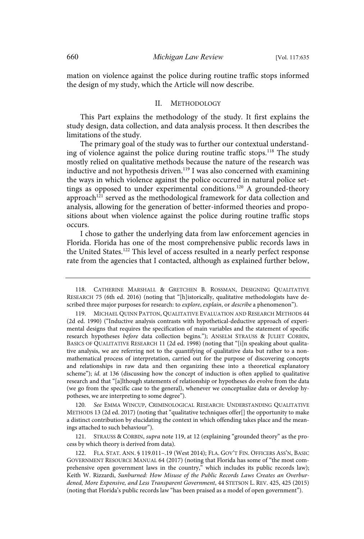mation on violence against the police during routine traffic stops informed the design of my study, which the Article will now describe.

#### II. METHODOLOGY

This Part explains the methodology of the study. It first explains the study design, data collection, and data analysis process. It then describes the limitations of the study.

The primary goal of the study was to further our contextual understanding of violence against the police during routine traffic stops.<sup>118</sup> The study mostly relied on qualitative methods because the nature of the research was inductive and not hypothesis driven.<sup>119</sup> I was also concerned with examining the ways in which violence against the police occurred in natural police settings as opposed to under experimental conditions.<sup>120</sup> A grounded-theory approach<sup>121</sup> served as the methodological framework for data collection and analysis, allowing for the generation of better-informed theories and propositions about when violence against the police during routine traffic stops occurs.

I chose to gather the underlying data from law enforcement agencies in Florida. Florida has one of the most comprehensive public records laws in the United States.<sup>122</sup> This level of access resulted in a nearly perfect response rate from the agencies that I contacted, although as explained further below,

120. See EMMA WINCUP, CRIMINOLOGICAL RESEARCH: UNDERSTANDING QUALITATIVE METHODS 13 (2d ed. 2017) (noting that "qualitative techniques offer[] the opportunity to make a distinct contribution by elucidating the context in which offending takes place and the meanings attached to such behaviour").

121. STRAUSS & CORBIN, supra note 119, at 12 (explaining "grounded theory" as the process by which theory is derived from data).

<sup>118.</sup> CATHERINE MARSHALL & GRETCHEN B. ROSSMAN, DESIGNING QUALITATIVE RESEARCH 75 (6th ed. 2016) (noting that "[h]istorically, qualitative methodologists have described three major purposes for research: to explore, explain, or describe a phenomenon").

<sup>119.</sup> MICHAEL QUINN PATTON, QUALITATIVE EVALUATION AND RESEARCH METHODS 44 (2d ed. 1990) ("Inductive analysis contrasts with hypothetical-deductive approach of experimental designs that requires the specification of main variables and the statement of specific research hypotheses before data collection begins."); ANSELM STRAUSS & JULIET CORBIN, BASICS OF QUALITATIVE RESEARCH 11 (2d ed. 1998) (noting that "[i]n speaking about qualitative analysis, we are referring not to the quantifying of qualitative data but rather to a nonmathematical process of interpretation, carried out for the purpose of discovering concepts and relationships in raw data and then organizing these into a theoretical explanatory scheme"); id. at 136 (discussing how the concept of induction is often applied to qualitative research and that "[a]lthough statements of relationship or hypotheses do evolve from the data (we go from the specific case to the general), whenever we conceptualize data or develop hypotheses, we are interpreting to some degree").

<sup>122.</sup> FLA. STAT. ANN. § 119.011–.19 (West 2014); FLA. GOV'T FIN. OFFICERS ASS'N, BASIC GOVERNMENT RESOURCE MANUAL 64 (2017) (noting that Florida has some of "the most comprehensive open government laws in the country," which includes its public records law); Keith W. Rizzardi, Sunburned: How Misuse of the Public Records Laws Creates an Overburdened, More Expensive, and Less Transparent Government, 44 STETSON L. REV. 425, 425 (2015) (noting that Florida's public records law "has been praised as a model of open government").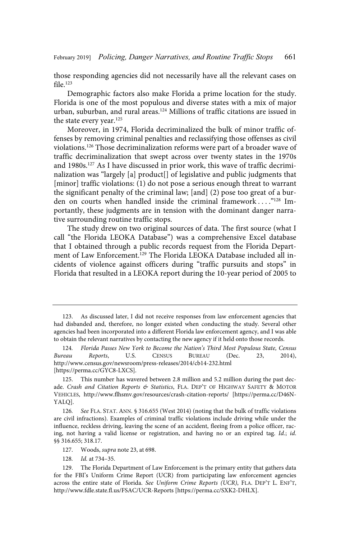those responding agencies did not necessarily have all the relevant cases on file $123$ 

Demographic factors also make Florida a prime location for the study. Florida is one of the most populous and diverse states with a mix of major urban, suburban, and rural areas.<sup>124</sup> Millions of traffic citations are issued in the state every year.<sup>125</sup>

Moreover, in 1974, Florida decriminalized the bulk of minor traffic offenses by removing criminal penalties and reclassifying those offenses as civil violations.<sup>126</sup> Those decriminalization reforms were part of a broader wave of traffic decriminalization that swept across over twenty states in the 1970s and 1980s.<sup>127</sup> As I have discussed in prior work, this wave of traffic decriminalization was "largely [a] product[] of legislative and public judgments that [minor] traffic violations: (1) do not pose a serious enough threat to warrant the significant penalty of the criminal law; [and] (2) pose too great of a burden on courts when handled inside the criminal framework . . . ."<sup>128</sup> Importantly, these judgments are in tension with the dominant danger narrative surrounding routine traffic stops.

The study drew on two original sources of data. The first source (what I call "the Florida LEOKA Database") was a comprehensive Excel database that I obtained through a public records request from the Florida Department of Law Enforcement.<sup>129</sup> The Florida LEOKA Database included all incidents of violence against officers during "traffic pursuits and stops" in Florida that resulted in a LEOKA report during the 10-year period of 2005 to

<sup>123.</sup> As discussed later, I did not receive responses from law enforcement agencies that had disbanded and, therefore, no longer existed when conducting the study. Several other agencies had been incorporated into a different Florida law enforcement agency, and I was able to obtain the relevant narratives by contacting the new agency if it held onto those records.

<sup>124.</sup> Florida Passes New York to Become the Nation's Third Most Populous State, Census Bureau Reports, U.S. CENSUS BUREAU (Dec. 23, 2014), http://www.census.gov/newsroom/press-releases/2014/cb14-232.html [https://perma.cc/GYC8-LXCS].

<sup>125.</sup> This number has wavered between 2.8 million and 5.2 million during the past decade. Crash and Citation Reports & Statistics, FLA. DEP'T OF HIGHWAY SAFETY & MOTOR VEHICLES, http://www.flhsmv.gov/resources/crash-citation-reports/ [https://perma.cc/D46N-YALQ].

<sup>126.</sup> See FLA. STAT. ANN. § 316.655 (West 2014) (noting that the bulk of traffic violations are civil infractions). Examples of criminal traffic violations include driving while under the influence, reckless driving, leaving the scene of an accident, fleeing from a police officer, racing, not having a valid license or registration, and having no or an expired tag. Id.; id. §§ 316.655; 318.17.

<sup>127.</sup> Woods, supra note 23, at 698.

<sup>128.</sup> *Id.* at 734-35.

<sup>129.</sup> The Florida Department of Law Enforcement is the primary entity that gathers data for the FBI's Uniform Crime Report (UCR) from participating law enforcement agencies across the entire state of Florida. See Uniform Crime Reports (UCR), FLA. DEP'T L. ENF'T, http://www.fdle.state.fl.us/FSAC/UCR-Reports [https://perma.cc/SXK2-DHLX].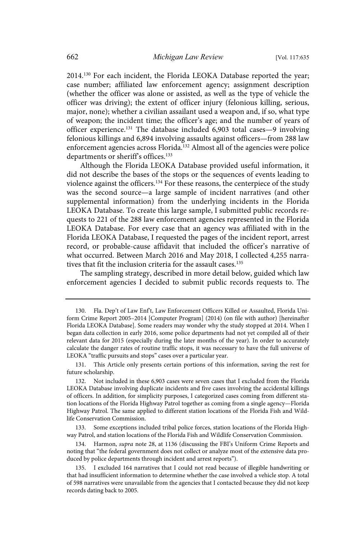2014.<sup>130</sup> For each incident, the Florida LEOKA Database reported the year; case number; affiliated law enforcement agency; assignment description (whether the officer was alone or assisted, as well as the type of vehicle the officer was driving); the extent of officer injury (felonious killing, serious, major, none); whether a civilian assailant used a weapon and, if so, what type of weapon; the incident time; the officer's age; and the number of years of officer experience.<sup>131</sup> The database included  $6,903$  total cases - 9 involving felonious killings and 6,894 involving assaults against officers—from 288 law enforcement agencies across Florida.<sup>132</sup> Almost all of the agencies were police departments or sheriff's offices.<sup>133</sup>

Although the Florida LEOKA Database provided useful information, it did not describe the bases of the stops or the sequences of events leading to violence against the officers.<sup>134</sup> For these reasons, the centerpiece of the study was the second source—a large sample of incident narratives (and other supplemental information) from the underlying incidents in the Florida LEOKA Database. To create this large sample, I submitted public records requests to 221 of the 288 law enforcement agencies represented in the Florida LEOKA Database. For every case that an agency was affiliated with in the Florida LEOKA Database, I requested the pages of the incident report, arrest record, or probable-cause affidavit that included the officer's narrative of what occurred. Between March 2016 and May 2018, I collected 4,255 narratives that fit the inclusion criteria for the assault cases.<sup>135</sup>

The sampling strategy, described in more detail below, guided which law enforcement agencies I decided to submit public records requests to. The

<sup>130.</sup> Fla. Dep't of Law Enf't, Law Enforcement Officers Killed or Assaulted, Florida Uniform Crime Report 2005–2014 [Computer Program] (2014) (on file with author) [hereinafter Florida LEOKA Database]. Some readers may wonder why the study stopped at 2014. When I began data collection in early 2016, some police departments had not yet compiled all of their relevant data for 2015 (especially during the later months of the year). In order to accurately calculate the danger rates of routine traffic stops, it was necessary to have the full universe of LEOKA "traffic pursuits and stops" cases over a particular year.

<sup>131.</sup> This Article only presents certain portions of this information, saving the rest for future scholarship.

<sup>132.</sup> Not included in these 6,903 cases were seven cases that I excluded from the Florida LEOKA Database involving duplicate incidents and five cases involving the accidental killings of officers. In addition, for simplicity purposes, I categorized cases coming from different station locations of the Florida Highway Patrol together as coming from a single agency—Florida Highway Patrol. The same applied to different station locations of the Florida Fish and Wildlife Conservation Commission.

<sup>133.</sup> Some exceptions included tribal police forces, station locations of the Florida Highway Patrol, and station locations of the Florida Fish and Wildlife Conservation Commission.

<sup>134.</sup> Harmon, supra note 28, at 1136 (discussing the FBI's Uniform Crime Reports and noting that "the federal government does not collect or analyze most of the extensive data produced by police departments through incident and arrest reports").

<sup>135.</sup> I excluded 164 narratives that I could not read because of illegible handwriting or that had insufficient information to determine whether the case involved a vehicle stop. A total of 598 narratives were unavailable from the agencies that I contacted because they did not keep records dating back to 2005.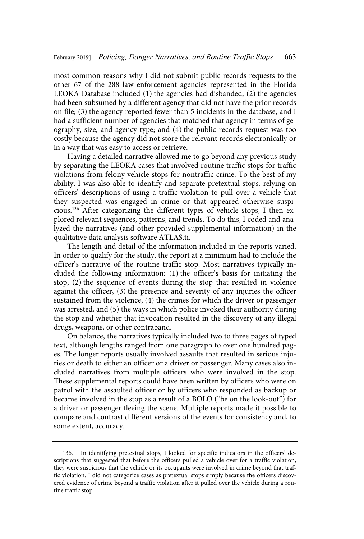most common reasons why I did not submit public records requests to the other 67 of the 288 law enforcement agencies represented in the Florida LEOKA Database included (1) the agencies had disbanded, (2) the agencies had been subsumed by a different agency that did not have the prior records on file; (3) the agency reported fewer than 5 incidents in the database, and I had a sufficient number of agencies that matched that agency in terms of geography, size, and agency type; and (4) the public records request was too costly because the agency did not store the relevant records electronically or in a way that was easy to access or retrieve.

Having a detailed narrative allowed me to go beyond any previous study by separating the LEOKA cases that involved routine traffic stops for traffic violations from felony vehicle stops for nontraffic crime. To the best of my ability, I was also able to identify and separate pretextual stops, relying on officers' descriptions of using a traffic violation to pull over a vehicle that they suspected was engaged in crime or that appeared otherwise suspicious.<sup>136</sup> After categorizing the different types of vehicle stops, I then explored relevant sequences, patterns, and trends. To do this, I coded and analyzed the narratives (and other provided supplemental information) in the qualitative data analysis software ATLAS.ti.

The length and detail of the information included in the reports varied. In order to qualify for the study, the report at a minimum had to include the officer's narrative of the routine traffic stop. Most narratives typically included the following information: (1) the officer's basis for initiating the stop, (2) the sequence of events during the stop that resulted in violence against the officer, (3) the presence and severity of any injuries the officer sustained from the violence, (4) the crimes for which the driver or passenger was arrested, and (5) the ways in which police invoked their authority during the stop and whether that invocation resulted in the discovery of any illegal drugs, weapons, or other contraband.

On balance, the narratives typically included two to three pages of typed text, although lengths ranged from one paragraph to over one hundred pages. The longer reports usually involved assaults that resulted in serious injuries or death to either an officer or a driver or passenger. Many cases also included narratives from multiple officers who were involved in the stop. These supplemental reports could have been written by officers who were on patrol with the assaulted officer or by officers who responded as backup or became involved in the stop as a result of a BOLO ("be on the look-out") for a driver or passenger fleeing the scene. Multiple reports made it possible to compare and contrast different versions of the events for consistency and, to some extent, accuracy.

<sup>136.</sup> In identifying pretextual stops, I looked for specific indicators in the officers' descriptions that suggested that before the officers pulled a vehicle over for a traffic violation, they were suspicious that the vehicle or its occupants were involved in crime beyond that traffic violation. I did not categorize cases as pretextual stops simply because the officers discovered evidence of crime beyond a traffic violation after it pulled over the vehicle during a routine traffic stop.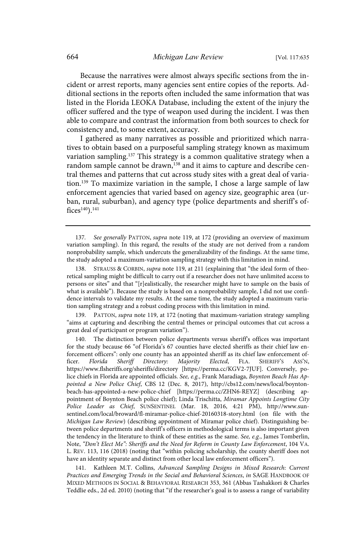Because the narratives were almost always specific sections from the incident or arrest reports, many agencies sent entire copies of the reports. Additional sections in the reports often included the same information that was listed in the Florida LEOKA Database, including the extent of the injury the officer suffered and the type of weapon used during the incident. I was then able to compare and contrast the information from both sources to check for consistency and, to some extent, accuracy.

I gathered as many narratives as possible and prioritized which narratives to obtain based on a purposeful sampling strategy known as maximum variation sampling.<sup>137</sup> This strategy is a common qualitative strategy when a random sample cannot be drawn,<sup>138</sup> and it aims to capture and describe central themes and patterns that cut across study sites with a great deal of variation.<sup>139</sup> To maximize variation in the sample, I chose a large sample of law enforcement agencies that varied based on agency size, geographic area (urban, rural, suburban), and agency type (police departments and sheriff's of $fices^{140}$ ).<sup>141</sup>

137. See generally PATTON, supra note 119, at 172 (providing an overview of maximum variation sampling). In this regard, the results of the study are not derived from a random nonprobability sample, which undercuts the generalizability of the findings. At the same time, the study adopted a maximum-variation sampling strategy with this limitation in mind.

138. STRAUSS & CORBIN, supra note 119, at 211 (explaining that "the ideal form of theoretical sampling might be difficult to carry out if a researcher does not have unlimited access to persons or sites" and that "[r]ealistically, the researcher might have to sample on the basis of what is available"). Because the study is based on a nonprobability sample, I did not use confidence intervals to validate my results. At the same time, the study adopted a maximum variation sampling strategy and a robust coding process with this limitation in mind.

139. PATTON, supra note 119, at 172 (noting that maximum-variation strategy sampling "aims at capturing and describing the central themes or principal outcomes that cut across a great deal of participant or program variation").

The distinction between police departments versus sheriff's offices was important for the study because 66 "of Florida's 67 counties have elected sheriffs as their chief law enforcement officers": only one county has an appointed sheriff as its chief law enforcement officer. Florida Sheriff Directory: Majority Elected, FLA. SHERIFF'S ASS'N, https://www.flsheriffs.org/sheriffs/directory [https://perma.cc/KGV2-7JUF]. Conversely, police chiefs in Florida are appointed officials. See, e.g., Frank Maradiaga, Boynton Beach Has Appointed a New Police Chief, CBS 12 (Dec. 8, 2017), http://cbs12.com/news/local/boyntonbeach-has-appointed-a-new-police-chief [https://perma.cc/ZHN6-REYZ] (describing appointment of Boynton Beach police chief); Linda Trischitta, Miramar Appoints Longtime City Police Leader as Chief, SUNSENTINEL (Mar. 18, 2016, 4:21 PM), http://www.sunsentinel.com/local/broward/fl-miramar-police-chief-20160318-story.html (on file with the Michigan Law Review) (describing appointment of Miramar police chief). Distinguishing between police departments and sheriff's officers in methodological terms is also important given the tendency in the literature to think of these entities as the same. See, e.g., James Tomberlin, Note, "Don't Elect Me": Sheriffs and the Need for Reform in County Law Enforcement, 104 VA. L. REV. 113, 116 (2018) (noting that "within policing scholarship, the county sheriff does not have an identity separate and distinct from other local law enforcement officers").

141. Kathleen M.T. Collins, Advanced Sampling Designs in Mixed Research: Current Practices and Emerging Trends in the Social and Behavioral Sciences, in SAGE HANDBOOK OF MIXED METHODS IN SOCIAL & BEHAVIORAL RESEARCH 353, 361 (Abbas Tashakkori & Charles Teddlie eds., 2d ed. 2010) (noting that "if the researcher's goal is to assess a range of variability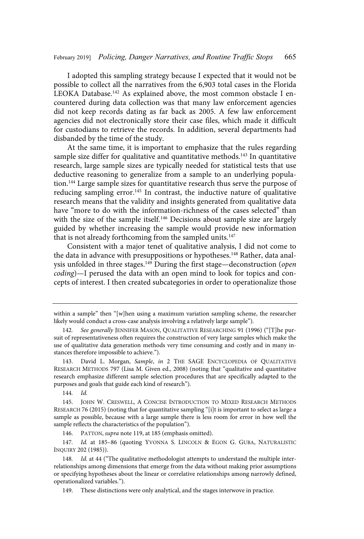I adopted this sampling strategy because I expected that it would not be possible to collect all the narratives from the 6,903 total cases in the Florida LEOKA Database.<sup>142</sup> As explained above, the most common obstacle I encountered during data collection was that many law enforcement agencies did not keep records dating as far back as 2005. A few law enforcement agencies did not electronically store their case files, which made it difficult for custodians to retrieve the records. In addition, several departments had disbanded by the time of the study.

At the same time, it is important to emphasize that the rules regarding sample size differ for qualitative and quantitative methods.<sup>143</sup> In quantitative research, large sample sizes are typically needed for statistical tests that use deductive reasoning to generalize from a sample to an underlying population.<sup>144</sup> Large sample sizes for quantitative research thus serve the purpose of reducing sampling error.<sup>145</sup> In contrast, the inductive nature of qualitative research means that the validity and insights generated from qualitative data have "more to do with the information-richness of the cases selected" than with the size of the sample itself.<sup>146</sup> Decisions about sample size are largely guided by whether increasing the sample would provide new information that is not already forthcoming from the sampled units.<sup>147</sup>

Consistent with a major tenet of qualitative analysis, I did not come to the data in advance with presuppositions or hypotheses.<sup>148</sup> Rather, data analysis unfolded in three stages.<sup>149</sup> During the first stage—deconstruction (open coding)—I perused the data with an open mind to look for topics and concepts of interest. I then created subcategories in order to operationalize those

147. Id. at 185-86 (quoting YVONNA S. LINCOLN & EGON G. GUBA, NATURALISTIC INQUIRY 202 (1985)).

within a sample" then "[w]hen using a maximum variation sampling scheme, the researcher likely would conduct a cross-case analysis involving a relatively large sample").

See generally JENNIFER MASON, QUALITATIVE RESEARCHING 91 (1996) ("[T]he pursuit of representativeness often requires the construction of very large samples which make the use of qualitative data generation methods very time consuming and costly and in many instances therefore impossible to achieve.").

<sup>143.</sup> David L. Morgan, Sample, in 2 THE SAGE ENCYCLOPEDIA OF QUALITATIVE RESEARCH METHODS 797 (Lisa M. Given ed., 2008) (noting that "qualitative and quantitative research emphasize different sample selection procedures that are specifically adapted to the purposes and goals that guide each kind of research").

<sup>144.</sup> Id.

<sup>145.</sup> JOHN W. CRESWELL, A CONCISE INTRODUCTION TO MIXED RESEARCH METHODS RESEARCH 76 (2015) (noting that for quantitative sampling "[i]t is important to select as large a sample as possible, because with a large sample there is less room for error in how well the sample reflects the characteristics of the population").

<sup>146.</sup> PATTON, supra note 119, at 185 (emphasis omitted).

<sup>148.</sup> Id. at 44 ("The qualitative methodologist attempts to understand the multiple interrelationships among dimensions that emerge from the data without making prior assumptions or specifying hypotheses about the linear or correlative relationships among narrowly defined, operationalized variables.").

<sup>149.</sup> These distinctions were only analytical, and the stages interwove in practice.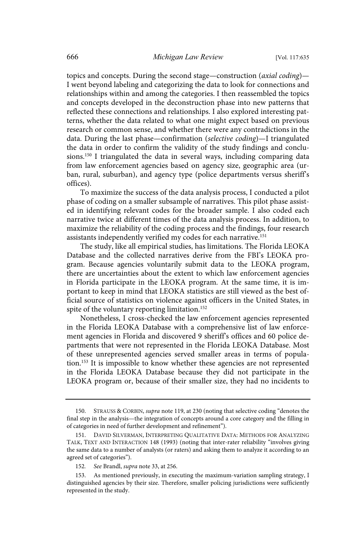topics and concepts. During the second stage—construction (axial coding)— I went beyond labeling and categorizing the data to look for connections and relationships within and among the categories. I then reassembled the topics and concepts developed in the deconstruction phase into new patterns that reflected these connections and relationships. I also explored interesting patterns, whether the data related to what one might expect based on previous research or common sense, and whether there were any contradictions in the data. During the last phase—confirmation (selective coding)—I triangulated the data in order to confirm the validity of the study findings and conclusions.<sup>150</sup> I triangulated the data in several ways, including comparing data from law enforcement agencies based on agency size, geographic area (urban, rural, suburban), and agency type (police departments versus sheriff's offices).

To maximize the success of the data analysis process, I conducted a pilot phase of coding on a smaller subsample of narratives. This pilot phase assisted in identifying relevant codes for the broader sample. I also coded each narrative twice at different times of the data analysis process. In addition, to maximize the reliability of the coding process and the findings, four research assistants independently verified my codes for each narrative.<sup>151</sup>

The study, like all empirical studies, has limitations. The Florida LEOKA Database and the collected narratives derive from the FBI's LEOKA program. Because agencies voluntarily submit data to the LEOKA program, there are uncertainties about the extent to which law enforcement agencies in Florida participate in the LEOKA program. At the same time, it is important to keep in mind that LEOKA statistics are still viewed as the best official source of statistics on violence against officers in the United States, in spite of the voluntary reporting limitation.<sup>152</sup>

Nonetheless, I cross-checked the law enforcement agencies represented in the Florida LEOKA Database with a comprehensive list of law enforcement agencies in Florida and discovered 9 sheriff's offices and 60 police departments that were not represented in the Florida LEOKA Database. Most of these unrepresented agencies served smaller areas in terms of population.<sup>153</sup> It is impossible to know whether these agencies are not represented in the Florida LEOKA Database because they did not participate in the LEOKA program or, because of their smaller size, they had no incidents to

<sup>150.</sup> STRAUSS & CORBIN, supra note 119, at 230 (noting that selective coding "denotes the final step in the analysis—the integration of concepts around a core category and the filling in of categories in need of further development and refinement").

<sup>151.</sup> DAVID SILVERMAN, INTERPRETING QUALITATIVE DATA: METHODS FOR ANALYZING TALK, TEXT AND INTERACTION 148 (1993) (noting that inter-rater reliability "involves giving the same data to a number of analysts (or raters) and asking them to analyze it according to an agreed set of categories").

<sup>152.</sup> See Brandl, supra note 33, at 256.

<sup>153.</sup> As mentioned previously, in executing the maximum-variation sampling strategy, I distinguished agencies by their size. Therefore, smaller policing jurisdictions were sufficiently represented in the study.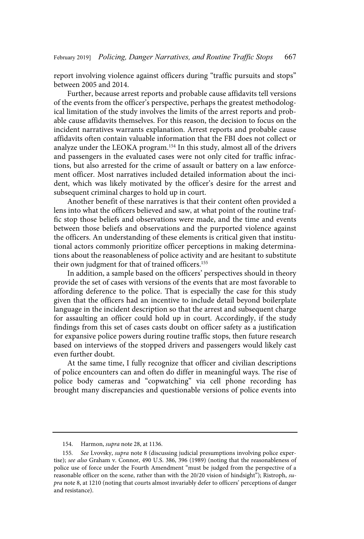report involving violence against officers during "traffic pursuits and stops" between 2005 and 2014.

Further, because arrest reports and probable cause affidavits tell versions of the events from the officer's perspective, perhaps the greatest methodological limitation of the study involves the limits of the arrest reports and probable cause affidavits themselves. For this reason, the decision to focus on the incident narratives warrants explanation. Arrest reports and probable cause affidavits often contain valuable information that the FBI does not collect or analyze under the LEOKA program.<sup>154</sup> In this study, almost all of the drivers and passengers in the evaluated cases were not only cited for traffic infractions, but also arrested for the crime of assault or battery on a law enforcement officer. Most narratives included detailed information about the incident, which was likely motivated by the officer's desire for the arrest and subsequent criminal charges to hold up in court.

Another benefit of these narratives is that their content often provided a lens into what the officers believed and saw, at what point of the routine traffic stop those beliefs and observations were made, and the time and events between those beliefs and observations and the purported violence against the officers. An understanding of these elements is critical given that institutional actors commonly prioritize officer perceptions in making determinations about the reasonableness of police activity and are hesitant to substitute their own judgment for that of trained officers.<sup>155</sup>

In addition, a sample based on the officers' perspectives should in theory provide the set of cases with versions of the events that are most favorable to affording deference to the police. That is especially the case for this study given that the officers had an incentive to include detail beyond boilerplate language in the incident description so that the arrest and subsequent charge for assaulting an officer could hold up in court. Accordingly, if the study findings from this set of cases casts doubt on officer safety as a justification for expansive police powers during routine traffic stops, then future research based on interviews of the stopped drivers and passengers would likely cast even further doubt.

At the same time, I fully recognize that officer and civilian descriptions of police encounters can and often do differ in meaningful ways. The rise of police body cameras and "copwatching" via cell phone recording has brought many discrepancies and questionable versions of police events into

<sup>154.</sup> Harmon, supra note 28, at 1136.

<sup>155.</sup> See Lvovsky, supra note 8 (discussing judicial presumptions involving police expertise); see also Graham v. Connor, 490 U.S. 386, 396 (1989) (noting that the reasonableness of police use of force under the Fourth Amendment "must be judged from the perspective of a reasonable officer on the scene, rather than with the 20/20 vision of hindsight"); Ristroph, supra note 8, at 1210 (noting that courts almost invariably defer to officers' perceptions of danger and resistance).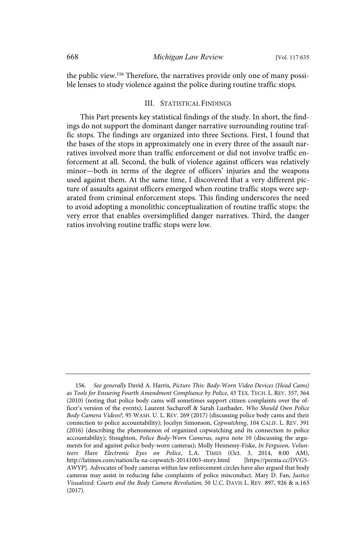the public view.<sup>156</sup> Therefore, the narratives provide only one of many possible lenses to study violence against the police during routine traffic stops.

#### III. STATISTICAL FINDINGS

This Part presents key statistical findings of the study. In short, the findings do not support the dominant danger narrative surrounding routine traffic stops. The findings are organized into three Sections. First, I found that the bases of the stops in approximately one in every three of the assault narratives involved more than traffic enforcement or did not involve traffic enforcement at all. Second, the bulk of violence against officers was relatively minor—both in terms of the degree of officers' injuries and the weapons used against them. At the same time, I discovered that a very different picture of assaults against officers emerged when routine traffic stops were separated from criminal enforcement stops. This finding underscores the need to avoid adopting a monolithic conceptualization of routine traffic stops: the very error that enables oversimplified danger narratives. Third, the danger ratios involving routine traffic stops were low.

<sup>156.</sup> See generally David A. Harris, Picture This: Body-Worn Video Devices (Head Cams) as Tools for Ensuring Fourth Amendment Compliance by Police, 43 TEX. TECH. L. REV. 357, 364 (2010) (noting that police body cams will sometimes support citizen complaints over the officer's version of the events); Laurent Sacharoff & Sarah Lustbader, Who Should Own Police Body Camera Videos?, 95 WASH. U. L. REV. 269 (2017) (discussing police body cams and their connection to police accountability); Jocelyn Simonson, Copwatching, 104 CALIF. L. REV. 391 (2016) (describing the phenomenon of organized copwatching and its connection to police accountability); Stoughton, *Police Body-Worn Cameras, supra* note 10 (discussing the arguments for and against police body-worn cameras); Molly Hennessy-Fiske, In Ferguson, Volunteers Have Electronic Eyes on Police, L.A. TIMES (Oct. 3, 2014, 8:00 AM),<br>http://latimes.com/nation/la-na-copwatch-20141003-story.html [https://perma.cc/DVG5http://latimes.com/nation/la-na-copwatch-20141003-story.html AWYP]. Advocates of body cameras within law enforcement circles have also argued that body cameras may assist in reducing false complaints of police misconduct. Mary D. Fan, Justice Visualized: Courts and the Body Camera Revolution, 50 U.C. DAVIS L. REV. 897, 926 & n.163 (2017).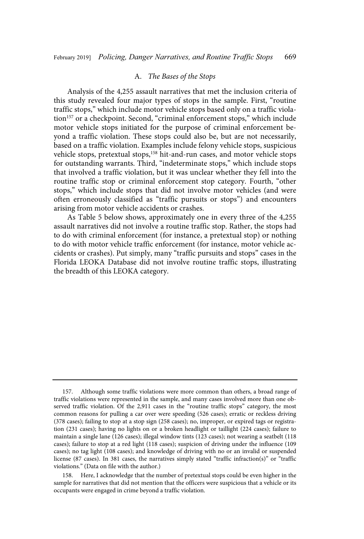#### A. The Bases of the Stops

Analysis of the 4,255 assault narratives that met the inclusion criteria of this study revealed four major types of stops in the sample. First, "routine traffic stops," which include motor vehicle stops based only on a traffic violation<sup>157</sup> or a checkpoint. Second, "criminal enforcement stops," which include motor vehicle stops initiated for the purpose of criminal enforcement beyond a traffic violation. These stops could also be, but are not necessarily, based on a traffic violation. Examples include felony vehicle stops, suspicious vehicle stops, pretextual stops,<sup>158</sup> hit-and-run cases, and motor vehicle stops for outstanding warrants. Third, "indeterminate stops," which include stops that involved a traffic violation, but it was unclear whether they fell into the routine traffic stop or criminal enforcement stop category. Fourth, "other stops," which include stops that did not involve motor vehicles (and were often erroneously classified as "traffic pursuits or stops") and encounters arising from motor vehicle accidents or crashes.

As Table 5 below shows, approximately one in every three of the 4,255 assault narratives did not involve a routine traffic stop. Rather, the stops had to do with criminal enforcement (for instance, a pretextual stop) or nothing to do with motor vehicle traffic enforcement (for instance, motor vehicle accidents or crashes). Put simply, many "traffic pursuits and stops" cases in the Florida LEOKA Database did not involve routine traffic stops, illustrating the breadth of this LEOKA category.

<sup>157.</sup> Although some traffic violations were more common than others, a broad range of traffic violations were represented in the sample, and many cases involved more than one observed traffic violation. Of the 2,911 cases in the "routine traffic stops" category, the most common reasons for pulling a car over were speeding (526 cases); erratic or reckless driving (378 cases); failing to stop at a stop sign (258 cases); no, improper, or expired tags or registration (231 cases); having no lights on or a broken headlight or taillight (224 cases); failure to maintain a single lane (126 cases); illegal window tints (123 cases); not wearing a seatbelt (118 cases); failure to stop at a red light (118 cases); suspicion of driving under the influence (109 cases); no tag light (108 cases); and knowledge of driving with no or an invalid or suspended license (87 cases). In 381 cases, the narratives simply stated "traffic infraction(s)" or "traffic violations." (Data on file with the author.)

<sup>158.</sup> Here, I acknowledge that the number of pretextual stops could be even higher in the sample for narratives that did not mention that the officers were suspicious that a vehicle or its occupants were engaged in crime beyond a traffic violation.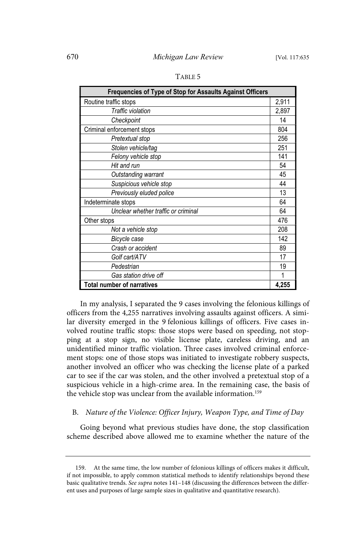| Frequencies of Type of Stop for Assaults Against Officers |       |  |  |  |
|-----------------------------------------------------------|-------|--|--|--|
| Routine traffic stops                                     | 2,911 |  |  |  |
| Traffic violation                                         | 2,897 |  |  |  |
| Checkpoint                                                | 14    |  |  |  |
| Criminal enforcement stops                                | 804   |  |  |  |
| Pretextual stop                                           | 256   |  |  |  |
| Stolen vehicle/tag                                        | 251   |  |  |  |
| Felony vehicle stop                                       | 141   |  |  |  |
| Hit and run                                               | 54    |  |  |  |
| Outstanding warrant                                       | 45    |  |  |  |
| Suspicious vehicle stop                                   | 44    |  |  |  |
| Previously eluded police                                  | 13    |  |  |  |
| Indeterminate stops                                       | 64    |  |  |  |
| Unclear whether traffic or criminal                       | 64    |  |  |  |
| Other stops                                               | 476   |  |  |  |
| Not a vehicle stop                                        | 208   |  |  |  |
| Bicycle case                                              | 142   |  |  |  |
| Crash or accident                                         | 89    |  |  |  |
| Golf cart/ATV                                             | 17    |  |  |  |
| Pedestrian                                                | 19    |  |  |  |
| Gas station drive off                                     | 1     |  |  |  |
| <b>Total number of narratives</b>                         | 4,255 |  |  |  |

TABLE 5

In my analysis, I separated the 9 cases involving the felonious killings of officers from the 4,255 narratives involving assaults against officers. A similar diversity emerged in the 9 felonious killings of officers. Five cases involved routine traffic stops: those stops were based on speeding, not stopping at a stop sign, no visible license plate, careless driving, and an unidentified minor traffic violation. Three cases involved criminal enforcement stops: one of those stops was initiated to investigate robbery suspects, another involved an officer who was checking the license plate of a parked car to see if the car was stolen, and the other involved a pretextual stop of a suspicious vehicle in a high-crime area. In the remaining case, the basis of the vehicle stop was unclear from the available information.<sup>159</sup>

# B. Nature of the Violence: Officer Injury, Weapon Type, and Time of Day

Going beyond what previous studies have done, the stop classification scheme described above allowed me to examine whether the nature of the

<sup>159.</sup> At the same time, the low number of felonious killings of officers makes it difficult, if not impossible, to apply common statistical methods to identify relationships beyond these basic qualitative trends. See supra notes 141–148 (discussing the differences between the different uses and purposes of large sample sizes in qualitative and quantitative research).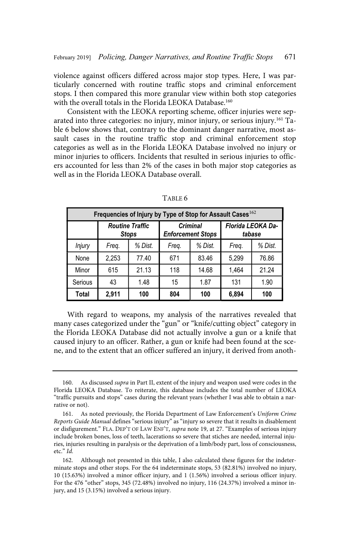violence against officers differed across major stop types. Here, I was particularly concerned with routine traffic stops and criminal enforcement stops. I then compared this more granular view within both stop categories with the overall totals in the Florida LEOKA Database.<sup>160</sup>

Consistent with the LEOKA reporting scheme, officer injuries were separated into three categories: no injury, minor injury, or serious injury.<sup>161</sup> Table 6 below shows that, contrary to the dominant danger narrative, most assault cases in the routine traffic stop and criminal enforcement stop categories as well as in the Florida LEOKA Database involved no injury or minor injuries to officers. Incidents that resulted in serious injuries to officers accounted for less than 2% of the cases in both major stop categories as well as in the Florida LEOKA Database overall.

| Frequencies of Injury by Type of Stop for Assault Cases <sup>162</sup> |       |                                        |       |                                             |       |                             |  |
|------------------------------------------------------------------------|-------|----------------------------------------|-------|---------------------------------------------|-------|-----------------------------|--|
|                                                                        |       | <b>Routine Traffic</b><br><b>Stops</b> |       | <b>Criminal</b><br><b>Enforcement Stops</b> |       | Florida LEOKA Da-<br>tabase |  |
| <b>Injury</b>                                                          | Freq. | % Dist.                                | Freq. | % Dist.                                     | Freq. | % Dist.                     |  |
| None                                                                   | 2,253 | 77.40                                  | 671   | 83.46                                       | 5,299 | 76.86                       |  |
| Minor                                                                  | 615   | 21.13                                  | 118   | 14.68                                       | 1.464 | 21.24                       |  |
| Serious                                                                | 43    | 1.48                                   | 15    | 1.87                                        | 131   | 1.90                        |  |
| Total                                                                  | 2,911 | 100                                    | 804   | 100                                         | 6,894 | 100                         |  |

TABLE 6

With regard to weapons, my analysis of the narratives revealed that many cases categorized under the "gun" or "knife/cutting object" category in the Florida LEOKA Database did not actually involve a gun or a knife that caused injury to an officer. Rather, a gun or knife had been found at the scene, and to the extent that an officer suffered an injury, it derived from anoth-

<sup>160.</sup> As discussed supra in Part II, extent of the injury and weapon used were codes in the Florida LEOKA Database. To reiterate, this database includes the total number of LEOKA "traffic pursuits and stops" cases during the relevant years (whether I was able to obtain a narrative or not).

<sup>161.</sup> As noted previously, the Florida Department of Law Enforcement's Uniform Crime Reports Guide Manual defines "serious injury" as "injury so severe that it results in disablement or disfigurement." FLA. DEP'T OF LAW ENF'T, supra note 19, at 27. "Examples of serious injury include broken bones, loss of teeth, lacerations so severe that stiches are needed, internal injuries, injuries resulting in paralysis or the deprivation of a limb/body part, loss of consciousness, etc." Id.

<sup>162.</sup> Although not presented in this table, I also calculated these figures for the indeterminate stops and other stops. For the 64 indeterminate stops, 53 (82.81%) involved no injury, 10 (15.63%) involved a minor officer injury, and 1 (1.56%) involved a serious officer injury. For the 476 "other" stops, 345 (72.48%) involved no injury, 116 (24.37%) involved a minor injury, and 15 (3.15%) involved a serious injury.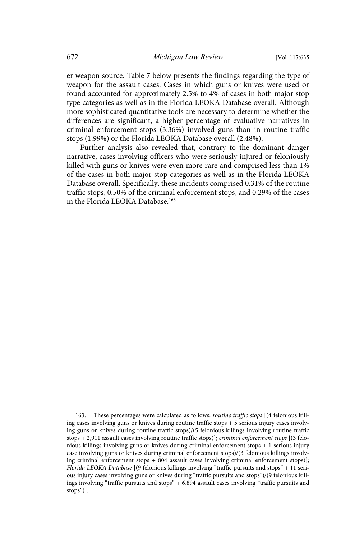er weapon source. Table 7 below presents the findings regarding the type of weapon for the assault cases. Cases in which guns or knives were used or found accounted for approximately 2.5% to 4% of cases in both major stop type categories as well as in the Florida LEOKA Database overall. Although more sophisticated quantitative tools are necessary to determine whether the differences are significant, a higher percentage of evaluative narratives in criminal enforcement stops (3.36%) involved guns than in routine traffic stops (1.99%) or the Florida LEOKA Database overall (2.48%).

Further analysis also revealed that, contrary to the dominant danger narrative, cases involving officers who were seriously injured or feloniously killed with guns or knives were even more rare and comprised less than 1% of the cases in both major stop categories as well as in the Florida LEOKA Database overall. Specifically, these incidents comprised 0.31% of the routine traffic stops, 0.50% of the criminal enforcement stops, and 0.29% of the cases in the Florida LEOKA Database.<sup>163</sup>

<sup>163.</sup> These percentages were calculated as follows: routine traffic stops [(4 felonious killing cases involving guns or knives during routine traffic stops + 5 serious injury cases involving guns or knives during routine traffic stops)/(5 felonious killings involving routine traffic stops + 2,911 assault cases involving routine traffic stops)]; criminal enforcement stops [(3 felonious killings involving guns or knives during criminal enforcement stops + 1 serious injury case involving guns or knives during criminal enforcement stops)/(3 felonious killings involving criminal enforcement stops + 804 assault cases involving criminal enforcement stops)]; Florida LEOKA Database [(9 felonious killings involving "traffic pursuits and stops" + 11 serious injury cases involving guns or knives during "traffic pursuits and stops")/(9 felonious killings involving "traffic pursuits and stops" + 6,894 assault cases involving "traffic pursuits and stops")].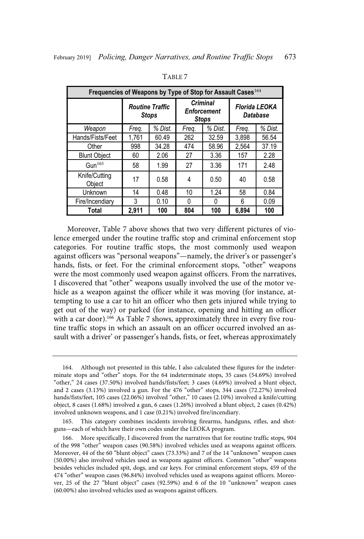| Frequencies of Weapons by Type of Stop for Assault Cases <sup>164</sup> |                                        |         |                                                       |         |                                  |         |  |
|-------------------------------------------------------------------------|----------------------------------------|---------|-------------------------------------------------------|---------|----------------------------------|---------|--|
|                                                                         | <b>Routine Traffic</b><br><b>Stops</b> |         | <b>Criminal</b><br><b>Enforcement</b><br><b>Stops</b> |         | <b>Florida LEOKA</b><br>Database |         |  |
| Weapon                                                                  | Freg.                                  | % Dist. | Freq.                                                 | % Dist. | Freq.                            | % Dist. |  |
| Hands/Fists/Feet                                                        | 1,761                                  | 60.49   | 262                                                   | 32.59   | 3.898                            | 56.54   |  |
| Other                                                                   | 998                                    | 34.28   | 474                                                   | 58.96   | 2,564                            | 37.19   |  |
| <b>Blunt Object</b>                                                     | 60                                     | 2.06    | 27                                                    | 3.36    | 157                              | 2.28    |  |
| Gun $165$                                                               | 58                                     | 1.99    | 27                                                    | 3.36    | 171                              | 2.48    |  |
| Knife/Cutting<br>Object                                                 | 17                                     | 0.58    | 4                                                     | 0.50    | 40                               | 0.58    |  |
| Unknown                                                                 | 14                                     | 0.48    | 10                                                    | 1.24    | 58                               | 0.84    |  |
| Fire/Incendiary                                                         | 3                                      | 0.10    | 0                                                     | 0       | 6                                | 0.09    |  |
| Total                                                                   | 2.911                                  | 100     | 804                                                   | 100     | 6.894                            | 100     |  |

TABLE 7

Moreover, Table 7 above shows that two very different pictures of violence emerged under the routine traffic stop and criminal enforcement stop categories. For routine traffic stops, the most commonly used weapon against officers was "personal weapons"—namely, the driver's or passenger's hands, fists, or feet. For the criminal enforcement stops, "other" weapons were the most commonly used weapon against officers. From the narratives, I discovered that "other" weapons usually involved the use of the motor vehicle as a weapon against the officer while it was moving (for instance, attempting to use a car to hit an officer who then gets injured while trying to get out of the way) or parked (for instance, opening and hitting an officer with a car door).<sup>166</sup> As Table 7 shows, approximately three in every five routine traffic stops in which an assault on an officer occurred involved an assault with a driver' or passenger's hands, fists, or feet, whereas approximately

<sup>164.</sup> Although not presented in this table, I also calculated these figures for the indeterminate stops and "other" stops. For the 64 indeterminate stops, 35 cases (54.69%) involved "other," 24 cases (37.50%) involved hands/fists/feet; 3 cases (4.69%) involved a blunt object, and 2 cases (3.13%) involved a gun. For the 476 "other" stops, 344 cases (72.27%) involved hands/fists/feet, 105 cases (22.06%) involved "other," 10 cases (2.10%) involved a knife/cutting object, 8 cases (1.68%) involved a gun, 6 cases (1.26%) involved a blunt object, 2 cases (0.42%) involved unknown weapons, and 1 case (0.21%) involved fire/incendiary.

<sup>165.</sup> This category combines incidents involving firearms, handguns, rifles, and shotguns—each of which have their own codes under the LEOKA program.

More specifically, I discovered from the narratives that for routine traffic stops, 904 of the 998 "other" weapon cases (90.58%) involved vehicles used as weapons against officers. Moreover, 44 of the 60 "blunt object" cases (73.33%) and 7 of the 14 "unknown" weapon cases (50.00%) also involved vehicles used as weapons against officers. Common "other" weapons besides vehicles included spit, dogs, and car keys. For criminal enforcement stops, 459 of the 474 "other" weapon cases (96.84%) involved vehicles used as weapons against officers. Moreover, 25 of the 27 "blunt object" cases (92.59%) and 6 of the 10 "unknown" weapon cases (60.00%) also involved vehicles used as weapons against officers.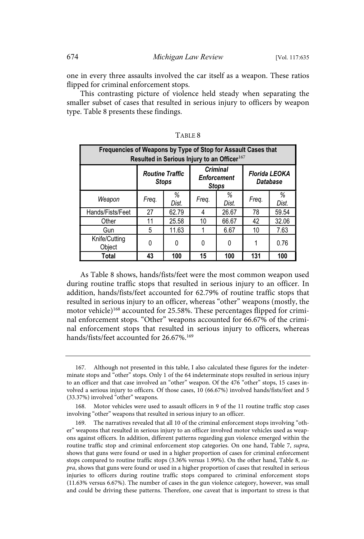one in every three assaults involved the car itself as a weapon. These ratios flipped for criminal enforcement stops.

This contrasting picture of violence held steady when separating the smaller subset of cases that resulted in serious injury to officers by weapon type. Table 8 presents these findings.

| Frequencies of Weapons by Type of Stop for Assault Cases that<br>Resulted in Serious Injury to an Officer <sup>167</sup> |       |                                                                                                 |       |            |       |                                  |  |
|--------------------------------------------------------------------------------------------------------------------------|-------|-------------------------------------------------------------------------------------------------|-------|------------|-------|----------------------------------|--|
|                                                                                                                          |       | <b>Criminal</b><br><b>Routine Traffic</b><br><b>Enforcement</b><br><b>Stops</b><br><b>Stops</b> |       |            |       | <b>Florida LEOKA</b><br>Database |  |
| Weapon                                                                                                                   | Freq. | ℅<br>Dist.                                                                                      | Freq. | ℅<br>Dist. | Freq. | ℅<br>Dist.                       |  |
| Hands/Fists/Feet                                                                                                         | 27    | 62.79                                                                                           | 4     | 26.67      | 78    | 59.54                            |  |
| Other                                                                                                                    | 11    | 25.58                                                                                           | 10    | 66.67      | 42    | 32.06                            |  |
| Gun                                                                                                                      | 5     | 11.63                                                                                           |       | 6.67       | 10    | 7.63                             |  |
| Knife/Cutting<br>Object                                                                                                  | 0     | 0                                                                                               | 0     | 0          |       | 0.76                             |  |
| Total                                                                                                                    | 43    | 100                                                                                             | 15    | 100        | 131   | 100                              |  |

TABLE 8

As Table 8 shows, hands/fists/feet were the most common weapon used during routine traffic stops that resulted in serious injury to an officer. In addition, hands/fists/feet accounted for 62.79% of routine traffic stops that resulted in serious injury to an officer, whereas "other" weapons (mostly, the motor vehicle)<sup>168</sup> accounted for 25.58%. These percentages flipped for criminal enforcement stops. "Other" weapons accounted for 66.67% of the criminal enforcement stops that resulted in serious injury to officers, whereas hands/fists/feet accounted for 26.67%.<sup>169</sup>

<sup>167.</sup> Although not presented in this table, I also calculated these figures for the indeterminate stops and "other" stops. Only 1 of the 64 indeterminate stops resulted in serious injury to an officer and that case involved an "other" weapon. Of the 476 "other" stops, 15 cases involved a serious injury to officers. Of those cases, 10 (66.67%) involved hands/fists/feet and 5 (33.37%) involved "other" weapons.

<sup>168.</sup> Motor vehicles were used to assault officers in 9 of the 11 routine traffic stop cases involving "other" weapons that resulted in serious injury to an officer.

<sup>169.</sup> The narratives revealed that all 10 of the criminal enforcement stops involving "other" weapons that resulted in serious injury to an officer involved motor vehicles used as weapons against officers. In addition, different patterns regarding gun violence emerged within the routine traffic stop and criminal enforcement stop categories. On one hand, Table 7, supra, shows that guns were found or used in a higher proportion of cases for criminal enforcement stops compared to routine traffic stops (3.36% versus 1.99%). On the other hand, Table 8, supra, shows that guns were found or used in a higher proportion of cases that resulted in serious injuries to officers during routine traffic stops compared to criminal enforcement stops (11.63% versus 6.67%). The number of cases in the gun violence category, however, was small and could be driving these patterns. Therefore, one caveat that is important to stress is that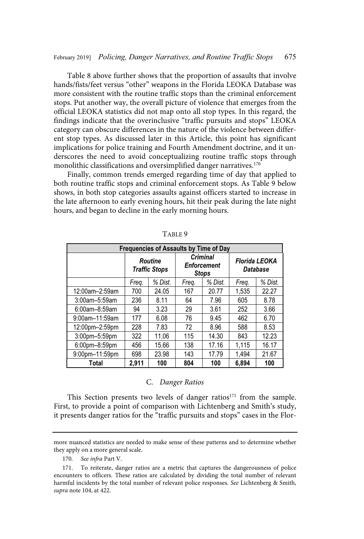Table 8 above further shows that the proportion of assaults that involve hands/fists/feet versus "other" weapons in the Florida LEOKA Database was more consistent with the routine traffic stops than the criminal enforcement stops. Put another way, the overall picture of violence that emerges from the official LEOKA statistics did not map onto all stop types. In this regard, the findings indicate that the overinclusive "traffic pursuits and stops" LEOKA category can obscure differences in the nature of the violence between different stop types. As discussed later in this Article, this point has significant implications for police training and Fourth Amendment doctrine, and it underscores the need to avoid conceptualizing routine traffic stops through monolithic classifications and oversimplified danger narratives.<sup>170</sup>

Finally, common trends emerged regarding time of day that applied to both routine traffic stops and criminal enforcement stops. As Table 9 below shows, in both stop categories assaults against officers started to increase in the late afternoon to early evening hours, hit their peak during the late night hours, and began to decline in the early morning hours.

| Frequencies of Assaults by Time of Day |                                 |         |                                                       |         |                           |         |  |
|----------------------------------------|---------------------------------|---------|-------------------------------------------------------|---------|---------------------------|---------|--|
|                                        | Routine<br><b>Traffic Stops</b> |         | <b>Criminal</b><br><b>Enforcement</b><br><b>Stops</b> |         | Florida LEOKA<br>Database |         |  |
|                                        | Freg.                           | % Dist. |                                                       | % Dist. | Freq.                     | % Dist. |  |
| 12:00am-2:59am                         | 700                             | 24.05   | 167                                                   | 20.77   | 1.535                     | 22.27   |  |
| $3:00$ am $-5:59$ am                   | 236                             | 8.11    | 64                                                    | 7.96    | 605                       | 8.78    |  |
| 6:00am-8:59am                          | 94                              | 3.23    |                                                       | 3.61    | 252                       | 3.66    |  |
| $9:00$ am $-11:59$ am                  | 177                             | 6.08    |                                                       | 9.45    | 462                       | 6.70    |  |
| 12:00pm-2:59pm                         | 228                             | 7.83    | 72                                                    | 8.96    | 588                       | 8.53    |  |
| $3:00$ pm $-5:59$ pm                   | 322                             | 11.06   | 115                                                   | 14.30   | 843                       | 12.23   |  |
| $6:00$ pm $-8:59$ pm                   | 456                             | 15.66   |                                                       | 17.16   | 1.115                     | 16.17   |  |
| 9:00pm-11:59pm                         | 698                             | 23.98   |                                                       | 17.79   | 1.494                     | 21.67   |  |
| Total                                  | 2,911                           | 100     | 804                                                   | 100     | 6.894                     | 100     |  |

TABLE 9

#### C. Danger Ratios

This Section presents two levels of danger ratios $171$  from the sample. First, to provide a point of comparison with Lichtenberg and Smith's study, it presents danger ratios for the "traffic pursuits and stops" cases in the Flor-

170. See infra Part V.

more nuanced statistics are needed to make sense of these patterns and to determine whether they apply on a more general scale.

<sup>171.</sup> To reiterate, danger ratios are a metric that captures the dangerousness of police encounters to officers. These ratios are calculated by dividing the total number of relevant harmful incidents by the total number of relevant police responses. See Lichtenberg & Smith, supra note 104, at 422.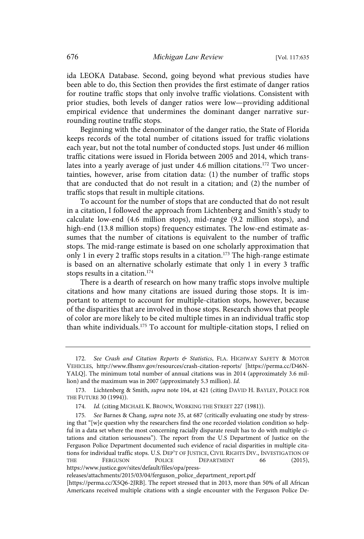ida LEOKA Database. Second, going beyond what previous studies have been able to do, this Section then provides the first estimate of danger ratios for routine traffic stops that only involve traffic violations. Consistent with prior studies, both levels of danger ratios were low—providing additional empirical evidence that undermines the dominant danger narrative surrounding routine traffic stops.

Beginning with the denominator of the danger ratio, the State of Florida keeps records of the total number of citations issued for traffic violations each year, but not the total number of conducted stops. Just under 46 million traffic citations were issued in Florida between 2005 and 2014, which translates into a yearly average of just under 4.6 million citations.<sup>172</sup> Two uncertainties, however, arise from citation data: (1) the number of traffic stops that are conducted that do not result in a citation; and (2) the number of traffic stops that result in multiple citations.

To account for the number of stops that are conducted that do not result in a citation, I followed the approach from Lichtenberg and Smith's study to calculate low-end (4.6 million stops), mid-range (9.2 million stops), and high-end (13.8 million stops) frequency estimates. The low-end estimate assumes that the number of citations is equivalent to the number of traffic stops. The mid-range estimate is based on one scholarly approximation that only 1 in every 2 traffic stops results in a citation.<sup>173</sup> The high-range estimate is based on an alternative scholarly estimate that only 1 in every 3 traffic stops results in a citation.<sup>174</sup>

There is a dearth of research on how many traffic stops involve multiple citations and how many citations are issued during those stops. It is important to attempt to account for multiple-citation stops, however, because of the disparities that are involved in those stops. Research shows that people of color are more likely to be cited multiple times in an individual traffic stop than white individuals.<sup>175</sup> To account for multiple-citation stops, I relied on

<sup>172.</sup> See Crash and Citation Reports & Statistics, FLA. HIGHWAY SAFETY & MOTOR VEHICLES, http://www.flhsmv.gov/resources/crash-citation-reports/ [https://perma.cc/D46N-YALQ]. The minimum total number of annual citations was in 2014 (approximately 3.6 million) and the maximum was in 2007 (approximately 5.3 million). Id.

<sup>173.</sup> Lichtenberg & Smith, supra note 104, at 421 (citing DAVID H. BAYLEY, POLICE FOR THE FUTURE 30 (1994)).

<sup>174.</sup> Id. (citing MICHAEL K. BROWN, WORKING THE STREET 227 (1981)).

<sup>175.</sup> See Barnes & Chang, supra note 35, at 687 (critically evaluating one study by stressing that "[w]e question why the researchers find the one recorded violation condition so helpful in a data set where the most concerning racially disparate result has to do with multiple citations and citation seriousness"). The report from the U.S Department of Justice on the Ferguson Police Department documented such evidence of racial disparities in multiple citations for individual traffic stops. U.S. DEP'T OF JUSTICE, CIVIL RIGHTS DIV., INVESTIGATION OF THE FERGUSON POLICE DEPARTMENT 66 (2015), https://www.justice.gov/sites/default/files/opa/press-

releases/attachments/2015/03/04/ferguson\_police\_department\_report.pdf

<sup>[</sup>https://perma.cc/X5Q6-2JRB]. The report stressed that in 2013, more than 50% of all African Americans received multiple citations with a single encounter with the Ferguson Police De-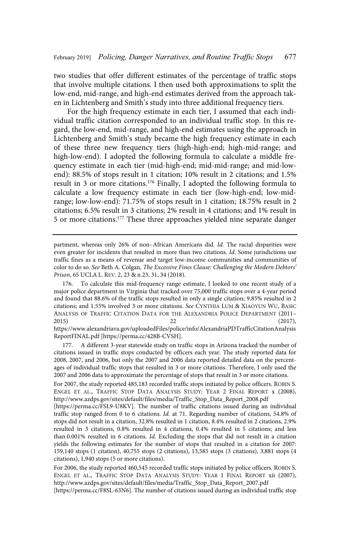two studies that offer different estimates of the percentage of traffic stops that involve multiple citations. I then used both approximations to split the low-end, mid-range, and high-end estimates derived from the approach taken in Lichtenberg and Smith's study into three additional frequency tiers.

For the high frequency estimate in each tier, I assumed that each individual traffic citation corresponded to an individual traffic stop. In this regard, the low-end, mid-range, and high-end estimates using the approach in Lichtenberg and Smith's study became the high frequency estimate in each of these three new frequency tiers (high-high-end; high-mid-range; and high-low-end). I adopted the following formula to calculate a middle frequency estimate in each tier (mid-high-end; mid-mid-range; and mid-lowend): 88.5% of stops result in 1 citation; 10% result in 2 citations; and 1.5% result in 3 or more citations.<sup>176</sup> Finally, I adopted the following formula to calculate a low frequency estimate in each tier (low-high-end; low-midrange; low-low-end): 71.75% of stops result in 1 citation; 18.75% result in 2 citations; 6.5% result in 3 citations; 2% result in 4 citations; and 1% result in 5 or more citations.<sup>177</sup> These three approaches yielded nine separate danger

ReportFINAL.pdf [https://perma.cc/428B-CVSH].

177. A different 3-year statewide study on traffic stops in Arizona tracked the number of citations issued in traffic stops conducted by officers each year. The study reported data for 2008, 2007, and 2006, but only the 2007 and 2006 data reported detailed data on the percentages of individual traffic stops that resulted in 3 or more citations. Therefore, I only used the 2007 and 2006 data to approximate the percentage of stops that result in 3 or more citations.

[https://perma.cc/FSL9-U8KV]. The number of traffic citations issued during an individual traffic stop ranged from 0 to 6 citations. Id. at 71. Regarding number of citations, 54.8% of stops did not result in a citation, 32.8% resulted in 1 citation, 8.4% resulted in 2 citations, 2.9% resulted in 3 citations, 0.8% resulted in 4 citations, 0.4% resulted in 5 citations; and less than 0.001% resulted in 6 citations. Id. Excluding the stops that did not result in a citation yields the following estimates for the number of stops that resulted in a citation for 2007: 159,140 stops (1 citation), 40,755 stops (2 citations), 13,585 stops (3 citations), 3,881 stops (4 citations), 1,940 stops (5 or more citations).

For 2006, the study reported 460,545 recorded traffic stops initiated by police officers. ROBIN S. ENGEL ET AL., TRAFFIC STOP DATA ANALYSIS STUDY: YEAR 1 FINAL REPORT xii (2007), http://www.azdps.gov/sites/default/files/media/Traffic\_Stop\_Data\_Report\_2007.pdf

[https://perma.cc/F8SL-63N6]. The number of citations issued during an individual traffic stop

partment, whereas only 26% of non-African Americans did. Id. The racial disparities were even greater for incidents that resulted in more than two citations. Id. Some jurisdictions use traffic fines as a means of revenue and target low-income communities and communities of color to do so. See Beth A. Colgan, The Excessive Fines Clause: Challenging the Modern Debtors' Prison, 65 UCLA L. REV. 2, 23 & n.23, 31, 34 (2018).

<sup>176.</sup> To calculate this mid-frequency range estimate, I looked to one recent study of a major police department in Virginia that tracked over 75,000 traffic stops over a 4-year period and found that 88.6% of the traffic stops resulted in only a single citation; 9.85% resulted in 2 citations; and 1.55% involved 3 or more citations. See CYNTHIA LUM & XIAOYUN WU, BASIC ANALYSIS OF TRAFFIC CITATION DATA FOR THE ALEXANDRIA POLICE DEPARTMENT (2011– 2015) 22 (2017), https://www.alexandriava.gov/uploadedFiles/police/info/AlexandriaPDTrafficCitationAnalysis

For 2007, the study reported 485,183 recorded traffic stops initiated by police officers. ROBIN S. ENGEL ET AL., TRAFFIC STOP DATA ANALYSIS STUDY: YEAR 2 FINAL REPORT x (2008), http://www.azdps.gov/sites/default/files/media/Traffic\_Stop\_Data\_Report\_2008.pdf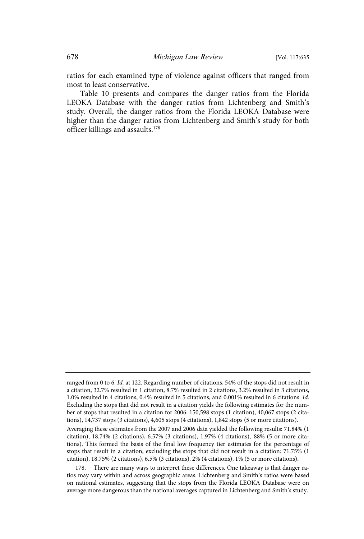ratios for each examined type of violence against officers that ranged from most to least conservative.

Table 10 presents and compares the danger ratios from the Florida LEOKA Database with the danger ratios from Lichtenberg and Smith's study. Overall, the danger ratios from the Florida LEOKA Database were higher than the danger ratios from Lichtenberg and Smith's study for both officer killings and assaults.<sup>178</sup>

ranged from 0 to 6. Id. at 122. Regarding number of citations, 54% of the stops did not result in a citation, 32.7% resulted in 1 citation, 8.7% resulted in 2 citations, 3.2% resulted in 3 citations, 1.0% resulted in 4 citations, 0.4% resulted in 5 citations, and 0.001% resulted in 6 citations. Id . Excluding the stops that did not result in a citation yields the following estimates for the number of stops that resulted in a citation for 2006: 150,598 stops (1 citation), 40,067 stops (2 citations), 14,737 stops (3 citations), 4,605 stops (4 citations), 1,842 stops (5 or more citations).

Averaging these estimates from the 2007 and 2006 data yielded the following results: 71.84% (1 citation), 18.74% (2 citations), 6.57% (3 citations), 1.97% (4 citations), .88% (5 or more citations). This formed the basis of the final low frequency tier estimates for the percentage of stops that result in a citation, excluding the stops that did not result in a citation: 71.75% (1 citation), 18.75% (2 citations), 6.5% (3 citations), 2% (4 citations), 1% (5 or more citations).

<sup>178.</sup> There are many ways to interpret these differences. One takeaway is that danger ratios may vary within and across geographic areas. Lichtenberg and Smith's ratios were based on national estimates, suggesting that the stops from the Florida LEOKA Database were on average more dangerous than the national averages captured in Lichtenberg and Smith's study.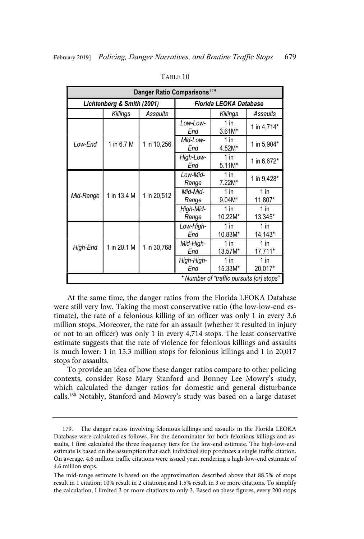| Danger Ratio Comparisons <sup>179</sup> |                                           |                   |                    |                        |                   |  |
|-----------------------------------------|-------------------------------------------|-------------------|--------------------|------------------------|-------------------|--|
| Lichtenberg & Smith (2001)              |                                           |                   |                    | Florida LEOKA Database |                   |  |
|                                         | Killings                                  | Assaults          |                    | Killings               | Assaults          |  |
|                                         |                                           |                   | Low-Low-<br>End    | 1 in<br>$3.61M*$       | 1 in 4,714*       |  |
| Low-End                                 | 1 in 6.7 M                                | 1 in 10,256       | Mid-Low-<br>End    | $1$ in<br>4.52M*       | 1 in 5,904*       |  |
|                                         |                                           | High-Low-<br>End  | $1$ in<br>$5.11M*$ | 1 in 6,672*            |                   |  |
| 1 in 13.4 M<br>Mid-Range                |                                           | Low-Mid-<br>Range | $1$ in<br>7.22M*   | 1 in 9,428*            |                   |  |
|                                         |                                           | 1 in 20,512       | Mid-Mid-<br>Range  | $1$ in<br>$9.04M*$     | $1$ in<br>11,807* |  |
|                                         |                                           |                   | High-Mid-<br>Range | $1$ in<br>10.22M*      | $1$ in<br>13,345* |  |
|                                         |                                           |                   | Low-High-<br>End   | $1$ in<br>10.83M*      | $1$ in<br>14,143* |  |
| High-End                                | 1 in 20.1 M                               | 1 in 30,768       | Mid-High-<br>End   | 1 in<br>13.57M*        | $1$ in<br>17,711* |  |
|                                         |                                           |                   | High-High-<br>End  | $1$ in<br>15.33M*      | $1$ in<br>20,017* |  |
|                                         | * Number of "traffic pursuits [or] stops" |                   |                    |                        |                   |  |

TABLE 10

At the same time, the danger ratios from the Florida LEOKA Database were still very low. Taking the most conservative ratio (the low-low-end estimate), the rate of a felonious killing of an officer was only 1 in every 3.6 million stops. Moreover, the rate for an assault (whether it resulted in injury or not to an officer) was only 1 in every 4,714 stops. The least conservative estimate suggests that the rate of violence for felonious killings and assaults is much lower: 1 in 15.3 million stops for felonious killings and 1 in 20,017 stops for assaults.

To provide an idea of how these danger ratios compare to other policing contexts, consider Rose Mary Stanford and Bonney Lee Mowry's study, which calculated the danger ratios for domestic and general disturbance calls.<sup>180</sup> Notably, Stanford and Mowry's study was based on a large dataset

<sup>179.</sup> The danger ratios involving felonious killings and assaults in the Florida LEOKA Database were calculated as follows. For the denominator for both felonious killings and assaults, I first calculated the three frequency tiers for the low-end estimate. The high-low-end estimate is based on the assumption that each individual stop produces a single traffic citation. On average, 4.6 million traffic citations were issued year, rendering a high-low-end estimate of 4.6 million stops.

The mid-range estimate is based on the approximation described above that 88.5% of stops result in 1 citation; 10% result in 2 citations; and 1.5% result in 3 or more citations. To simplify the calculation, I limited 3 or more citations to only 3. Based on these figures, every 200 stops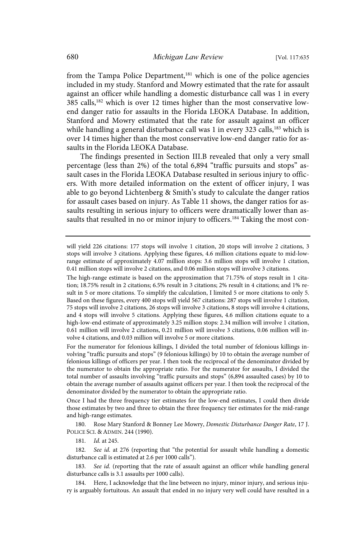from the Tampa Police Department,<sup>181</sup> which is one of the police agencies included in my study. Stanford and Mowry estimated that the rate for assault against an officer while handling a domestic disturbance call was 1 in every 385 calls,<sup>182</sup> which is over 12 times higher than the most conservative lowend danger ratio for assaults in the Florida LEOKA Database. In addition, Stanford and Mowry estimated that the rate for assault against an officer while handling a general disturbance call was 1 in every 323 calls,<sup>183</sup> which is over 14 times higher than the most conservative low-end danger ratio for assaults in the Florida LEOKA Database.

The findings presented in Section III.B revealed that only a very small percentage (less than 2%) of the total 6,894 "traffic pursuits and stops" assault cases in the Florida LEOKA Database resulted in serious injury to officers. With more detailed information on the extent of officer injury, I was able to go beyond Lichtenberg & Smith's study to calculate the danger ratios for assault cases based on injury. As Table 11 shows, the danger ratios for assaults resulting in serious injury to officers were dramatically lower than assaults that resulted in no or minor injury to officers.<sup>184</sup> Taking the most con-

The high-range estimate is based on the approximation that 71.75% of stops result in 1 citation; 18.75% result in 2 citations; 6.5% result in 3 citations; 2% result in 4 citations; and 1% result in 5 or more citations. To simplify the calculation, I limited 5 or more citations to only 5. Based on these figures, every 400 stops will yield 567 citations: 287 stops will involve 1 citation, 75 stops will involve 2 citations, 26 stops will involve 3 citations, 8 stops will involve 4 citations, and 4 stops will involve 5 citations. Applying these figures, 4.6 million citations equate to a high-low-end estimate of approximately 3.25 million stops: 2.34 million will involve 1 citation, 0.61 million will involve 2 citations, 0.21 million will involve 3 citations, 0.06 million will involve 4 citations, and 0.03 million will involve 5 or more citations.

For the numerator for felonious killings, I divided the total number of felonious killings involving "traffic pursuits and stops" (9 felonious killings) by 10 to obtain the average number of felonious killings of officers per year. I then took the reciprocal of the denominator divided by the numerator to obtain the appropriate ratio. For the numerator for assaults, I divided the total number of assaults involving "traffic pursuits and stops" (6,894 assaulted cases) by 10 to obtain the average number of assaults against officers per year. I then took the reciprocal of the denominator divided by the numerator to obtain the appropriate ratio.

Once I had the three frequency tier estimates for the low-end estimates, I could then divide those estimates by two and three to obtain the three frequency tier estimates for the mid-range and high-range estimates.

180. Rose Mary Stanford & Bonney Lee Mowry, Domestic Disturbance Danger Rate, 17 J. POLICE SCI. & ADMIN. 244 (1990).

181. *Id.* at 245.

182. See id. at 276 (reporting that "the potential for assault while handling a domestic disturbance call is estimated at 2.6 per 1000 calls").

183. See id. (reporting that the rate of assault against an officer while handling general disturbance calls is 3.1 assaults per 1000 calls).

184. Here, I acknowledge that the line between no injury, minor injury, and serious injury is arguably fortuitous. An assault that ended in no injury very well could have resulted in a

will yield 226 citations: 177 stops will involve 1 citation, 20 stops will involve 2 citations, 3 stops will involve 3 citations. Applying these figures, 4.6 million citations equate to mid-lowrange estimate of approximately 4.07 million stops: 3.6 million stops will involve 1 citation, 0.41 million stops will involve 2 citations, and 0.06 million stops will involve 3 citations.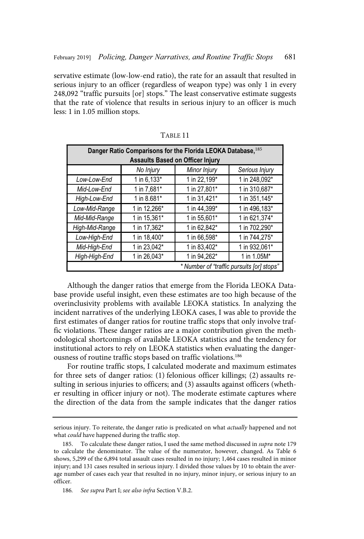servative estimate (low-low-end ratio), the rate for an assault that resulted in serious injury to an officer (regardless of weapon type) was only 1 in every 248,092 "traffic pursuits [or] stops." The least conservative estimate suggests that the rate of violence that results in serious injury to an officer is much less: 1 in 1.05 million stops.

| Danger Ratio Comparisons for the Florida LEOKA Database, 185<br><b>Assaults Based on Officer Injury</b> |              |              |               |  |  |  |  |
|---------------------------------------------------------------------------------------------------------|--------------|--------------|---------------|--|--|--|--|
| Minor Injury<br>Serious Injury<br>No Injury                                                             |              |              |               |  |  |  |  |
| Low-Low-End                                                                                             | 1 in 6,133*  | 1 in 22,199* | 1 in 248,092* |  |  |  |  |
| Mid-Low-End                                                                                             | 1 in 7,681*  | 1 in 27,801* | 1 in 310,687* |  |  |  |  |
| High-Low-End                                                                                            | 1 in 8.681*  | 1 in 31,421* | 1 in 351,145* |  |  |  |  |
| Low-Mid-Range                                                                                           | 1 in 12,266* | 1 in 44,399* | 1 in 496,183* |  |  |  |  |
| Mid-Mid-Range                                                                                           | 1 in 15,361* | 1 in 55,601* | 1 in 621,374* |  |  |  |  |
| High-Mid-Range                                                                                          | 1 in 17,362* | 1 in 62,842* | 1 in 702,290* |  |  |  |  |
| Low-High-End                                                                                            | 1 in 18,400* | 1 in 66,598* | 1 in 744,275* |  |  |  |  |
| Mid-High-End                                                                                            | 1 in 23,042* | 1 in 83,402* | 1 in 932,061* |  |  |  |  |
| High-High-End                                                                                           | 1 in 26,043* | 1 in 94,262* | 1 in 1.05M*   |  |  |  |  |
| * Number of "traffic pursuits [or] stops"                                                               |              |              |               |  |  |  |  |

TABLE 11

Although the danger ratios that emerge from the Florida LEOKA Database provide useful insight, even these estimates are too high because of the overinclusivity problems with available LEOKA statistics. In analyzing the incident narratives of the underlying LEOKA cases, I was able to provide the first estimates of danger ratios for routine traffic stops that only involve traffic violations. These danger ratios are a major contribution given the methodological shortcomings of available LEOKA statistics and the tendency for institutional actors to rely on LEOKA statistics when evaluating the dangerousness of routine traffic stops based on traffic violations.<sup>186</sup>

For routine traffic stops, I calculated moderate and maximum estimates for three sets of danger ratios: (1) felonious officer killings; (2) assaults resulting in serious injuries to officers; and (3) assaults against officers (whether resulting in officer injury or not). The moderate estimate captures where the direction of the data from the sample indicates that the danger ratios

serious injury. To reiterate, the danger ratio is predicated on what *actually* happened and not what could have happened during the traffic stop.

<sup>185.</sup> To calculate these danger ratios, I used the same method discussed in supra note 179 to calculate the denominator. The value of the numerator, however, changed. As Table 6 shows, 5,299 of the 6,894 total assault cases resulted in no injury; 1,464 cases resulted in minor injury; and 131 cases resulted in serious injury. I divided those values by 10 to obtain the average number of cases each year that resulted in no injury, minor injury, or serious injury to an officer.

<sup>186.</sup> See supra Part I; see also infra Section V.B.2.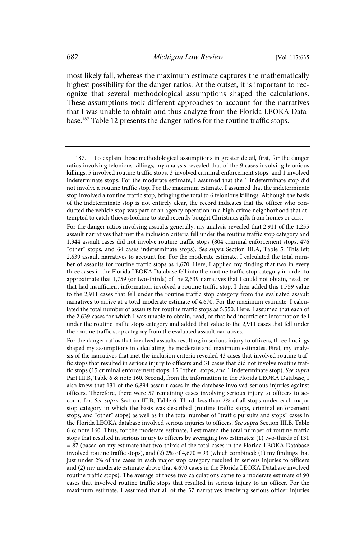most likely fall, whereas the maximum estimate captures the mathematically highest possibility for the danger ratios. At the outset, it is important to recognize that several methodological assumptions shaped the calculations. These assumptions took different approaches to account for the narratives that I was unable to obtain and thus analyze from the Florida LEOKA Database.<sup>187</sup> Table 12 presents the danger ratios for the routine traffic stops.

<sup>187.</sup> To explain those methodological assumptions in greater detail, first, for the danger ratios involving felonious killings, my analysis revealed that of the 9 cases involving felonious killings, 5 involved routine traffic stops, 3 involved criminal enforcement stops, and 1 involved indeterminate stops. For the moderate estimate, I assumed that the 1 indeterminate stop did not involve a routine traffic stop. For the maximum estimate, I assumed that the indeterminate stop involved a routine traffic stop, bringing the total to 6 felonious killings. Although the basis of the indeterminate stop is not entirely clear, the record indicates that the officer who conducted the vehicle stop was part of an agency operation in a high-crime neighborhood that attempted to catch thieves looking to steal recently bought Christmas gifts from homes or cars.

For the danger ratios involving assaults generally, my analysis revealed that 2,911 of the 4,255 assault narratives that met the inclusion criteria fell under the routine traffic stop category and 1,344 assault cases did not involve routine traffic stops (804 criminal enforcement stops, 476 "other" stops, and 64 cases indeterminate stops). See supra Section III.A, Table 5. This left 2,639 assault narratives to account for. For the moderate estimate, I calculated the total number of assaults for routine traffic stops as 4,670. Here, I applied my finding that two in every three cases in the Florida LEOKA Database fell into the routine traffic stop category in order to approximate that 1,759 (or two-thirds) of the 2,639 narratives that I could not obtain, read, or that had insufficient information involved a routine traffic stop. I then added this 1,759 value to the 2,911 cases that fell under the routine traffic stop category from the evaluated assault narratives to arrive at a total moderate estimate of 4,670. For the maximum estimate, I calculated the total number of assaults for routine traffic stops as 5,550. Here, I assumed that each of the 2,639 cases for which I was unable to obtain, read, or that had insufficient information fell under the routine traffic stops category and added that value to the 2,911 cases that fell under the routine traffic stop category from the evaluated assault narratives.

For the danger ratios that involved assaults resulting in serious injury to officers, three findings shaped my assumptions in calculating the moderate and maximum estimates. First, my analysis of the narratives that met the inclusion criteria revealed 43 cases that involved routine traffic stops that resulted in serious injury to officers and 31 cases that did not involve routine traffic stops (15 criminal enforcement stops, 15 "other" stops, and 1 indeterminate stop). See supra Part III.B, Table 6 & note 160. Second, from the information in the Florida LEOKA Database, I also knew that 131 of the 6,894 assault cases in the database involved serious injuries against officers. Therefore, there were 57 remaining cases involving serious injury to officers to account for. See supra Section III.B, Table 6. Third, less than 2% of all stops under each major stop category in which the basis was described (routine traffic stops, criminal enforcement stops, and "other" stops) as well as in the total number of "traffic pursuits and stops" cases in the Florida LEOKA database involved serious injuries to officers. See supra Section III.B, Table 6 & note 160. Thus, for the moderate estimate, I estimated the total number of routine traffic stops that resulted in serious injury to officers by averaging two estimates: (1) two-thirds of 131 = 87 (based on my estimate that two-thirds of the total cases in the Florida LEOKA Database involved routine traffic stops), and (2) 2% of 4,670 = 93 (which combined: (1) my findings that just under 2% of the cases in each major stop category resulted in serious injuries to officers and (2) my moderate estimate above that 4,670 cases in the Florida LEOKA Database involved routine traffic stops). The average of those two calculations came to a moderate estimate of 90 cases that involved routine traffic stops that resulted in serious injury to an officer. For the maximum estimate, I assumed that all of the 57 narratives involving serious officer injuries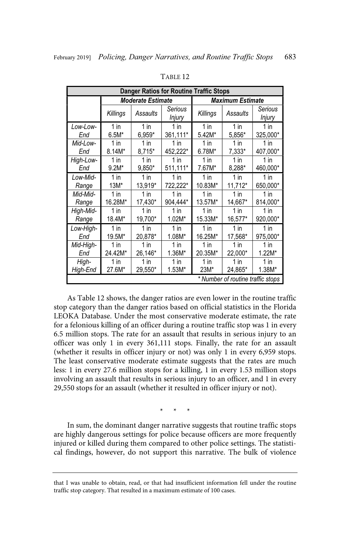| <b>Danger Ratios for Routine Traffic Stops</b> |                          |          |                   |                         |          |                          |  |
|------------------------------------------------|--------------------------|----------|-------------------|-------------------------|----------|--------------------------|--|
|                                                | <b>Moderate Estimate</b> |          |                   | <b>Maximum Estimate</b> |          |                          |  |
|                                                | Killings                 | Assaults | Serious<br>Injury | Killings                | Assaults | Serious<br><i>Injury</i> |  |
| Low-Low-                                       | 1 in                     | 1 in     | 1 in              | 1 in                    | $1$ in   | 1 in                     |  |
| End                                            | $6.5M*$                  | 6,959*   | 361,111*          | 5.42M*                  | 5,856*   | 325,000*                 |  |
| Mid-Low-                                       | $1$ in                   | $1$ in   | $1$ in            | $1$ in                  | $1$ in   | $1$ in                   |  |
| End                                            | 8.14M*                   | 8,715*   | 452,222*          | 6.78M*                  | 7,333*   | 407,000*                 |  |
| High-Low-                                      | 1 in                     | $1$ in   | $1$ in            | $1$ in                  | $1$ in   | 1 in                     |  |
| End                                            | $9.2M*$                  | $9,850*$ | 511,111*          | 7.67M*                  | 8,288*   | 460,000*                 |  |
| Low-Mid-                                       | $1$ in                   | 1 in     | $1$ in            | $1$ in                  | $1$ in   | $1$ in                   |  |
| Range                                          | $13M*$                   | 13,919*  | 722,222*          | 10.83M*                 | 11,712*  | 650,000*                 |  |
| Mid-Mid-                                       | $1$ in                   | 1 in     | $1$ in            | 1 in                    | $1$ in   | 1 in                     |  |
| Range                                          | 16.28M*                  | 17,430*  | 904,444*          | 13.57M*                 | 14,667*  | 814,000*                 |  |
| High-Mid-                                      | $1$ in                   | $1$ in   | 1 in              | $1$ in                  | $1$ in   | 1 in                     |  |
| Range                                          | 18.4M*                   | 19,700*  | $1.02M*$          | 15.33M*                 | 16,577*  | 920,000*                 |  |
| Low-High-                                      | $1$ in                   | $1$ in   | $1$ in            | $1$ in                  | 1 in     | $1$ in                   |  |
| End                                            | 19.5M*                   | 20,878*  | $1.08M*$          | 16.25M*                 | 17,568*  | 975,000*                 |  |
| Mid-High-                                      | $1$ in                   | $1$ in   | $1$ in            | $1$ in                  | $1$ in   | 1 in                     |  |
| End                                            | 24.42M*                  | 26,146*  | $1.36M*$          | 20.35M*                 | 22,000*  | $1.22M*$                 |  |
| High-                                          | $1$ in                   | 1 in     | $1$ in            | $1$ in                  | $1$ in   | $1$ in                   |  |
| High-End                                       | 27.6M*                   | 29,550*  | $1.53M*$          | 23M*                    | 24,865*  | $1.38M*$                 |  |
| * Number of routine traffic stops              |                          |          |                   |                         |          |                          |  |

TABLE 12

As Table 12 shows, the danger ratios are even lower in the routine traffic stop category than the danger ratios based on official statistics in the Florida LEOKA Database. Under the most conservative moderate estimate, the rate for a felonious killing of an officer during a routine traffic stop was 1 in every 6.5 million stops. The rate for an assault that results in serious injury to an officer was only 1 in every 361,111 stops. Finally, the rate for an assault (whether it results in officer injury or not) was only 1 in every 6,959 stops. The least conservative moderate estimate suggests that the rates are much less: 1 in every 27.6 million stops for a killing, 1 in every 1.53 million stops involving an assault that results in serious injury to an officer, and 1 in every 29,550 stops for an assault (whether it resulted in officer injury or not).

\* \* \*

In sum, the dominant danger narrative suggests that routine traffic stops are highly dangerous settings for police because officers are more frequently injured or killed during them compared to other police settings. The statistical findings, however, do not support this narrative. The bulk of violence

that I was unable to obtain, read, or that had insufficient information fell under the routine traffic stop category. That resulted in a maximum estimate of 100 cases.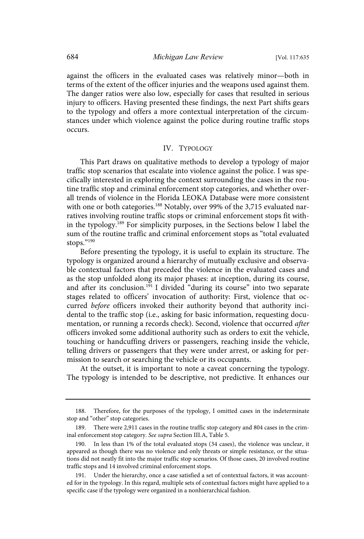against the officers in the evaluated cases was relatively minor—both in terms of the extent of the officer injuries and the weapons used against them. The danger ratios were also low, especially for cases that resulted in serious injury to officers. Having presented these findings, the next Part shifts gears to the typology and offers a more contextual interpretation of the circumstances under which violence against the police during routine traffic stops occurs.

## IV. TYPOLOGY

This Part draws on qualitative methods to develop a typology of major traffic stop scenarios that escalate into violence against the police. I was specifically interested in exploring the context surrounding the cases in the routine traffic stop and criminal enforcement stop categories, and whether overall trends of violence in the Florida LEOKA Database were more consistent with one or both categories.<sup>188</sup> Notably, over 99% of the 3,715 evaluated narratives involving routine traffic stops or criminal enforcement stops fit within the typology.<sup>189</sup> For simplicity purposes, in the Sections below I label the sum of the routine traffic and criminal enforcement stops as "total evaluated stops."190

Before presenting the typology, it is useful to explain its structure. The typology is organized around a hierarchy of mutually exclusive and observable contextual factors that preceded the violence in the evaluated cases and as the stop unfolded along its major phases: at inception, during its course, and after its conclusion.<sup>191</sup> I divided "during its course" into two separate stages related to officers' invocation of authority: First, violence that occurred before officers invoked their authority beyond that authority incidental to the traffic stop (i.e., asking for basic information, requesting documentation, or running a records check). Second, violence that occurred after officers invoked some additional authority such as orders to exit the vehicle, touching or handcuffing drivers or passengers, reaching inside the vehicle, telling drivers or passengers that they were under arrest, or asking for permission to search or searching the vehicle or its occupants.

At the outset, it is important to note a caveat concerning the typology. The typology is intended to be descriptive, not predictive. It enhances our

<sup>188.</sup> Therefore, for the purposes of the typology, I omitted cases in the indeterminate stop and "other" stop categories.

There were 2,911 cases in the routine traffic stop category and 804 cases in the criminal enforcement stop category. See supra Section III.A, Table 5.

<sup>190.</sup> In less than 1% of the total evaluated stops (34 cases), the violence was unclear, it appeared as though there was no violence and only threats or simple resistance, or the situations did not neatly fit into the major traffic stop scenarios. Of those cases, 20 involved routine traffic stops and 14 involved criminal enforcement stops.

<sup>191.</sup> Under the hierarchy, once a case satisfied a set of contextual factors, it was accounted for in the typology. In this regard, multiple sets of contextual factors might have applied to a specific case if the typology were organized in a nonhierarchical fashion.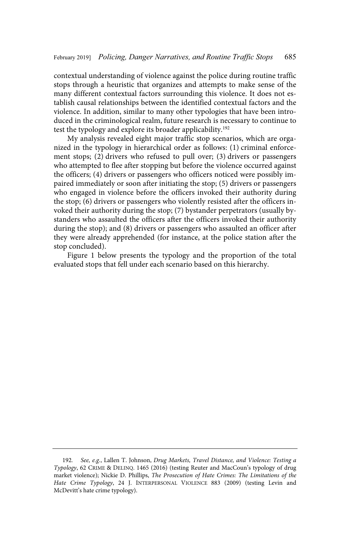contextual understanding of violence against the police during routine traffic stops through a heuristic that organizes and attempts to make sense of the many different contextual factors surrounding this violence. It does not establish causal relationships between the identified contextual factors and the violence. In addition, similar to many other typologies that have been introduced in the criminological realm, future research is necessary to continue to test the typology and explore its broader applicability.<sup>192</sup>

My analysis revealed eight major traffic stop scenarios, which are organized in the typology in hierarchical order as follows: (1) criminal enforcement stops; (2) drivers who refused to pull over; (3) drivers or passengers who attempted to flee after stopping but before the violence occurred against the officers; (4) drivers or passengers who officers noticed were possibly impaired immediately or soon after initiating the stop; (5) drivers or passengers who engaged in violence before the officers invoked their authority during the stop; (6) drivers or passengers who violently resisted after the officers invoked their authority during the stop; (7) bystander perpetrators (usually bystanders who assaulted the officers after the officers invoked their authority during the stop); and (8) drivers or passengers who assaulted an officer after they were already apprehended (for instance, at the police station after the stop concluded).

Figure 1 below presents the typology and the proportion of the total evaluated stops that fell under each scenario based on this hierarchy.

<sup>192.</sup> See, e.g., Lallen T. Johnson, Drug Markets, Travel Distance, and Violence: Testing a Typology, 62 CRIME & DELINQ. 1465 (2016) (testing Reuter and MacCoun's typology of drug market violence); Nickie D. Phillips, The Prosecution of Hate Crimes: The Limitations of the Hate Crime Typology, 24 J. INTERPERSONAL VIOLENCE 883 (2009) (testing Levin and McDevitt's hate crime typology).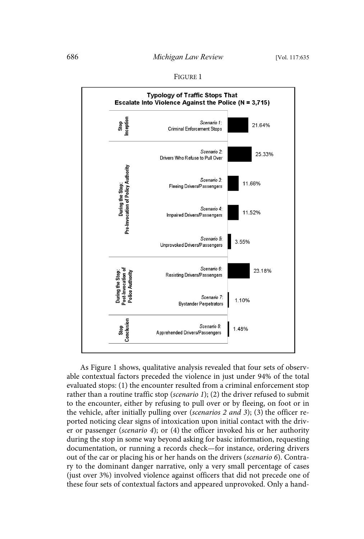| ۰.<br>٧<br>×<br>× |  |
|-------------------|--|
|-------------------|--|



As Figure 1 shows, qualitative analysis revealed that four sets of observable contextual factors preceded the violence in just under 94% of the total evaluated stops: (1) the encounter resulted from a criminal enforcement stop rather than a routine traffic stop (scenario 1); (2) the driver refused to submit to the encounter, either by refusing to pull over or by fleeing, on foot or in the vehicle, after initially pulling over (scenarios 2 and 3); (3) the officer reported noticing clear signs of intoxication upon initial contact with the driver or passenger (scenario 4); or (4) the officer invoked his or her authority during the stop in some way beyond asking for basic information, requesting documentation, or running a records check—for instance, ordering drivers out of the car or placing his or her hands on the drivers (scenario 6). Contrary to the dominant danger narrative, only a very small percentage of cases (just over 3%) involved violence against officers that did not precede one of these four sets of contextual factors and appeared unprovoked. Only a hand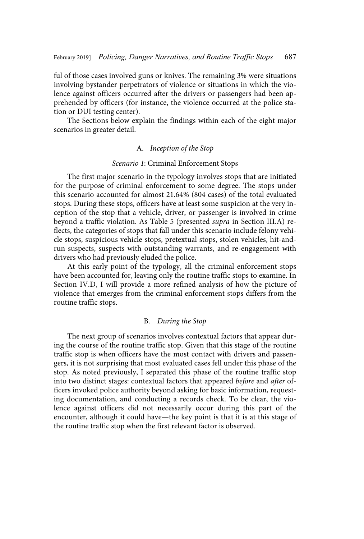ful of those cases involved guns or knives. The remaining 3% were situations involving bystander perpetrators of violence or situations in which the violence against officers occurred after the drivers or passengers had been apprehended by officers (for instance, the violence occurred at the police station or DUI testing center).

The Sections below explain the findings within each of the eight major scenarios in greater detail.

# A. Inception of the Stop

### Scenario 1: Criminal Enforcement Stops

The first major scenario in the typology involves stops that are initiated for the purpose of criminal enforcement to some degree. The stops under this scenario accounted for almost 21.64% (804 cases) of the total evaluated stops. During these stops, officers have at least some suspicion at the very inception of the stop that a vehicle, driver, or passenger is involved in crime beyond a traffic violation. As Table 5 (presented supra in Section III.A) reflects, the categories of stops that fall under this scenario include felony vehicle stops, suspicious vehicle stops, pretextual stops, stolen vehicles, hit-andrun suspects, suspects with outstanding warrants, and re-engagement with drivers who had previously eluded the police.

At this early point of the typology, all the criminal enforcement stops have been accounted for, leaving only the routine traffic stops to examine. In Section IV.D, I will provide a more refined analysis of how the picture of violence that emerges from the criminal enforcement stops differs from the routine traffic stops.

# B. During the Stop

The next group of scenarios involves contextual factors that appear during the course of the routine traffic stop. Given that this stage of the routine traffic stop is when officers have the most contact with drivers and passengers, it is not surprising that most evaluated cases fell under this phase of the stop. As noted previously, I separated this phase of the routine traffic stop into two distinct stages: contextual factors that appeared before and after officers invoked police authority beyond asking for basic information, requesting documentation, and conducting a records check. To be clear, the violence against officers did not necessarily occur during this part of the encounter, although it could have—the key point is that it is at this stage of the routine traffic stop when the first relevant factor is observed.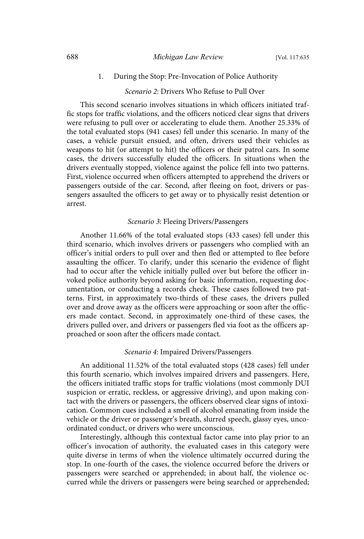## 1. During the Stop: Pre-Invocation of Police Authority

# Scenario 2: Drivers Who Refuse to Pull Over

This second scenario involves situations in which officers initiated traffic stops for traffic violations, and the officers noticed clear signs that drivers were refusing to pull over or accelerating to elude them. Another 25.33% of the total evaluated stops (941 cases) fell under this scenario. In many of the cases, a vehicle pursuit ensued, and often, drivers used their vehicles as weapons to hit (or attempt to hit) the officers or their patrol cars. In some cases, the drivers successfully eluded the officers. In situations when the drivers eventually stopped, violence against the police fell into two patterns. First, violence occurred when officers attempted to apprehend the drivers or passengers outside of the car. Second, after fleeing on foot, drivers or passengers assaulted the officers to get away or to physically resist detention or arrest.

## Scenario 3: Fleeing Drivers/Passengers

Another 11.66% of the total evaluated stops (433 cases) fell under this third scenario, which involves drivers or passengers who complied with an officer's initial orders to pull over and then fled or attempted to flee before assaulting the officer. To clarify, under this scenario the evidence of flight had to occur after the vehicle initially pulled over but before the officer invoked police authority beyond asking for basic information, requesting documentation, or conducting a records check. These cases followed two patterns. First, in approximately two-thirds of these cases, the drivers pulled over and drove away as the officers were approaching or soon after the officers made contact. Second, in approximately one-third of these cases, the drivers pulled over, and drivers or passengers fled via foot as the officers approached or soon after the officers made contact.

## Scenario 4: Impaired Drivers/Passengers

An additional 11.52% of the total evaluated stops (428 cases) fell under this fourth scenario, which involves impaired drivers and passengers. Here, the officers initiated traffic stops for traffic violations (most commonly DUI suspicion or erratic, reckless, or aggressive driving), and upon making contact with the drivers or passengers, the officers observed clear signs of intoxication. Common cues included a smell of alcohol emanating from inside the vehicle or the driver or passenger's breath, slurred speech, glassy eyes, uncoordinated conduct, or drivers who were unconscious.

Interestingly, although this contextual factor came into play prior to an officer's invocation of authority, the evaluated cases in this category were quite diverse in terms of when the violence ultimately occurred during the stop. In one-fourth of the cases, the violence occurred before the drivers or passengers were searched or apprehended; in about half, the violence occurred while the drivers or passengers were being searched or apprehended;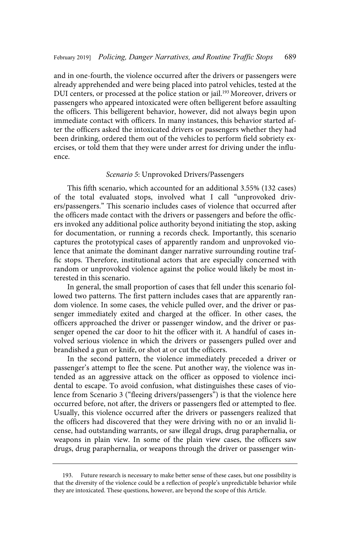and in one-fourth, the violence occurred after the drivers or passengers were already apprehended and were being placed into patrol vehicles, tested at the DUI centers, or processed at the police station or jail.<sup>193</sup> Moreover, drivers or passengers who appeared intoxicated were often belligerent before assaulting the officers. This belligerent behavior, however, did not always begin upon immediate contact with officers. In many instances, this behavior started after the officers asked the intoxicated drivers or passengers whether they had been drinking, ordered them out of the vehicles to perform field sobriety exercises, or told them that they were under arrest for driving under the influence.

### Scenario 5: Unprovoked Drivers/Passengers

This fifth scenario, which accounted for an additional 3.55% (132 cases) of the total evaluated stops, involved what I call "unprovoked drivers/passengers." This scenario includes cases of violence that occurred after the officers made contact with the drivers or passengers and before the officers invoked any additional police authority beyond initiating the stop, asking for documentation, or running a records check. Importantly, this scenario captures the prototypical cases of apparently random and unprovoked violence that animate the dominant danger narrative surrounding routine traffic stops. Therefore, institutional actors that are especially concerned with random or unprovoked violence against the police would likely be most interested in this scenario.

In general, the small proportion of cases that fell under this scenario followed two patterns. The first pattern includes cases that are apparently random violence. In some cases, the vehicle pulled over, and the driver or passenger immediately exited and charged at the officer. In other cases, the officers approached the driver or passenger window, and the driver or passenger opened the car door to hit the officer with it. A handful of cases involved serious violence in which the drivers or passengers pulled over and brandished a gun or knife, or shot at or cut the officers.

In the second pattern, the violence immediately preceded a driver or passenger's attempt to flee the scene. Put another way, the violence was intended as an aggressive attack on the officer as opposed to violence incidental to escape. To avoid confusion, what distinguishes these cases of violence from Scenario 3 ("fleeing drivers/passengers") is that the violence here occurred before, not after, the drivers or passengers fled or attempted to flee. Usually, this violence occurred after the drivers or passengers realized that the officers had discovered that they were driving with no or an invalid license, had outstanding warrants, or saw illegal drugs, drug paraphernalia, or weapons in plain view. In some of the plain view cases, the officers saw drugs, drug paraphernalia, or weapons through the driver or passenger win-

<sup>193.</sup> Future research is necessary to make better sense of these cases, but one possibility is that the diversity of the violence could be a reflection of people's unpredictable behavior while they are intoxicated. These questions, however, are beyond the scope of this Article.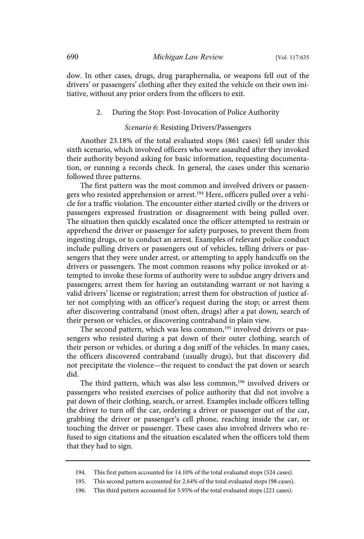dow. In other cases, drugs, drug paraphernalia, or weapons fell out of the drivers' or passengers' clothing after they exited the vehicle on their own initiative, without any prior orders from the officers to exit.

#### 2. During the Stop: Post-Invocation of Police Authority

## Scenario 6: Resisting Drivers/Passengers

Another 23.18% of the total evaluated stops (861 cases) fell under this sixth scenario, which involved officers who were assaulted after they invoked their authority beyond asking for basic information, requesting documentation, or running a records check. In general, the cases under this scenario followed three patterns.

The first pattern was the most common and involved drivers or passengers who resisted apprehension or arrest.<sup>194</sup> Here, officers pulled over a vehicle for a traffic violation. The encounter either started civilly or the drivers or passengers expressed frustration or disagreement with being pulled over. The situation then quickly escalated once the officer attempted to restrain or apprehend the driver or passenger for safety purposes, to prevent them from ingesting drugs, or to conduct an arrest. Examples of relevant police conduct include pulling drivers or passengers out of vehicles, telling drivers or passengers that they were under arrest, or attempting to apply handcuffs on the drivers or passengers. The most common reasons why police invoked or attempted to invoke these forms of authority were to subdue angry drivers and passengers; arrest them for having an outstanding warrant or not having a valid drivers' license or registration; arrest them for obstruction of justice after not complying with an officer's request during the stop; or arrest them after discovering contraband (most often, drugs) after a pat down, search of their person or vehicles, or discovering contraband in plain view.

The second pattern, which was less common,<sup>195</sup> involved drivers or passengers who resisted during a pat down of their outer clothing, search of their person or vehicles, or during a dog sniff of the vehicles. In many cases, the officers discovered contraband (usually drugs), but that discovery did not precipitate the violence—the request to conduct the pat down or search did.

The third pattern, which was also less common,<sup>196</sup> involved drivers or passengers who resisted exercises of police authority that did not involve a pat down of their clothing, search, or arrest. Examples include officers telling the driver to turn off the car, ordering a driver or passenger out of the car, grabbing the driver or passenger's cell phone, reaching inside the car, or touching the driver or passenger. These cases also involved drivers who refused to sign citations and the situation escalated when the officers told them that they had to sign.

<sup>194.</sup> This first pattern accounted for 14.10% of the total evaluated stops (524 cases).

<sup>195.</sup> This second pattern accounted for 2.64% of the total evaluated stops (98 cases).

<sup>196.</sup> This third pattern accounted for 5.95% of the total evaluated stops (221 cases).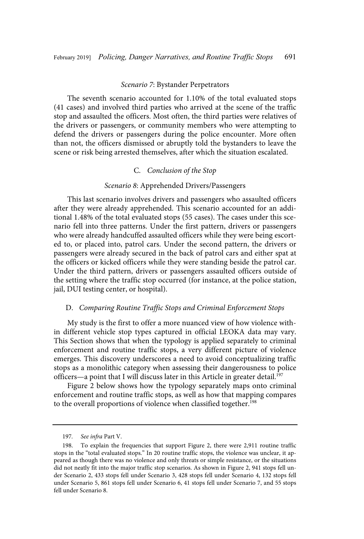#### Scenario 7: Bystander Perpetrators

The seventh scenario accounted for 1.10% of the total evaluated stops (41 cases) and involved third parties who arrived at the scene of the traffic stop and assaulted the officers. Most often, the third parties were relatives of the drivers or passengers, or community members who were attempting to defend the drivers or passengers during the police encounter. More often than not, the officers dismissed or abruptly told the bystanders to leave the scene or risk being arrested themselves, after which the situation escalated.

### C. Conclusion of the Stop

# Scenario 8: Apprehended Drivers/Passengers

This last scenario involves drivers and passengers who assaulted officers after they were already apprehended. This scenario accounted for an additional 1.48% of the total evaluated stops (55 cases). The cases under this scenario fell into three patterns. Under the first pattern, drivers or passengers who were already handcuffed assaulted officers while they were being escorted to, or placed into, patrol cars. Under the second pattern, the drivers or passengers were already secured in the back of patrol cars and either spat at the officers or kicked officers while they were standing beside the patrol car. Under the third pattern, drivers or passengers assaulted officers outside of the setting where the traffic stop occurred (for instance, at the police station, jail, DUI testing center, or hospital).

## D. Comparing Routine Traffic Stops and Criminal Enforcement Stops

My study is the first to offer a more nuanced view of how violence within different vehicle stop types captured in official LEOKA data may vary. This Section shows that when the typology is applied separately to criminal enforcement and routine traffic stops, a very different picture of violence emerges. This discovery underscores a need to avoid conceptualizing traffic stops as a monolithic category when assessing their dangerousness to police officers—a point that I will discuss later in this Article in greater detail.<sup>197</sup>

Figure 2 below shows how the typology separately maps onto criminal enforcement and routine traffic stops, as well as how that mapping compares to the overall proportions of violence when classified together.<sup>198</sup>

<sup>197.</sup> See infra Part V.

<sup>198.</sup> To explain the frequencies that support Figure 2, there were 2,911 routine traffic stops in the "total evaluated stops." In 20 routine traffic stops, the violence was unclear, it appeared as though there was no violence and only threats or simple resistance, or the situations did not neatly fit into the major traffic stop scenarios. As shown in Figure 2, 941 stops fell under Scenario 2, 433 stops fell under Scenario 3, 428 stops fell under Scenario 4, 132 stops fell under Scenario 5, 861 stops fell under Scenario 6, 41 stops fell under Scenario 7, and 55 stops fell under Scenario 8.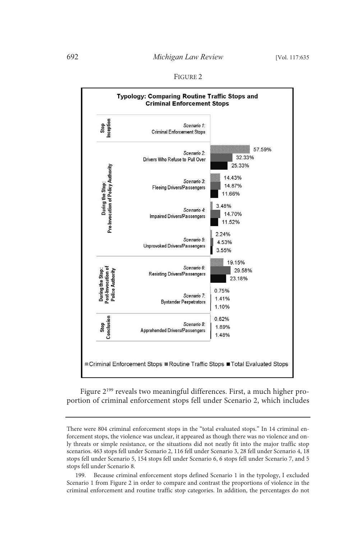# 692 *Michigan Law Review* [Vol. 117:635

#### FIGURE 2



Figure 2<sup>199</sup> reveals two meaningful differences. First, a much higher proportion of criminal enforcement stops fell under Scenario 2, which includes

There were 804 criminal enforcement stops in the "total evaluated stops." In 14 criminal enforcement stops, the violence was unclear, it appeared as though there was no violence and only threats or simple resistance, or the situations did not neatly fit into the major traffic stop scenarios. 463 stops fell under Scenario 2, 116 fell under Scenario 3, 28 fell under Scenario 4, 18 stops fell under Scenario 5, 154 stops fell under Scenario 6, 6 stops fell under Scenario 7, and 5 stops fell under Scenario 8.

<sup>199.</sup> Because criminal enforcement stops defined Scenario 1 in the typology, I excluded Scenario 1 from Figure 2 in order to compare and contrast the proportions of violence in the criminal enforcement and routine traffic stop categories. In addition, the percentages do not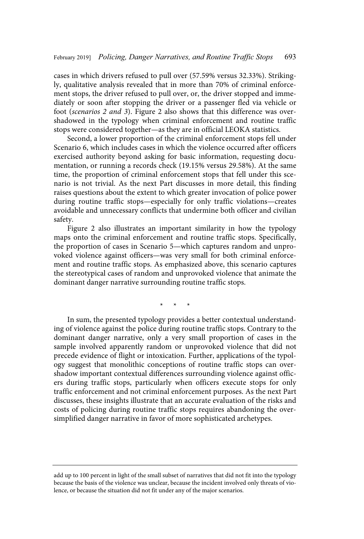cases in which drivers refused to pull over (57.59% versus 32.33%). Strikingly, qualitative analysis revealed that in more than 70% of criminal enforcement stops, the driver refused to pull over, or, the driver stopped and immediately or soon after stopping the driver or a passenger fled via vehicle or foot (scenarios 2 and 3). Figure 2 also shows that this difference was overshadowed in the typology when criminal enforcement and routine traffic stops were considered together—as they are in official LEOKA statistics.

Second, a lower proportion of the criminal enforcement stops fell under Scenario 6, which includes cases in which the violence occurred after officers exercised authority beyond asking for basic information, requesting documentation, or running a records check (19.15% versus 29.58%). At the same time, the proportion of criminal enforcement stops that fell under this scenario is not trivial. As the next Part discusses in more detail, this finding raises questions about the extent to which greater invocation of police power during routine traffic stops—especially for only traffic violations—creates avoidable and unnecessary conflicts that undermine both officer and civilian safety.

Figure 2 also illustrates an important similarity in how the typology maps onto the criminal enforcement and routine traffic stops. Specifically, the proportion of cases in Scenario 5—which captures random and unprovoked violence against officers—was very small for both criminal enforcement and routine traffic stops. As emphasized above, this scenario captures the stereotypical cases of random and unprovoked violence that animate the dominant danger narrative surrounding routine traffic stops.

\* \* \*

In sum, the presented typology provides a better contextual understanding of violence against the police during routine traffic stops. Contrary to the dominant danger narrative, only a very small proportion of cases in the sample involved apparently random or unprovoked violence that did not precede evidence of flight or intoxication. Further, applications of the typology suggest that monolithic conceptions of routine traffic stops can overshadow important contextual differences surrounding violence against officers during traffic stops, particularly when officers execute stops for only traffic enforcement and not criminal enforcement purposes. As the next Part discusses, these insights illustrate that an accurate evaluation of the risks and costs of policing during routine traffic stops requires abandoning the oversimplified danger narrative in favor of more sophisticated archetypes.

add up to 100 percent in light of the small subset of narratives that did not fit into the typology because the basis of the violence was unclear, because the incident involved only threats of violence, or because the situation did not fit under any of the major scenarios.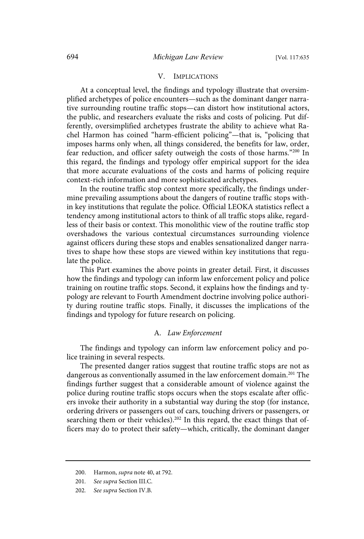#### V. IMPLICATIONS

At a conceptual level, the findings and typology illustrate that oversimplified archetypes of police encounters—such as the dominant danger narrative surrounding routine traffic stops—can distort how institutional actors, the public, and researchers evaluate the risks and costs of policing. Put differently, oversimplified archetypes frustrate the ability to achieve what Rachel Harmon has coined "harm-efficient policing"—that is, "policing that imposes harms only when, all things considered, the benefits for law, order, fear reduction, and officer safety outweigh the costs of those harms."<sup>200</sup> In this regard, the findings and typology offer empirical support for the idea that more accurate evaluations of the costs and harms of policing require context-rich information and more sophisticated archetypes.

In the routine traffic stop context more specifically, the findings undermine prevailing assumptions about the dangers of routine traffic stops within key institutions that regulate the police. Official LEOKA statistics reflect a tendency among institutional actors to think of all traffic stops alike, regardless of their basis or context. This monolithic view of the routine traffic stop overshadows the various contextual circumstances surrounding violence against officers during these stops and enables sensationalized danger narratives to shape how these stops are viewed within key institutions that regulate the police.

This Part examines the above points in greater detail. First, it discusses how the findings and typology can inform law enforcement policy and police training on routine traffic stops. Second, it explains how the findings and typology are relevant to Fourth Amendment doctrine involving police authority during routine traffic stops. Finally, it discusses the implications of the findings and typology for future research on policing.

### A. Law Enforcement

The findings and typology can inform law enforcement policy and police training in several respects.

The presented danger ratios suggest that routine traffic stops are not as dangerous as conventionally assumed in the law enforcement domain.<sup>201</sup> The findings further suggest that a considerable amount of violence against the police during routine traffic stops occurs when the stops escalate after officers invoke their authority in a substantial way during the stop (for instance, ordering drivers or passengers out of cars, touching drivers or passengers, or searching them or their vehicles).<sup>202</sup> In this regard, the exact things that officers may do to protect their safety—which, critically, the dominant danger

<sup>200.</sup> Harmon, supra note 40, at 792.

<sup>201.</sup> See supra Section III.C.

<sup>202.</sup> See supra Section IV.B.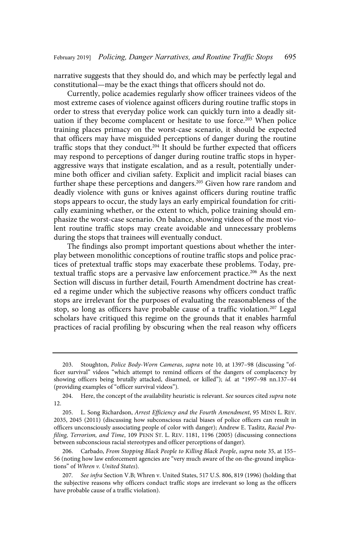narrative suggests that they should do, and which may be perfectly legal and constitutional—may be the exact things that officers should not do.

Currently, police academies regularly show officer trainees videos of the most extreme cases of violence against officers during routine traffic stops in order to stress that everyday police work can quickly turn into a deadly situation if they become complacent or hesitate to use force.<sup>203</sup> When police training places primacy on the worst-case scenario, it should be expected that officers may have misguided perceptions of danger during the routine traffic stops that they conduct.<sup>204</sup> It should be further expected that officers may respond to perceptions of danger during routine traffic stops in hyperaggressive ways that instigate escalation, and as a result, potentially undermine both officer and civilian safety. Explicit and implicit racial biases can further shape these perceptions and dangers.<sup>205</sup> Given how rare random and deadly violence with guns or knives against officers during routine traffic stops appears to occur, the study lays an early empirical foundation for critically examining whether, or the extent to which, police training should emphasize the worst-case scenario. On balance, showing videos of the most violent routine traffic stops may create avoidable and unnecessary problems during the stops that trainees will eventually conduct.

The findings also prompt important questions about whether the interplay between monolithic conceptions of routine traffic stops and police practices of pretextual traffic stops may exacerbate these problems. Today, pretextual traffic stops are a pervasive law enforcement practice.<sup>206</sup> As the next Section will discuss in further detail, Fourth Amendment doctrine has created a regime under which the subjective reasons why officers conduct traffic stops are irrelevant for the purposes of evaluating the reasonableness of the stop, so long as officers have probable cause of a traffic violation.<sup>207</sup> Legal scholars have critiqued this regime on the grounds that it enables harmful practices of racial profiling by obscuring when the real reason why officers

<sup>203.</sup> Stoughton, Police Body-Worn Cameras, supra note 10, at 1397–98 (discussing "officer survival" videos "which attempt to remind officers of the dangers of complacency by showing officers being brutally attacked, disarmed, or killed"); id. at \*1997-98 nn.137-44 (providing examples of "officer survival videos").

<sup>204.</sup> Here, the concept of the availability heuristic is relevant. See sources cited supra note 12.

<sup>205.</sup> L. Song Richardson, Arrest Efficiency and the Fourth Amendment, 95 MINN L. REV. 2035, 2045 (2011) (discussing how subconscious racial biases of police officers can result in officers unconsciously associating people of color with danger); Andrew E. Taslitz, Racial Profiling, Terrorism, and Time, 109 PENN ST. L. REV. 1181, 1196 (2005) (discussing connections between subconscious racial stereotypes and officer perceptions of danger).

<sup>206.</sup> Carbado, From Stopping Black People to Killing Black People, supra note 35, at 155– 56 (noting how law enforcement agencies are "very much aware of the on-the-ground implications" of Whren v. United States).

<sup>207.</sup> See infra Section V.B; Whren v. United States, 517 U.S. 806, 819 (1996) (holding that the subjective reasons why officers conduct traffic stops are irrelevant so long as the officers have probable cause of a traffic violation).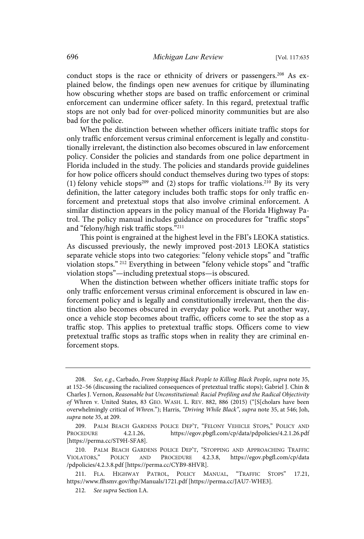conduct stops is the race or ethnicity of drivers or passengers.<sup>208</sup> As explained below, the findings open new avenues for critique by illuminating how obscuring whether stops are based on traffic enforcement or criminal enforcement can undermine officer safety. In this regard, pretextual traffic stops are not only bad for over-policed minority communities but are also bad for the police.

When the distinction between whether officers initiate traffic stops for only traffic enforcement versus criminal enforcement is legally and constitutionally irrelevant, the distinction also becomes obscured in law enforcement policy. Consider the policies and standards from one police department in Florida included in the study. The policies and standards provide guidelines for how police officers should conduct themselves during two types of stops: (1) felony vehicle stops<sup>209</sup> and (2) stops for traffic violations.<sup>210</sup> By its very definition, the latter category includes both traffic stops for only traffic enforcement and pretextual stops that also involve criminal enforcement. A similar distinction appears in the policy manual of the Florida Highway Patrol. The policy manual includes guidance on procedures for "traffic stops" and "felony/high risk traffic stops."<sup>211</sup>

This point is engrained at the highest level in the FBI's LEOKA statistics. As discussed previously, the newly improved post-2013 LEOKA statistics separate vehicle stops into two categories: "felony vehicle stops" and "traffic violation stops." <sup>212</sup> Everything in between "felony vehicle stops" and "traffic violation stops"—including pretextual stops—is obscured.

When the distinction between whether officers initiate traffic stops for only traffic enforcement versus criminal enforcement is obscured in law enforcement policy and is legally and constitutionally irrelevant, then the distinction also becomes obscured in everyday police work. Put another way, once a vehicle stop becomes about traffic, officers come to see the stop as a traffic stop. This applies to pretextual traffic stops. Officers come to view pretextual traffic stops as traffic stops when in reality they are criminal enforcement stops.

<sup>208.</sup> See, e.g., Carbado, From Stopping Black People to Killing Black People, supra note 35, at 152–56 (discussing the racialized consequences of pretextual traffic stops); Gabriel J. Chin & Charles J. Vernon, Reasonable but Unconstitutional: Racial Profiling and the Radical Objectivity of Whren v. United States, 83 GEO. WASH. L. REV. 882, 886 (2015) ("[S[cholars have been overwhelmingly critical of Whren."); Harris, "Driving While Black", supra note 35, at 546; Joh, supra note 35, at 209.

<sup>209.</sup> PALM BEACH GARDENS POLICE DEP'T, "FELONY VEHICLE STOPS," POLICY AND PROCEDURE 4.2.1.26, https://egov.pbgfl.com/cp/data/pdpolicies/4.2.1.26.pdf [https://perma.cc/ST9H-SFA8].

<sup>210.</sup> PALM BEACH GARDENS POLICE DEP'T, "STOPPING AND APPROACHING TRAFFIC VIOLATORS," POLICY AND PROCEDURE 4.2.3.8, https://egov.pbgfl.com/cp/data POLICY AND PROCEDURE 4.2.3.8, https://egov.pbgfl.com/cp/data /pdpolicies/4.2.3.8.pdf [https://perma.cc/CYB9-8HVR].

<sup>211.</sup> FLA. HIGHWAY PATROL, POLICY MANUAL, "TRAFFIC STOPS" 17.21, https://www.flhsmv.gov/fhp/Manuals/1721.pdf [https://perma.cc/JAU7-WHE3].

<sup>212.</sup> See supra Section I.A.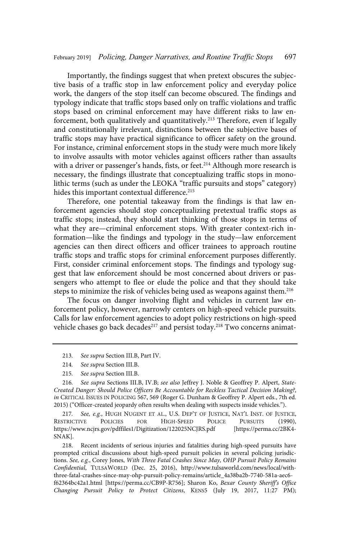Importantly, the findings suggest that when pretext obscures the subjective basis of a traffic stop in law enforcement policy and everyday police work, the dangers of the stop itself can become obscured. The findings and typology indicate that traffic stops based only on traffic violations and traffic stops based on criminal enforcement may have different risks to law enforcement, both qualitatively and quantitatively.<sup>213</sup> Therefore, even if legally and constitutionally irrelevant, distinctions between the subjective bases of traffic stops may have practical significance to officer safety on the ground. For instance, criminal enforcement stops in the study were much more likely to involve assaults with motor vehicles against officers rather than assaults with a driver or passenger's hands, fists, or feet.<sup>214</sup> Although more research is necessary, the findings illustrate that conceptualizing traffic stops in monolithic terms (such as under the LEOKA "traffic pursuits and stops" category) hides this important contextual difference.<sup>215</sup>

Therefore, one potential takeaway from the findings is that law enforcement agencies should stop conceptualizing pretextual traffic stops as traffic stops; instead, they should start thinking of those stops in terms of what they are—criminal enforcement stops. With greater context-rich information—like the findings and typology in the study—law enforcement agencies can then direct officers and officer trainees to approach routine traffic stops and traffic stops for criminal enforcement purposes differently. First, consider criminal enforcement stops. The findings and typology suggest that law enforcement should be most concerned about drivers or passengers who attempt to flee or elude the police and that they should take steps to minimize the risk of vehicles being used as weapons against them.<sup>216</sup>

The focus on danger involving flight and vehicles in current law enforcement policy, however, narrowly centers on high-speed vehicle pursuits. Calls for law enforcement agencies to adopt policy restrictions on high-speed vehicle chases go back decades<sup>217</sup> and persist today.<sup>218</sup> Two concerns animat-

- 213. See supra Section III.B, Part IV.
- 214. See supra Section III.B.
- 215. See supra Section III.B.

218. Recent incidents of serious injuries and fatalities during high-speed pursuits have prompted critical discussions about high-speed pursuit policies in several policing jurisdictions. See, e.g., Corey Jones, With Three Fatal Crashes Since May, OHP Pursuit Policy Remains Confidential, TULSAWORLD (Dec. 25, 2016), http://www.tulsaworld.com/news/local/withthree-fatal-crashes-since-may-ohp-pursuit-policy-remains/article\_4a38ba2b-7740-581a-aec6 f62364bc42a1.html [https://perma.cc/CB9P-R756]; Sharon Ko, Bexar County Sheriff's Office Changing Pursuit Policy to Protect Citizens, KENS5 (July 19, 2017, 11:27 PM);

<sup>216</sup> . See supra Sections III.B, IV.B; see also Jeffrey J. Noble & Geoffrey P. Alpert, State-Created Danger: Should Police Officers Be Accountable for Reckless Tactical Decision Making?, in CRITICAL ISSUES IN POLICING 567, 569 (Roger G. Dunham & Geoffrey P. Alpert eds., 7th ed. 2015) ("Officer-created jeopardy often results when dealing with suspects inside vehicles.").

<sup>217.</sup> See, e.g., HUGH NUGENT ET AL., U.S. DEP'T OF JUSTICE, NAT'L INST. OF JUSTICE,<br>STRICTIVE POLICIES FOR HIGH-SPEED POLICE PURSUITS (1990), RESTRICTIVE POLICIES FOR HIGH-SPEED POLICE PURSUITS (1990), https://www.ncjrs.gov/pdffiles1/Digitization/122025NCJRS.pdf [https://perma.cc/2BK4- SNAK].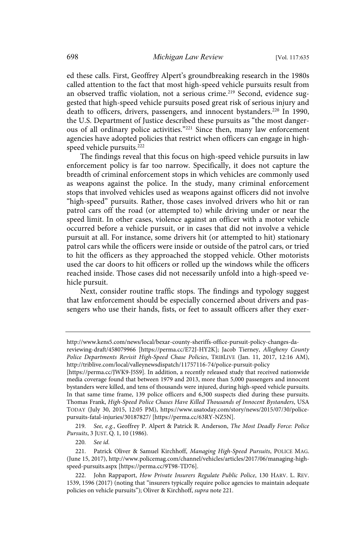ed these calls. First, Geoffrey Alpert's groundbreaking research in the 1980s called attention to the fact that most high-speed vehicle pursuits result from an observed traffic violation, not a serious crime.<sup>219</sup> Second, evidence suggested that high-speed vehicle pursuits posed great risk of serious injury and death to officers, drivers, passengers, and innocent bystanders.<sup>220</sup> In 1990, the U.S. Department of Justice described these pursuits as "the most dangerous of all ordinary police activities."<sup>221</sup> Since then, many law enforcement agencies have adopted policies that restrict when officers can engage in highspeed vehicle pursuits.<sup>222</sup>

The findings reveal that this focus on high-speed vehicle pursuits in law enforcement policy is far too narrow. Specifically, it does not capture the breadth of criminal enforcement stops in which vehicles are commonly used as weapons against the police. In the study, many criminal enforcement stops that involved vehicles used as weapons against officers did not involve "high-speed" pursuits. Rather, those cases involved drivers who hit or ran patrol cars off the road (or attempted to) while driving under or near the speed limit. In other cases, violence against an officer with a motor vehicle occurred before a vehicle pursuit, or in cases that did not involve a vehicle pursuit at all. For instance, some drivers hit (or attempted to hit) stationary patrol cars while the officers were inside or outside of the patrol cars, or tried to hit the officers as they approached the stopped vehicle. Other motorists used the car doors to hit officers or rolled up the windows while the officers reached inside. Those cases did not necessarily unfold into a high-speed vehicle pursuit.

Next, consider routine traffic stops. The findings and typology suggest that law enforcement should be especially concerned about drivers and passengers who use their hands, fists, or feet to assault officers after they exer-

219. See, e.g., Geoffrey P. Alpert & Patrick R. Anderson, The Most Deadly Force: Police Pursuits, 3 JUST. Q. 1, 10 (1986).

220. See id.

http://www.kens5.com/news/local/bexar-county-sheriffs-office-pursuit-policy-changes-da-

reviewing-draft/458079966 [https://perma.cc/E72J-HY2K]; Jacob Tierney, Allegheny County Police Departments Revisit High-Speed Chase Policies, TRIBLIVE (Jan. 11, 2017, 12:16 AM), http://triblive.com/local/valleynewsdispatch/11757116-74/police-pursuit-policy

<sup>[</sup>https://perma.cc/JWK9-J5S9]. In addition, a recently released study that received nationwide media coverage found that between 1979 and 2013, more than 5,000 passengers and innocent bystanders were killed, and tens of thousands were injured, during high-speed vehicle pursuits. In that same time frame, 139 police officers and 6,300 suspects died during these pursuits. Thomas Frank, High-Speed Police Chases Have Killed Thousands of Innocent Bystanders, USA TODAY (July 30, 2015, 12:05 PM), https://www.usatoday.com/story/news/2015/07/30/policepursuits-fatal-injuries/30187827/ [https://perma.cc/63RY-NZ5N].

<sup>221.</sup> Patrick Oliver & Samuel Kirchhoff, Managing High-Speed Pursuits, POLICE MAG. (June 15, 2017), http://www.policemag.com/channel/vehicles/articles/2017/06/managing-highspeed-pursuits.aspx [https://perma.cc/9T98-TD76].

<sup>222.</sup> John Rappaport, How Private Insurers Regulate Public Police, 130 HARV. L. REV. 1539, 1596 (2017) (noting that "insurers typically require police agencies to maintain adequate policies on vehicle pursuits"); Oliver & Kirchhoff, supra note 221.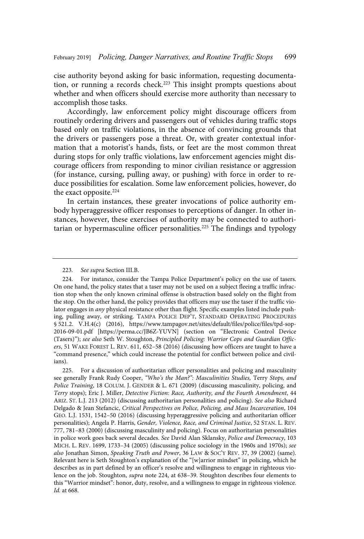cise authority beyond asking for basic information, requesting documentation, or running a records check.<sup>223</sup> This insight prompts questions about whether and when officers should exercise more authority than necessary to accomplish those tasks.

Accordingly, law enforcement policy might discourage officers from routinely ordering drivers and passengers out of vehicles during traffic stops based only on traffic violations, in the absence of convincing grounds that the drivers or passengers pose a threat. Or, with greater contextual information that a motorist's hands, fists, or feet are the most common threat during stops for only traffic violations, law enforcement agencies might discourage officers from responding to minor civilian resistance or aggression (for instance, cursing, pulling away, or pushing) with force in order to reduce possibilities for escalation. Some law enforcement policies, however, do the exact opposite. $224$ 

In certain instances, these greater invocations of police authority embody hyperaggressive officer responses to perceptions of danger. In other instances, however, these exercises of authority may be connected to authoritarian or hypermasculine officer personalities.<sup>225</sup> The findings and typology

<sup>223.</sup> See supra Section III.B.

<sup>224.</sup> For instance, consider the Tampa Police Department's policy on the use of tasers. On one hand, the policy states that a taser may not be used on a subject fleeing a traffic infraction stop when the only known criminal offense is obstruction based solely on the flight from the stop. On the other hand, the policy provides that officers may use the taser if the traffic violator engages in any physical resistance other than flight. Specific examples listed include pushing, pulling away, or striking. TAMPA POLICE DEP'T, STANDARD OPERATING PROCEDURES § 521.2. V.H.4(c) (2016), https://www.tampagov.net/sites/default/files/police/files/tpd-sop-2016-09-01.pdf [https://perma.cc/JB6Z-YUVN] (section on "Electronic Control Device (Tasers)"); see also Seth W. Stoughton, Principled Policing: Warrior Cops and Guardian Officers, 51 WAKE FOREST L. REV. 611, 652–58 (2016) (discussing how officers are taught to have a "command presence," which could increase the potential for conflict between police and civilians).

<sup>225.</sup> For a discussion of authoritarian officer personalities and policing and masculinity see generally Frank Rudy Cooper, "Who's the Man?": Masculinities Studies, Terry Stops, and Police Training, 18 COLUM. J. GENDER & L. 671 (2009) (discussing masculinity, policing, and Terry stops); Eric J. Miller, Detective Fiction: Race, Authority, and the Fourth Amendment, 44 ARIZ. ST. L.J. 213 (2012) (discussing authoritarian personalities and policing). See also Richard Delgado & Jean Stefancic, Critical Perspectives on Police, Policing, and Mass Incarceration, 104 GEO. L.J. 1531, 1542–50 (2016) (discussing hyperaggressive policing and authoritarian officer personalities); Angela P. Harris, Gender, Violence, Race, and Criminal Justice, 52 STAN. L. REV. 777, 781–83 (2000) (discussing masculinity and policing). Focus on authoritarian personalities in police work goes back several decades. See David Alan Sklansky, Police and Democracy, 103 MICH. L. REV. 1699, 1733–34 (2005) (discussing police sociology in the 1960s and 1970s); see also Jonathan Simon, Speaking Truth and Power, 36 LAW & SOC'Y REV. 37, 39 (2002) (same). Relevant here is Seth Stoughton's explanation of the "[w]arrior mindset" in policing, which he describes as in part defined by an officer's resolve and willingness to engage in righteous violence on the job. Stoughton, supra note 224, at 638–39. Stoughton describes four elements to this "Warrior mindset": honor, duty, resolve, and a willingness to engage in righteous violence. Id. at 668.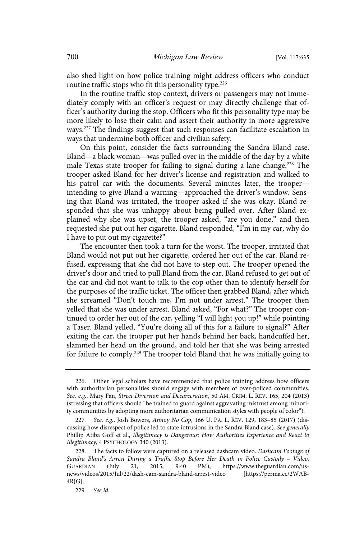also shed light on how police training might address officers who conduct routine traffic stops who fit this personality type.<sup>226</sup>

In the routine traffic stop context, drivers or passengers may not immediately comply with an officer's request or may directly challenge that officer's authority during the stop. Officers who fit this personality type may be more likely to lose their calm and assert their authority in more aggressive ways.<sup>227</sup> The findings suggest that such responses can facilitate escalation in ways that undermine both officer and civilian safety.

On this point, consider the facts surrounding the Sandra Bland case. Bland—a black woman—was pulled over in the middle of the day by a white male Texas state trooper for failing to signal during a lane change.<sup>228</sup> The trooper asked Bland for her driver's license and registration and walked to his patrol car with the documents. Several minutes later, the trooper intending to give Bland a warning—approached the driver's window. Sensing that Bland was irritated, the trooper asked if she was okay. Bland responded that she was unhappy about being pulled over. After Bland explained why she was upset, the trooper asked, "are you done," and then requested she put out her cigarette. Bland responded, "I'm in my car, why do I have to put out my cigarette?"

The encounter then took a turn for the worst. The trooper, irritated that Bland would not put out her cigarette, ordered her out of the car. Bland refused, expressing that she did not have to step out. The trooper opened the driver's door and tried to pull Bland from the car. Bland refused to get out of the car and did not want to talk to the cop other than to identify herself for the purposes of the traffic ticket. The officer then grabbed Bland, after which she screamed "Don't touch me, I'm not under arrest." The trooper then yelled that she was under arrest. Bland asked, "For what?" The trooper continued to order her out of the car, yelling "I will light you up!" while pointing a Taser. Bland yelled, "You're doing all of this for a failure to signal?" After exiting the car, the trooper put her hands behind her back, handcuffed her, slammed her head on the ground, and told her that she was being arrested for failure to comply.<sup>229</sup> The trooper told Bland that he was initially going to

<sup>226.</sup> Other legal scholars have recommended that police training address how officers with authoritarian personalities should engage with members of over-policed communities. See, e.g., Mary Fan, Street Diversion and Decarceration, 50 AM. CRIM. L. REV. 165, 204 (2013) (stressing that officers should "be trained to guard against aggravating mistrust among minority communities by adopting more authoritarian communication styles with people of color").

<sup>227.</sup> See, e.g., Josh Bowers, Annoy No Cop, 166 U. PA. L. REV. 129, 183-85 (2017) (discussing how disrespect of police led to state intrusions in the Sandra Bland case). See generally Phillip Atiba Goff et al., Illegitimacy is Dangerous: How Authorities Experience and React to Illegitimacy, 4 PSYCHOLOGY 340 (2013).

<sup>228.</sup> The facts to follow were captured on a released dashcam video. Dashcam Footage of Sandra Bland's Arrest During a Traffic Stop Before Her Death in Police Custody – Video, GUARDIAN (July 21, 2015, 9:40 PM), https://www.theguardian.com/usnews/videos/2015/Jul/22/dash-cam-sandra-bland-arrest-video [https://perma.cc/2WAB-4RJG].

<sup>229.</sup> See id.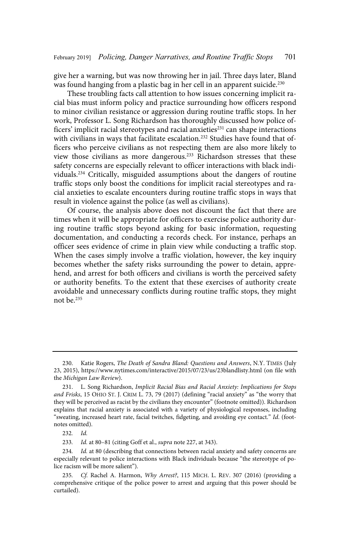give her a warning, but was now throwing her in jail. Three days later, Bland was found hanging from a plastic bag in her cell in an apparent suicide.<sup>230</sup>

These troubling facts call attention to how issues concerning implicit racial bias must inform policy and practice surrounding how officers respond to minor civilian resistance or aggression during routine traffic stops. In her work, Professor L. Song Richardson has thoroughly discussed how police officers' implicit racial stereotypes and racial anxieties $^{231}$  can shape interactions with civilians in ways that facilitate escalation.<sup>232</sup> Studies have found that officers who perceive civilians as not respecting them are also more likely to view those civilians as more dangerous.<sup>233</sup> Richardson stresses that these safety concerns are especially relevant to officer interactions with black individuals.<sup>234</sup> Critically, misguided assumptions about the dangers of routine traffic stops only boost the conditions for implicit racial stereotypes and racial anxieties to escalate encounters during routine traffic stops in ways that result in violence against the police (as well as civilians).

Of course, the analysis above does not discount the fact that there are times when it will be appropriate for officers to exercise police authority during routine traffic stops beyond asking for basic information, requesting documentation, and conducting a records check. For instance, perhaps an officer sees evidence of crime in plain view while conducting a traffic stop. When the cases simply involve a traffic violation, however, the key inquiry becomes whether the safety risks surrounding the power to detain, apprehend, and arrest for both officers and civilians is worth the perceived safety or authority benefits. To the extent that these exercises of authority create avoidable and unnecessary conflicts during routine traffic stops, they might not be.<sup>235</sup>

<sup>230.</sup> Katie Rogers, The Death of Sandra Bland: Questions and Answers, N.Y. TIMES (July 23, 2015), https://www.nytimes.com/interactive/2015/07/23/us/23blandlisty.html (on file with the Michigan Law Review).

<sup>231.</sup> L. Song Richardson, Implicit Racial Bias and Racial Anxiety: Implications for Stops and Frisks, 15 OHIO ST. J. CRIM L. 73, 79 (2017) (defining "racial anxiety" as "the worry that they will be perceived as racist by the civilians they encounter" (footnote omitted)). Richardson explains that racial anxiety is associated with a variety of physiological responses, including "sweating, increased heart rate, facial twitches, fidgeting, and avoiding eye contact." Id. (footnotes omitted).

<sup>232.</sup> Id.

<sup>233.</sup> Id. at 80-81 (citing Goff et al., *supra* note 227, at 343).

<sup>234.</sup> Id. at 80 (describing that connections between racial anxiety and safety concerns are especially relevant to police interactions with Black individuals because "the stereotype of police racism will be more salient").

<sup>235.</sup> Cf. Rachel A. Harmon, Why Arrest?, 115 MICH. L. REV. 307 (2016) (providing a comprehensive critique of the police power to arrest and arguing that this power should be curtailed).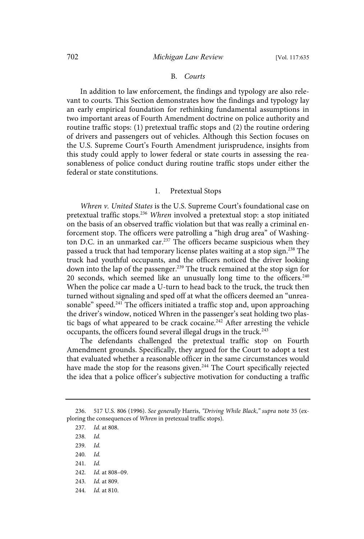#### B. Courts

In addition to law enforcement, the findings and typology are also relevant to courts. This Section demonstrates how the findings and typology lay an early empirical foundation for rethinking fundamental assumptions in two important areas of Fourth Amendment doctrine on police authority and routine traffic stops: (1) pretextual traffic stops and (2) the routine ordering of drivers and passengers out of vehicles. Although this Section focuses on the U.S. Supreme Court's Fourth Amendment jurisprudence, insights from this study could apply to lower federal or state courts in assessing the reasonableness of police conduct during routine traffic stops under either the federal or state constitutions.

## 1. Pretextual Stops

Whren v. United States is the U.S. Supreme Court's foundational case on pretextual traffic stops.<sup>236</sup> Whren involved a pretextual stop: a stop initiated on the basis of an observed traffic violation but that was really a criminal enforcement stop. The officers were patrolling a "high drug area" of Washington D.C. in an unmarked car.<sup>237</sup> The officers became suspicious when they passed a truck that had temporary license plates waiting at a stop sign.<sup>238</sup> The truck had youthful occupants, and the officers noticed the driver looking down into the lap of the passenger.<sup>239</sup> The truck remained at the stop sign for 20 seconds, which seemed like an unusually long time to the officers. $240$ When the police car made a U-turn to head back to the truck, the truck then turned without signaling and sped off at what the officers deemed an "unreasonable" speed.<sup>241</sup> The officers initiated a traffic stop and, upon approaching the driver's window, noticed Whren in the passenger's seat holding two plastic bags of what appeared to be crack cocaine.<sup>242</sup> After arresting the vehicle occupants, the officers found several illegal drugs in the truck.<sup>243</sup>

The defendants challenged the pretextual traffic stop on Fourth Amendment grounds. Specifically, they argued for the Court to adopt a test that evaluated whether a reasonable officer in the same circumstances would have made the stop for the reasons given.<sup>244</sup> The Court specifically rejected the idea that a police officer's subjective motivation for conducting a traffic

- $240.$   $Id.$
- $241.$   $Id.$
- 242. *Id.* at 808-09.
- 243. *Id.* at 809.
- 244. *Id.* at 810.

<sup>236. 517</sup> U.S. 806 (1996). See generally Harris, "Driving While Black," supra note 35 (exploring the consequences of Whren in pretexual traffic stops).

<sup>237.</sup> *Id.* at 808.

<sup>238.</sup> Id.

<sup>239.</sup> Id.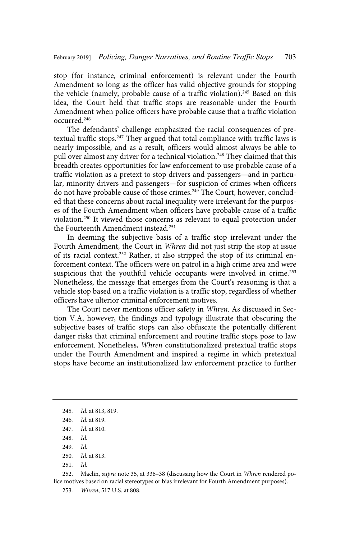stop (for instance, criminal enforcement) is relevant under the Fourth Amendment so long as the officer has valid objective grounds for stopping the vehicle (namely, probable cause of a traffic violation).<sup>245</sup> Based on this idea, the Court held that traffic stops are reasonable under the Fourth Amendment when police officers have probable cause that a traffic violation occurred.<sup>246</sup>

The defendants' challenge emphasized the racial consequences of pretextual traffic stops.<sup>247</sup> They argued that total compliance with traffic laws is nearly impossible, and as a result, officers would almost always be able to pull over almost any driver for a technical violation.<sup>248</sup> They claimed that this breadth creates opportunities for law enforcement to use probable cause of a traffic violation as a pretext to stop drivers and passengers—and in particular, minority drivers and passengers—for suspicion of crimes when officers do not have probable cause of those crimes.<sup>249</sup> The Court, however, concluded that these concerns about racial inequality were irrelevant for the purposes of the Fourth Amendment when officers have probable cause of a traffic violation.<sup>250</sup> It viewed those concerns as relevant to equal protection under the Fourteenth Amendment instead.<sup>251</sup>

In deeming the subjective basis of a traffic stop irrelevant under the Fourth Amendment, the Court in Whren did not just strip the stop at issue of its racial context.<sup>252</sup> Rather, it also stripped the stop of its criminal enforcement context. The officers were on patrol in a high crime area and were suspicious that the youthful vehicle occupants were involved in crime.<sup>253</sup> Nonetheless, the message that emerges from the Court's reasoning is that a vehicle stop based on a traffic violation is a traffic stop, regardless of whether officers have ulterior criminal enforcement motives.

The Court never mentions officer safety in Whren. As discussed in Section V.A, however, the findings and typology illustrate that obscuring the subjective bases of traffic stops can also obfuscate the potentially different danger risks that criminal enforcement and routine traffic stops pose to law enforcement. Nonetheless, Whren constitutionalized pretextual traffic stops under the Fourth Amendment and inspired a regime in which pretextual stops have become an institutionalized law enforcement practice to further

252. Maclin, *supra* note 35, at 336–38 (discussing how the Court in Whren rendered police motives based on racial stereotypes or bias irrelevant for Fourth Amendment purposes).

253. Whren, 517 U.S. at 808.

<sup>245.</sup> *Id.* at 813, 819.

<sup>246.</sup> *Id.* at 819.

<sup>247.</sup> *Id.* at 810.

<sup>248.</sup> Id.

<sup>249.</sup> Id.

<sup>250.</sup> *Id.* at 813.

 $251.$   $Id.$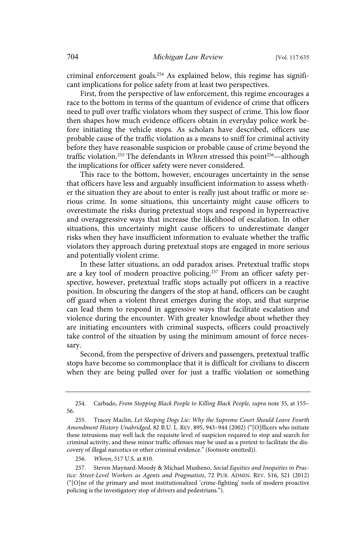criminal enforcement goals.<sup>254</sup> As explained below, this regime has significant implications for police safety from at least two perspectives.

First, from the perspective of law enforcement, this regime encourages a race to the bottom in terms of the quantum of evidence of crime that officers need to pull over traffic violators whom they suspect of crime. This low floor then shapes how much evidence officers obtain in everyday police work before initiating the vehicle stops. As scholars have described, officers use probable cause of the traffic violation as a means to sniff for criminal activity before they have reasonable suspicion or probable cause of crime beyond the traffic violation.<sup>255</sup> The defendants in Whren stressed this point<sup>256</sup>—although the implications for officer safety were never considered.

This race to the bottom, however, encourages uncertainty in the sense that officers have less and arguably insufficient information to assess whether the situation they are about to enter is really just about traffic or more serious crime. In some situations, this uncertainty might cause officers to overestimate the risks during pretextual stops and respond in hyperreactive and overaggressive ways that increase the likelihood of escalation. In other situations, this uncertainty might cause officers to underestimate danger risks when they have insufficient information to evaluate whether the traffic violators they approach during pretextual stops are engaged in more serious and potentially violent crime.

In these latter situations, an odd paradox arises. Pretextual traffic stops are a key tool of modern proactive policing.<sup>257</sup> From an officer safety perspective, however, pretextual traffic stops actually put officers in a reactive position. In obscuring the dangers of the stop at hand, officers can be caught off guard when a violent threat emerges during the stop, and that surprise can lead them to respond in aggressive ways that facilitate escalation and violence during the encounter. With greater knowledge about whether they are initiating encounters with criminal suspects, officers could proactively take control of the situation by using the minimum amount of force necessary.

Second, from the perspective of drivers and passengers, pretextual traffic stops have become so commonplace that it is difficult for civilians to discern when they are being pulled over for just a traffic violation or something

256. *Whren*, 517 U.S. at 810.

<sup>254.</sup> Carbado, From Stopping Black People to Killing Black People, supra note 35, at 155– 56.

<sup>255.</sup> Tracey Maclin, Let Sleeping Dogs Lie: Why the Supreme Court Should Leave Fourth Amendment History Unabridged, 82 B.U. L. REV. 895, 943–944 (2002) ("[O]fficers who initiate these intrusions may well lack the requisite level of suspicion required to stop and search for criminal activity, and these minor traffic offenses may be used as a pretext to facilitate the discovery of illegal narcotics or other criminal evidence." (footnote omitted)).

<sup>257.</sup> Steven Maynard-Moody & Michael Musheno, Social Equities and Inequities in Practice: Street-Level Workers as Agents and Pragmatists, 72 PUB. ADMIN. REV. S16, S21 (2012) ("[O]ne of the primary and most institutionalized 'crime-fighting' tools of modern proactive policing is the investigatory stop of drivers and pedestrians.").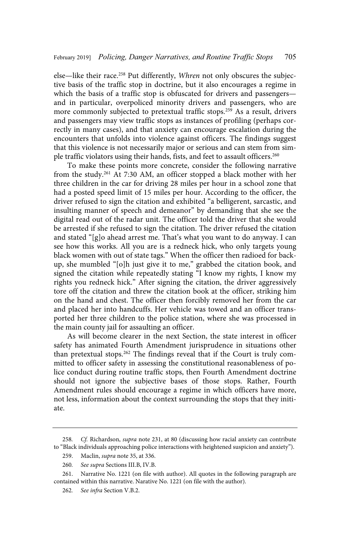else—like their race.<sup>258</sup> Put differently, Whren not only obscures the subjective basis of the traffic stop in doctrine, but it also encourages a regime in which the basis of a traffic stop is obfuscated for drivers and passengersand in particular, overpoliced minority drivers and passengers, who are more commonly subjected to pretextual traffic stops.<sup>259</sup> As a result, drivers and passengers may view traffic stops as instances of profiling (perhaps correctly in many cases), and that anxiety can encourage escalation during the encounters that unfolds into violence against officers. The findings suggest that this violence is not necessarily major or serious and can stem from simple traffic violators using their hands, fists, and feet to assault officers.<sup>260</sup>

To make these points more concrete, consider the following narrative from the study.<sup>261</sup> At 7:30 AM, an officer stopped a black mother with her three children in the car for driving 28 miles per hour in a school zone that had a posted speed limit of 15 miles per hour. According to the officer, the driver refused to sign the citation and exhibited "a belligerent, sarcastic, and insulting manner of speech and demeanor" by demanding that she see the digital read out of the radar unit. The officer told the driver that she would be arrested if she refused to sign the citation. The driver refused the citation and stated "[g]o ahead arrest me. That's what you want to do anyway. I can see how this works. All you are is a redneck hick, who only targets young black women with out of state tags." When the officer then radioed for backup, she mumbled "[o]h just give it to me," grabbed the citation book, and signed the citation while repeatedly stating "I know my rights, I know my rights you redneck hick." After signing the citation, the driver aggressively tore off the citation and threw the citation book at the officer, striking him on the hand and chest. The officer then forcibly removed her from the car and placed her into handcuffs. Her vehicle was towed and an officer transported her three children to the police station, where she was processed in the main county jail for assaulting an officer.

As will become clearer in the next Section, the state interest in officer safety has animated Fourth Amendment jurisprudence in situations other than pretextual stops.<sup>262</sup> The findings reveal that if the Court is truly committed to officer safety in assessing the constitutional reasonableness of police conduct during routine traffic stops, then Fourth Amendment doctrine should not ignore the subjective bases of those stops. Rather, Fourth Amendment rules should encourage a regime in which officers have more, not less, information about the context surrounding the stops that they initiate.

<sup>258.</sup> Cf. Richardson, supra note 231, at 80 (discussing how racial anxiety can contribute to "Black individuals approaching police interactions with heightened suspicion and anxiety").

<sup>259.</sup> Maclin, supra note 35, at 336.

<sup>260.</sup> See supra Sections III.B, IV.B.

<sup>261.</sup> Narrative No. 1221 (on file with author). All quotes in the following paragraph are contained within this narrative. Narative No. 1221 (on file with the author).

<sup>262.</sup> See infra Section V.B.2.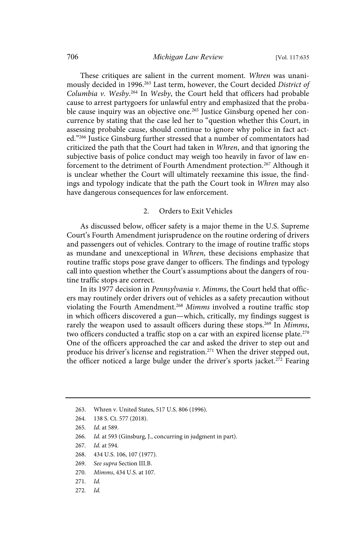These critiques are salient in the current moment. Whren was unanimously decided in 1996.<sup>263</sup> Last term, however, the Court decided District of Columbia v. Wesby.<sup>264</sup> In Wesby, the Court held that officers had probable cause to arrest partygoers for unlawful entry and emphasized that the probable cause inquiry was an objective one.<sup>265</sup> Justice Ginsburg opened her concurrence by stating that the case led her to "question whether this Court, in assessing probable cause, should continue to ignore why police in fact acted."<sup>266</sup> Justice Ginsburg further stressed that a number of commentators had criticized the path that the Court had taken in Whren, and that ignoring the subjective basis of police conduct may weigh too heavily in favor of law enforcement to the detriment of Fourth Amendment protection.<sup>267</sup> Although it is unclear whether the Court will ultimately reexamine this issue, the findings and typology indicate that the path the Court took in Whren may also have dangerous consequences for law enforcement.

## 2. Orders to Exit Vehicles

As discussed below, officer safety is a major theme in the U.S. Supreme Court's Fourth Amendment jurisprudence on the routine ordering of drivers and passengers out of vehicles. Contrary to the image of routine traffic stops as mundane and unexceptional in Whren, these decisions emphasize that routine traffic stops pose grave danger to officers. The findings and typology call into question whether the Court's assumptions about the dangers of routine traffic stops are correct.

In its 1977 decision in Pennsylvania v. Mimms, the Court held that officers may routinely order drivers out of vehicles as a safety precaution without violating the Fourth Amendment.<sup>268</sup> Mimms involved a routine traffic stop in which officers discovered a gun—which, critically, my findings suggest is rarely the weapon used to assault officers during these stops.<sup>269</sup> In Mimms, two officers conducted a traffic stop on a car with an expired license plate.<sup>270</sup> One of the officers approached the car and asked the driver to step out and produce his driver's license and registration.<sup>271</sup> When the driver stepped out, the officer noticed a large bulge under the driver's sports jacket.<sup>272</sup> Fearing

- 268. 434 U.S. 106, 107 (1977).
- 269. See supra Section III.B.
- 270. Mimms, 434 U.S. at 107.
- $271.$   $Id.$
- 272. Id.

<sup>263.</sup> Whren v. United States, 517 U.S. 806 (1996).

<sup>264. 138</sup> S. Ct. 577 (2018).

<sup>265.</sup> *Id.* at 589.

<sup>266.</sup> Id. at 593 (Ginsburg, J., concurring in judgment in part).

<sup>267.</sup> *Id.* at 594.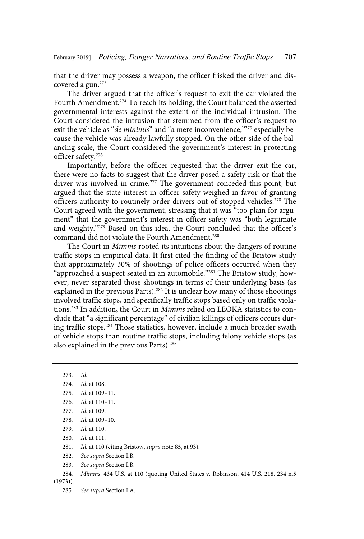that the driver may possess a weapon, the officer frisked the driver and discovered a gun.<sup>273</sup>

The driver argued that the officer's request to exit the car violated the Fourth Amendment.<sup>274</sup> To reach its holding, the Court balanced the asserted governmental interests against the extent of the individual intrusion. The Court considered the intrusion that stemmed from the officer's request to exit the vehicle as "*de minimis*" and "a mere inconvenience,"<sup>275</sup> especially because the vehicle was already lawfully stopped. On the other side of the balancing scale, the Court considered the government's interest in protecting officer safety.<sup>276</sup>

Importantly, before the officer requested that the driver exit the car, there were no facts to suggest that the driver posed a safety risk or that the driver was involved in crime.<sup>277</sup> The government conceded this point, but argued that the state interest in officer safety weighed in favor of granting officers authority to routinely order drivers out of stopped vehicles.<sup>278</sup> The Court agreed with the government, stressing that it was "too plain for argument" that the government's interest in officer safety was "both legitimate and weighty."<sup>279</sup> Based on this idea, the Court concluded that the officer's command did not violate the Fourth Amendment.<sup>280</sup>

The Court in Mimms rooted its intuitions about the dangers of routine traffic stops in empirical data. It first cited the finding of the Bristow study that approximately 30% of shootings of police officers occurred when they "approached a suspect seated in an automobile."<sup>281</sup> The Bristow study, however, never separated those shootings in terms of their underlying basis (as explained in the previous Parts).<sup>282</sup> It is unclear how many of those shootings involved traffic stops, and specifically traffic stops based only on traffic violations.<sup>283</sup> In addition, the Court in Mimms relied on LEOKA statistics to conclude that "a significant percentage" of civilian killings of officers occurs during traffic stops.<sup>284</sup> Those statistics, however, include a much broader swath of vehicle stops than routine traffic stops, including felony vehicle stops (as also explained in the previous Parts).<sup>285</sup>

 $273.$   $Id.$ 274. *Id.* at 108. 275. *Id.* at 109-11. 276. *Id.* at 110-11. 277. *Id.* at 109. 278. *Id.* at 109-10. 279. *Id.* at 110. 280. *Id.* at 111. 281. Id. at 110 (citing Bristow, *supra* note 85, at 93). 282. See supra Section I.B. 283. See supra Section I.B. 284. *Mimms*, 434 U.S. at 110 (quoting United States v. Robinson, 414 U.S. 218, 234 n.5 (1973)).

285. See supra Section I.A.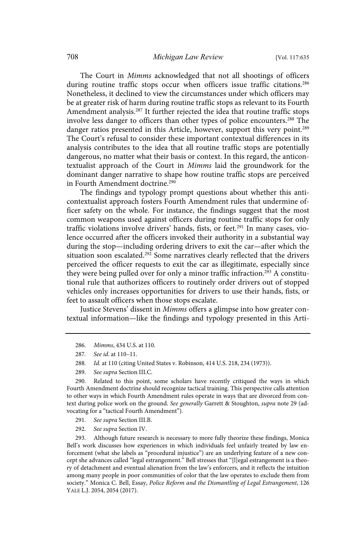The Court in Mimms acknowledged that not all shootings of officers during routine traffic stops occur when officers issue traffic citations.<sup>286</sup> Nonetheless, it declined to view the circumstances under which officers may be at greater risk of harm during routine traffic stops as relevant to its Fourth Amendment analysis.<sup>287</sup> It further rejected the idea that routine traffic stops involve less danger to officers than other types of police encounters.<sup>288</sup> The danger ratios presented in this Article, however, support this very point.<sup>289</sup> The Court's refusal to consider these important contextual differences in its analysis contributes to the idea that all routine traffic stops are potentially dangerous, no matter what their basis or context. In this regard, the anticontextualist approach of the Court in Mimms laid the groundwork for the dominant danger narrative to shape how routine traffic stops are perceived in Fourth Amendment doctrine.<sup>290</sup>

The findings and typology prompt questions about whether this anticontextualist approach fosters Fourth Amendment rules that undermine officer safety on the whole. For instance, the findings suggest that the most common weapons used against officers during routine traffic stops for only traffic violations involve drivers' hands, fists, or feet.<sup>291</sup> In many cases, violence occurred after the officers invoked their authority in a substantial way during the stop—including ordering drivers to exit the car—after which the situation soon escalated.<sup>292</sup> Some narratives clearly reflected that the drivers perceived the officer requests to exit the car as illegitimate, especially since they were being pulled over for only a minor traffic infraction.<sup>293</sup> A constitutional rule that authorizes officers to routinely order drivers out of stopped vehicles only increases opportunities for drivers to use their hands, fists, or feet to assault officers when those stops escalate.

Justice Stevens' dissent in Mimms offers a glimpse into how greater contextual information—like the findings and typology presented in this Arti-

- 291. See supra Section III.B.
- 292. See supra Section IV.

293. Although future research is necessary to more fully theorize these findings, Monica Bell's work discusses how experiences in which individuals feel unfairly treated by law enforcement (what she labels as "procedural injustice") are an underlying feature of a new concept she advances called "legal estrangement." Bell stresses that "[l]egal estrangement is a theory of detachment and eventual alienation from the law's enforcers, and it reflects the intuition among many people in poor communities of color that the law operates to exclude them from society." Monica C. Bell, Essay, Police Reform and the Dismantling of Legal Estrangement, 126 YALE L.J. 2054, 2054 (2017).

<sup>286.</sup> Mimms, 434 U.S. at 110.

<sup>287.</sup> See id. at 110-11.

<sup>288.</sup> Id. at 110 (citing United States v. Robinson, 414 U.S. 218, 234 (1973)).

<sup>289.</sup> See supra Section III.C.

<sup>290.</sup> Related to this point, some scholars have recently critiqued the ways in which Fourth Amendment doctrine should recognize tactical training. This perspective calls attention to other ways in which Fourth Amendment rules operate in ways that are divorced from context during police work on the ground. See generally Garrett & Stoughton, supra note 29 (advocating for a "tactical Fourth Amendment").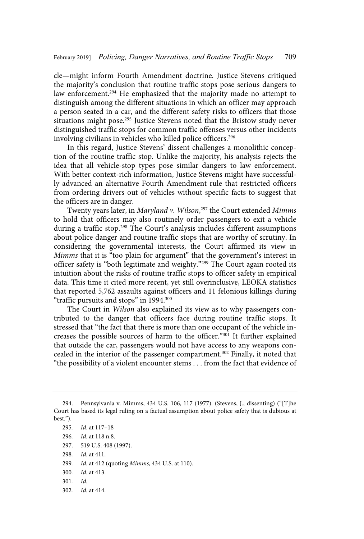cle—might inform Fourth Amendment doctrine. Justice Stevens critiqued the majority's conclusion that routine traffic stops pose serious dangers to law enforcement.<sup>294</sup> He emphasized that the majority made no attempt to distinguish among the different situations in which an officer may approach a person seated in a car, and the different safety risks to officers that those situations might pose.<sup>295</sup> Justice Stevens noted that the Bristow study never distinguished traffic stops for common traffic offenses versus other incidents involving civilians in vehicles who killed police officers.<sup>296</sup>

In this regard, Justice Stevens' dissent challenges a monolithic conception of the routine traffic stop. Unlike the majority, his analysis rejects the idea that all vehicle-stop types pose similar dangers to law enforcement. With better context-rich information, Justice Stevens might have successfully advanced an alternative Fourth Amendment rule that restricted officers from ordering drivers out of vehicles without specific facts to suggest that the officers are in danger.

Twenty years later, in *Maryland v*. Wilson,<sup>297</sup> the Court extended Mimms to hold that officers may also routinely order passengers to exit a vehicle during a traffic stop.<sup>298</sup> The Court's analysis includes different assumptions about police danger and routine traffic stops that are worthy of scrutiny. In considering the governmental interests, the Court affirmed its view in Mimms that it is "too plain for argument" that the government's interest in officer safety is "both legitimate and weighty."<sup>299</sup> The Court again rooted its intuition about the risks of routine traffic stops to officer safety in empirical data. This time it cited more recent, yet still overinclusive, LEOKA statistics that reported 5,762 assaults against officers and 11 felonious killings during "traffic pursuits and stops" in 1994.<sup>300</sup>

The Court in Wilson also explained its view as to why passengers contributed to the danger that officers face during routine traffic stops. It stressed that "the fact that there is more than one occupant of the vehicle increases the possible sources of harm to the officer."<sup>301</sup> It further explained that outside the car, passengers would not have access to any weapons concealed in the interior of the passenger compartment.<sup>302</sup> Finally, it noted that "the possibility of a violent encounter stems . . . from the fact that evidence of

<sup>294.</sup> Pennsylvania v. Mimms, 434 U.S. 106, 117 (1977). (Stevens, J., dissenting) ("[T]he Court has based its legal ruling on a factual assumption about police safety that is dubious at best.").

<sup>295.</sup> Id. at 117-18 296. Id. at 118 n.8. 297. 519 U.S. 408 (1997). 298. *Id.* at 411. 299. Id. at 412 (quoting Mimms, 434 U.S. at 110). 300. *Id.* at 413.  $301.$   $Id.$ 302. *Id.* at 414.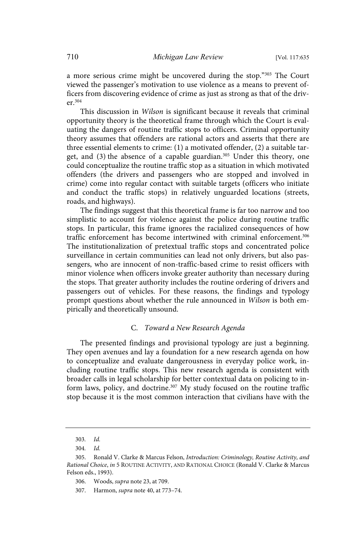a more serious crime might be uncovered during the stop."<sup>303</sup> The Court viewed the passenger's motivation to use violence as a means to prevent officers from discovering evidence of crime as just as strong as that of the driver.<sup>304</sup>

This discussion in Wilson is significant because it reveals that criminal opportunity theory is the theoretical frame through which the Court is evaluating the dangers of routine traffic stops to officers. Criminal opportunity theory assumes that offenders are rational actors and asserts that there are three essential elements to crime: (1) a motivated offender, (2) a suitable target, and (3) the absence of a capable guardian.<sup>305</sup> Under this theory, one could conceptualize the routine traffic stop as a situation in which motivated offenders (the drivers and passengers who are stopped and involved in crime) come into regular contact with suitable targets (officers who initiate and conduct the traffic stops) in relatively unguarded locations (streets, roads, and highways).

The findings suggest that this theoretical frame is far too narrow and too simplistic to account for violence against the police during routine traffic stops. In particular, this frame ignores the racialized consequences of how traffic enforcement has become intertwined with criminal enforcement.<sup>306</sup> The institutionalization of pretextual traffic stops and concentrated police surveillance in certain communities can lead not only drivers, but also passengers, who are innocent of non-traffic-based crime to resist officers with minor violence when officers invoke greater authority than necessary during the stops. That greater authority includes the routine ordering of drivers and passengers out of vehicles. For these reasons, the findings and typology prompt questions about whether the rule announced in Wilson is both empirically and theoretically unsound.

## C. Toward a New Research Agenda

The presented findings and provisional typology are just a beginning. They open avenues and lay a foundation for a new research agenda on how to conceptualize and evaluate dangerousness in everyday police work, including routine traffic stops. This new research agenda is consistent with broader calls in legal scholarship for better contextual data on policing to inform laws, policy, and doctrine.<sup>307</sup> My study focused on the routine traffic stop because it is the most common interaction that civilians have with the

<sup>303.</sup> Id.

 $304.$   $Id.$ 

<sup>305.</sup> Ronald V. Clarke & Marcus Felson, Introduction: Criminology, Routine Activity, and Rational Choice, in 5 ROUTINE ACTIVITY, AND RATIONAL CHOICE (Ronald V. Clarke & Marcus Felson eds., 1993).

<sup>306.</sup> Woods, supra note 23, at 709.

<sup>307.</sup> Harmon, supra note 40, at 773–74.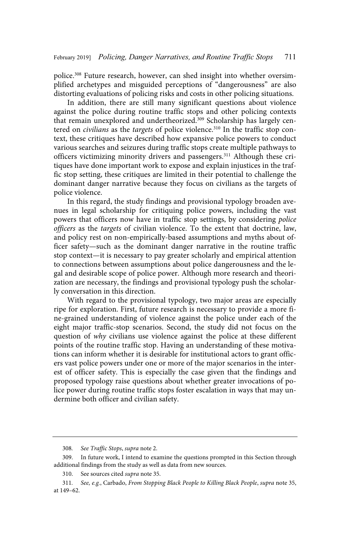police.<sup>308</sup> Future research, however, can shed insight into whether oversimplified archetypes and misguided perceptions of "dangerousness" are also distorting evaluations of policing risks and costs in other policing situations.

In addition, there are still many significant questions about violence against the police during routine traffic stops and other policing contexts that remain unexplored and undertheorized.<sup>309</sup> Scholarship has largely centered on *civilians* as the *targets* of police violence.<sup>310</sup> In the traffic stop context, these critiques have described how expansive police powers to conduct various searches and seizures during traffic stops create multiple pathways to officers victimizing minority drivers and passengers.<sup>311</sup> Although these critiques have done important work to expose and explain injustices in the traffic stop setting, these critiques are limited in their potential to challenge the dominant danger narrative because they focus on civilians as the targets of police violence.

In this regard, the study findings and provisional typology broaden avenues in legal scholarship for critiquing police powers, including the vast powers that officers now have in traffic stop settings, by considering police officers as the targets of civilian violence. To the extent that doctrine, law, and policy rest on non-empirically-based assumptions and myths about officer safety—such as the dominant danger narrative in the routine traffic stop context—it is necessary to pay greater scholarly and empirical attention to connections between assumptions about police dangerousness and the legal and desirable scope of police power. Although more research and theorization are necessary, the findings and provisional typology push the scholarly conversation in this direction.

With regard to the provisional typology, two major areas are especially ripe for exploration. First, future research is necessary to provide a more fine-grained understanding of violence against the police under each of the eight major traffic-stop scenarios. Second, the study did not focus on the question of why civilians use violence against the police at these different points of the routine traffic stop. Having an understanding of these motivations can inform whether it is desirable for institutional actors to grant officers vast police powers under one or more of the major scenarios in the interest of officer safety. This is especially the case given that the findings and proposed typology raise questions about whether greater invocations of police power during routine traffic stops foster escalation in ways that may undermine both officer and civilian safety.

<sup>308.</sup> See Traffic Stops, supra note 2.

<sup>309.</sup> In future work, I intend to examine the questions prompted in this Section through additional findings from the study as well as data from new sources.

<sup>310.</sup> See sources cited supra note 35.

<sup>311.</sup> See, e.g., Carbado, From Stopping Black People to Killing Black People, supra note 35, at 149–62.